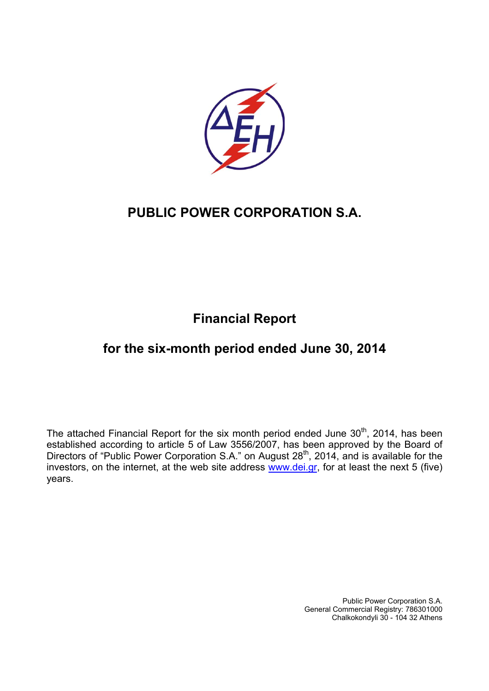

# **Financial Report**

# **for the six-month period ended June 30, 2014**

The attached Financial Report for the six month period ended June  $30<sup>th</sup>$ , 2014, has been established according to article 5 of Law 3556/2007, has been approved by the Board of Directors of "Public Power Corporation S.A." on August 28<sup>th</sup>, 2014, and is available for the investors, on the internet, at the web site address www.dei.gr, for at least the next 5 (five) years.

> Public Power Corporation S.A. General Commercial Registry: 786301000 Chalkokondyli 30 - 104 32 Athens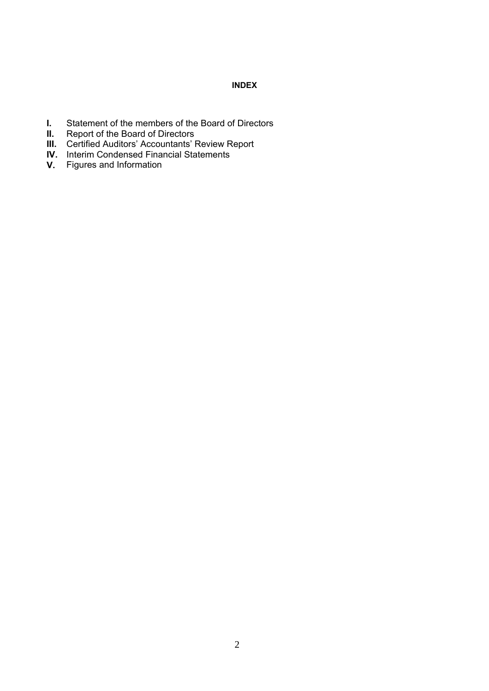## **INDEX**

- **I.** Statement of the members of the Board of Directors<br>**II.** Report of the Board of Directors
- **II.** Report of the Board of Directors
- **III.** Certified Auditors' Accountants' Review Report
- **IV.** Interim Condensed Financial Statements
- **V.** Figures and Information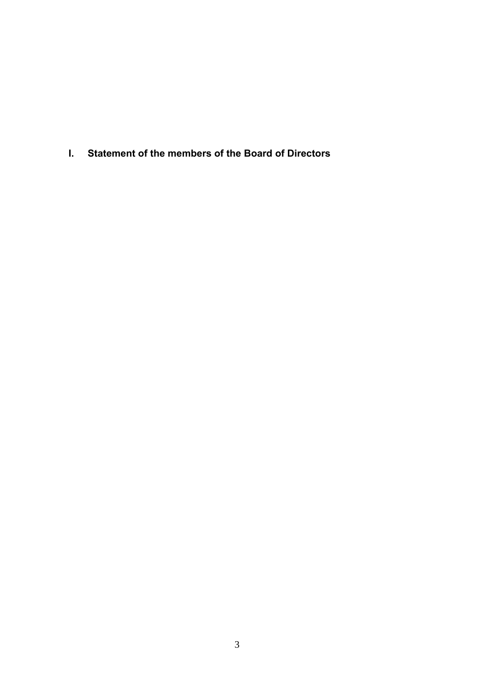**I. Statement of the members of the Board of Directors**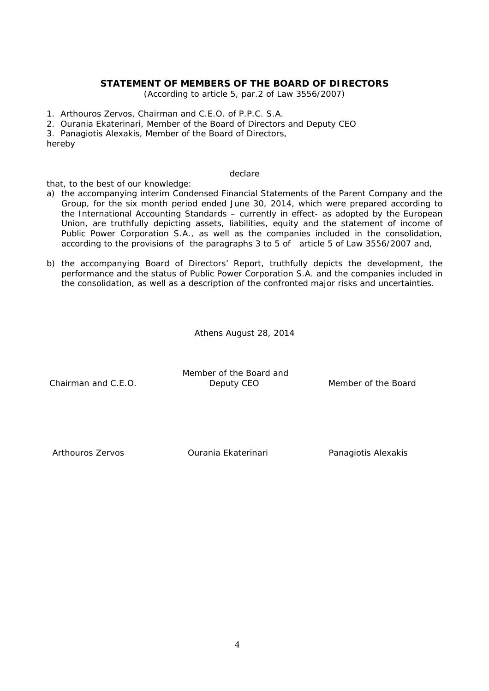## **STATEMENT OF MEMBERS OF THE BOARD OF DIRECTORS**

(According to article 5, par.2 of Law 3556/2007)

- 1. Arthouros Zervos, Chairman and C.E.O. of P.P.C. S.A.
- 2. Ourania Ekaterinari, Member of the Board of Directors and Deputy CEO
- 3. Panagiotis Alexakis, Member of the Board of Directors,

hereby

#### declare

that, to the best of our knowledge:

- a) the accompanying interim Condensed Financial Statements of the Parent Company and the Group, for the six month period ended June 30, 2014, which were prepared according to the International Accounting Standards – currently in effect- as adopted by the European Union, are truthfully depicting assets, liabilities, equity and the statement of income of Public Power Corporation S.A., as well as the companies included in the consolidation, according to the provisions of the paragraphs 3 to 5 of article 5 of Law 3556/2007 and,
- b) the accompanying Board of Directors' Report, truthfully depicts the development, the performance and the status of Public Power Corporation S.A. and the companies included in the consolidation, as well as a description of the confronted major risks and uncertainties.

Athens August 28, 2014

 Member of the Board and Chairman and C.E.O. **Deputy CEO** Member of the Board

Arthouros Zervos **C**urania Ekaterinari Panagiotis Alexakis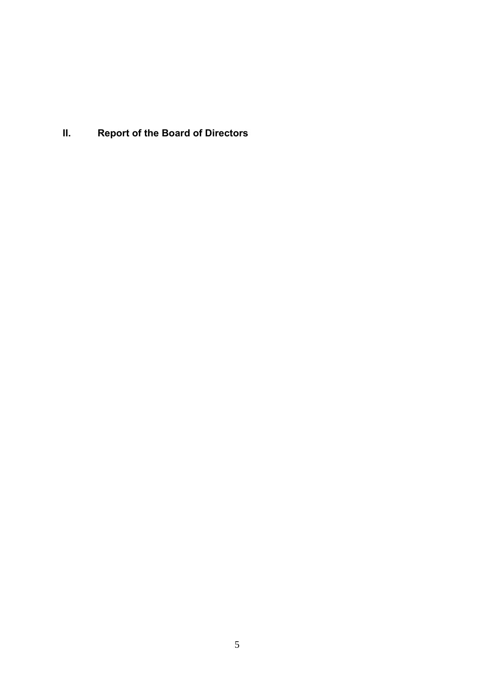**II. Report of the Board of Directors**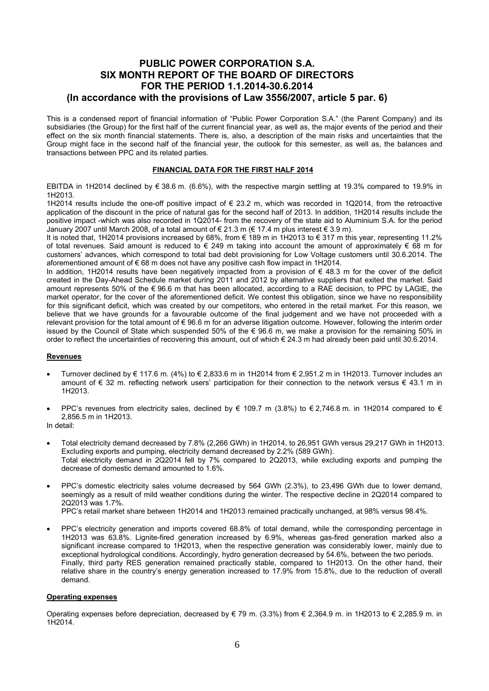## **PUBLIC POWER CORPORATION S.A. SIX MONTH REPORT OF THE BOARD OF DIRECTORS FOR THE PERIOD 1.1.2014-30.6.2014 (In accordance with the provisions of Law 3556/2007, article 5 par. 6)**

This is a condensed report of financial information of "Public Power Corporation S.A." (the Parent Company) and its subsidiaries (the Group) for the first half of the current financial year, as well as, the major events of the period and their effect on the six month financial statements. There is, also, a description of the main risks and uncertainties that the Group might face in the second half of the financial year, the outlook for this semester, as well as, the balances and transactions between PPC and its related parties.

#### **FINANCIAL DATA FOR THE FIRST HALF 2014**

ΕΒΙΤDΑ in 1H2014 declined by € 38.6 m. (6.6%), with the respective margin settling at 19.3% compared to 19.9% in 1H2013.

1H2014 results include the one-off positive impact of € 23.2 m, which was recorded in 1Q2014, from the retroactive application of the discount in the price of natural gas for the second half of 2013. In addition, 1H2014 results include the positive impact -which was also recorded in 1Q2014- from the recovery of the state aid to Aluminium S.A. for the period January 2007 until March 2008, of a total amount of € 21.3 m (€ 17.4 m plus interest € 3.9 m).

It is noted that, 1H2014 provisions increased by 68%, from € 189 m in 1H2013 to € 317 m this year, representing 11.2% of total revenues. Said amount is reduced to  $\epsilon$  249 m taking into account the amount of approximately  $\epsilon$  68 m for customers' advances, which correspond to total bad debt provisioning for Low Voltage customers until 30.6.2014. The aforementioned amount of € 68 m does not have any positive cash flow impact in 1H2014.

In addition, 1H2014 results have been negatively impacted from a provision of € 48.3 m for the cover of the deficit created in the Day-Ahead Schedule market during 2011 and 2012 by alternative suppliers that exited the market. Said amount represents 50% of the € 96.6 m that has been allocated, according to a RAE decision, to PPC by LAGIE, the market operator, for the cover of the aforementioned deficit. We contest this obligation, since we have no responsibility for this significant deficit, which was created by our competitors, who entered in the retail market. For this reason, we believe that we have grounds for a favourable outcome of the final judgement and we have not proceeded with a relevant provision for the total amount of € 96.6 m for an adverse litigation outcome. However, following the interim order issued by the Council of State which suspended 50% of the € 96.6 m, we make a provision for the remaining 50% in order to reflect the uncertainties of recovering this amount, out of which € 24.3 m had already been paid until 30.6.2014.

#### **Revenues**

- Turnover declined by € 117.6 m. (4%) to € 2,833.6 m in 1H2014 from € 2,951.2 m in 1H2013. Turnover includes an amount of € 32 m. reflecting network users' participation for their connection to the network versus € 43.1 m in 1H2013.
- PPC's revenues from electricity sales, declined by € 109.7 m (3.8%) to € 2,746.8 m. in 1H2014 compared to € 2,856.5 m in 1H2013.

In detail:

- Total electricity demand decreased by 7.8% (2,266 GWh) in 1H2014, to 26,951 GWh versus 29,217 GWh in 1H2013. Excluding exports and pumping, electricity demand decreased by 2.2% (589 GWh). Total electricity demand in 2Q2014 fell by 7% compared to 2Q2013, while excluding exports and pumping the decrease of domestic demand amounted to 1.6%.
- PPC's domestic electricity sales volume decreased by 564 GWh (2.3%), to 23,496 GWh due to lower demand, seemingly as a result of mild weather conditions during the winter. The respective decline in 2Q2014 compared to 2Q2013 was 1.7%.

PPC's retail market share between 1H2014 and 1H2013 remained practically unchanged, at 98% versus 98.4%.

• PPC's electricity generation and imports covered 68.8% of total demand, while the corresponding percentage in 1H2013 was 63.8%. Lignite-fired generation increased by 6.9%, whereas gas-fired generation marked also a significant increase compared to 1H2013, when the respective generation was considerably lower, mainly due to exceptional hydrological conditions. Accordingly, hydro generation decreased by 54.6%, between the two periods. Finally, third party RES generation remained practically stable, compared to 1H2013. On the other hand, their relative share in the country's energy generation increased to 17.9% from 15.8%, due to the reduction of overall demand.

#### **Operating expenses**

Operating expenses before depreciation, decreased by  $\in$  79 m. (3.3%) from  $\in$  2,364.9 m. in 1H2013 to  $\in$  2,285.9 m. in 1H2014.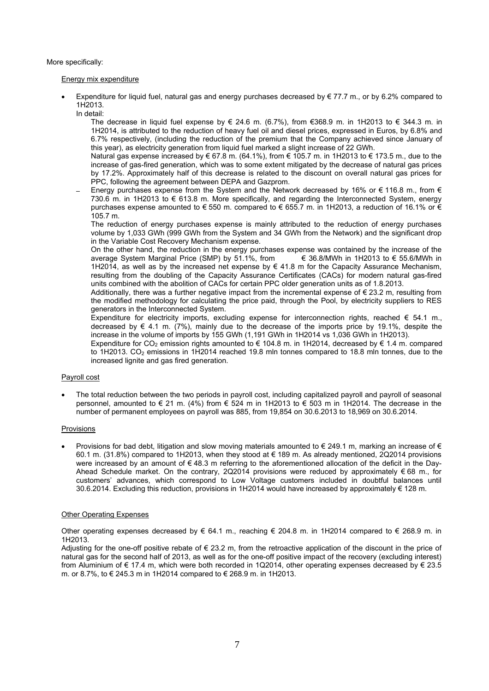More specifically:

#### Energy mix expenditure

- Expenditure for liquid fuel, natural gas and energy purchases decreased by  $\epsilon$  77.7 m., or by 6.2% compared to 1H2013.
	- In detail:

The decrease in liquid fuel expense by € 24.6 m. (6.7%), from €368.9 m. in 1H2013 to € 344.3 m. in 1H2014, is attributed to the reduction of heavy fuel oil and diesel prices, expressed in Euros, by 6.8% and 6.7% respectively, (including the reduction of the premium that the Company achieved since January of this year), as electricity generation from liquid fuel marked a slight increase of 22 GWh.

 Natural gas expense increased by € 67.8 m. (64.1%), from € 105.7 m. in 1H2013 to € 173.5 m., due to the increase of gas-fired generation, which was to some extent mitigated by the decrease of natural gas prices by 17.2%. Approximately half of this decrease is related to the discount on overall natural gas prices for PPC, following the agreement between DEPA and Gazprom.

Energy purchases expense from the System and the Network decreased by 16% or  $\epsilon$  116.8 m., from  $\epsilon$ 730.6 m. in 1Η2013 to € 613.8 m. More specifically, and regarding the Interconnected System, energy purchases expense amounted to € 550 m. compared to € 655.7 m. in 1H2013, a reduction of 16.1% or € 105.7 m.

The reduction of energy purchases expense is mainly attributed to the reduction of energy purchases volume by 1,033 GWh (999 GWh from the System and 34 GWh from the Network) and the significant drop in the Variable Cost Recovery Mechanism expense.

On the other hand, the reduction in the energy purchases expense was contained by the increase of the average System Marginal Price (SMP) by 51.1%, from  $\epsilon$  36.8/MWh in 1H2013 to  $\epsilon$  55.6/MWh in average System Marginal Price (SMP) by  $51.1\%$ , from 1H2014, as well as by the increased net expense by € 41.8 m for the Capacity Assurance Mechanism, resulting from the doubling of the Capacity Assurance Certificates (CACs) for modern natural gas-fired units combined with the abolition of CACs for certain PPC older generation units as of 1.8.2013.

Additionally, there was a further negative impact from the incremental expense of  $\epsilon$  23.2 m, resulting from the modified methodology for calculating the price paid, through the Pool, by electricity suppliers to RES generators in the Interconnected System.

Expenditure for electricity imports, excluding expense for interconnection rights, reached  $\epsilon$  54.1 m., decreased by € 4.1 m. (7%), mainly due to the decrease of the imports price by 19.1%, despite the increase in the volume of imports by 155 GWh (1,191 GWh in 1H2014 vs 1,036 GWh in 1H2013).

Expenditure for CO<sub>2</sub> emission rights amounted to € 104.8 m. in 1H2014, decreased by € 1.4 m. compared to 1H2013. CO<sub>2</sub> emissions in 1H2014 reached 19.8 mln tonnes compared to 18.8 mln tonnes, due to the increased lignite and gas fired generation.

### Payroll cost

• The total reduction between the two periods in payroll cost, including capitalized payroll and payroll of seasonal personnel, amounted to € 21 m. (4%) from € 524 m in 1H2013 to € 503 m in 1H2014. The decrease in the number of permanent employees on payroll was 885, from 19,854 on 30.6.2013 to 18,969 on 30.6.2014.

#### Provisions

Provisions for bad debt, litigation and slow moving materials amounted to  $\epsilon$  249.1 m, marking an increase of  $\epsilon$ 60.1 m. (31.8%) compared to 1H2013, when they stood at € 189 m. As already mentioned, 2Q2014 provisions were increased by an amount of €48.3 m referring to the aforementioned allocation of the deficit in the Day-Ahead Schedule market. On the contrary, 2Q2014 provisions were reduced by approximately  $\epsilon$  68 m., for customers' advances, which correspond to Low Voltage customers included in doubtful balances until 30.6.2014. Excluding this reduction, provisions in 1H2014 would have increased by approximately € 128 m.

### **Other Operating Expenses**

Other operating expenses decreased by  $\epsilon$  64.1 m., reaching  $\epsilon$  204.8 m. in 1H2014 compared to  $\epsilon$  268.9 m. in 1H2013.

Adjusting for the one-off positive rebate of  $\epsilon$  23.2 m, from the retroactive application of the discount in the price of natural gas for the second half of 2013, as well as for the one-off positive impact of the recovery (excluding interest) from Aluminium of € 17.4 m, which were both recorded in 1Q2014, other operating expenses decreased by € 23.5 m. or 8.7%, to € 245.3 m in 1H2014 compared to € 268.9 m. in 1H2013.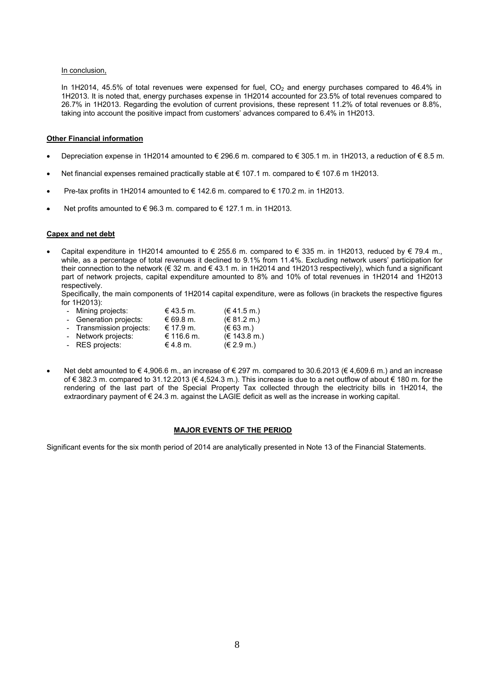#### In conclusion,

In 1H2014, 45.5% of total revenues were expensed for fuel,  $CO<sub>2</sub>$  and energy purchases compared to 46.4% in 1H2013. It is noted that, energy purchases expense in 1H2014 accounted for 23.5% of total revenues compared to 26.7% in 1H2013. Regarding the evolution of current provisions, these represent 11.2% of total revenues or 8.8%, taking into account the positive impact from customers' advances compared to 6.4% in 1H2013.

#### **Other Financial information**

- Depreciation expense in 1H2014 amounted to € 296.6 m. compared to € 305.1 m. in 1H2013, a reduction of € 8.5 m.
- Net financial expenses remained practically stable at € 107.1 m. compared to € 107.6 m 1H2013.
- Pre-tax profits in 1H2014 amounted to € 142.6 m. compared to € 170.2 m. in 1H2013.
- Net profits amounted to  $\epsilon$  96.3 m. compared to  $\epsilon$  127.1 m. in 1H2013.

#### **Capex and net debt**

Capital expenditure in 1H2014 amounted to € 255.6 m. compared to € 335 m. in 1H2013, reduced by € 79.4 m., while, as a percentage of total revenues it declined to 9.1% from 11.4%. Excluding network users' participation for their connection to the network (€ 32 m. and € 43.1 m. in 1H2014 and 1H2013 respectively), which fund a significant part of network projects, capital expenditure amounted to 8% and 10% of total revenues in 1H2014 and 1H2013 respectively.

Specifically, the main components of 1H2014 capital expenditure, were as follows (in brackets the respective figures for 1H2013):

- **-** Mining projects:  $\in$  43.5 m. (€ 41.5 m.)<br> **-** Generation projects:  $\in$  69.8 m. (€ 81.2 m.) **-** Generation projects: € 69.8 m. (€ 81.2 m.) **-** Transmission projects: € 17.9 m.  $(€ 63 \text{ m.})$ <br>**-** Network projects: € 116.6 m.  $(€ 143.8 \text{ m.})$ **Network projects: -** RES projects: € 4.8 m. (€ 2.9 m.)
- Net debt amounted to  $\in$  4,906.6 m., an increase of  $\in$  297 m. compared to 30.6.2013 ( $\in$  4,609.6 m.) and an increase of € 382.3 m. compared to 31.12.2013 (€ 4,524.3 m.). This increase is due to a net outflow of about € 180 m. for the rendering of the last part of the Special Property Tax collected through the electricity bills in 1H2014, the extraordinary payment of € 24.3 m. against the LAGIE deficit as well as the increase in working capital.

#### **MAJOR EVENTS OF THE PERIOD**

Significant events for the six month period of 2014 are analytically presented in Note 13 of the Financial Statements.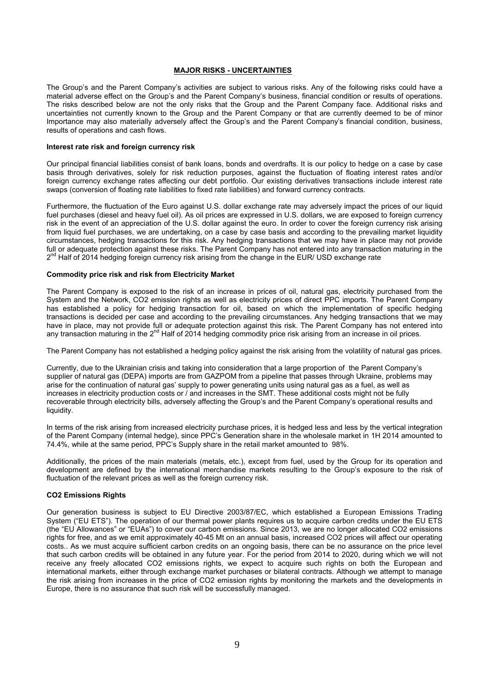#### **MAJOR RISKS - UNCERTAINTIES**

The Group's and the Parent Company's activities are subject to various risks. Any of the following risks could have a material adverse effect on the Group's and the Parent Company's business, financial condition or results of operations. The risks described below are not the only risks that the Group and the Parent Company face. Additional risks and uncertainties not currently known to the Group and the Parent Company or that are currently deemed to be of minor Importance may also materially adversely affect the Group's and the Parent Company's financial condition, business, results of operations and cash flows.

#### **Interest rate risk and foreign currency risk**

Our principal financial liabilities consist of bank loans, bonds and overdrafts. It is our policy to hedge on a case by case basis through derivatives, solely for risk reduction purposes, against the fluctuation of floating interest rates and/or foreign currency exchange rates affecting our debt portfolio. Our existing derivatives transactions include interest rate swaps (conversion of floating rate liabilities to fixed rate liabilities) and forward currency contracts.

Furthermore, the fluctuation of the Euro against U.S. dollar exchange rate may adversely impact the prices of our liquid fuel purchases (diesel and heavy fuel oil). As oil prices are expressed in U.S. dollars, we are exposed to foreign currency risk in the event of an appreciation of the U.S. dollar against the euro. In order to cover the foreign currency risk arising from liquid fuel purchases, we are undertaking, on a case by case basis and according to the prevailing market liquidity circumstances, hedging transactions for this risk. Any hedging transactions that we may have in place may not provide full or adequate protection against these risks. The Parent Company has not entered into any transaction maturing in the 2<sup>nd</sup> Half of 2014 hedging foreign currency risk arising from the change in the EUR/ USD exchange rate

#### **Commodity price risk and risk from Electricity Market**

The Parent Company is exposed to the risk of an increase in prices of oil, natural gas, electricity purchased from the System and the Network, CO2 emission rights as well as electricity prices of direct PPC imports. The Parent Company has established a policy for hedging transaction for oil, based on which the implementation of specific hedging transactions is decided per case and according to the prevailing circumstances. Any hedging transactions that we may have in place, may not provide full or adequate protection against this risk. The Parent Company has not entered into any transaction maturing in the  $2<sup>nd</sup>$  Half of 2014 hedging commodity price risk arising from an increase in oil prices.

The Parent Company has not established a hedging policy against the risk arising from the volatility of natural gas prices.

Currently, due to the Ukrainian crisis and taking into consideration that a large proportion of the Parent Company's supplier of natural gas (DEPA) imports are from GAZPOM from a pipeline that passes through Ukraine, problems may arise for the continuation of natural gas' supply to power generating units using natural gas as a fuel, as well as increases in electricity production costs or / and increases in the SMT. These additional costs might not be fully recoverable through electricity bills, adversely affecting the Group's and the Parent Company's operational results and liquidity.

In terms of the risk arising from increased electricity purchase prices, it is hedged less and less by the vertical integration of the Parent Company (internal hedge), since PPC's Generation share in the wholesale market in 1H 2014 amounted to 74.4%, while at the same period, PPC's Supply share in the retail market amounted to 98%.

Additionally, the prices of the main materials (metals, etc.), except from fuel, used by the Group for its operation and development are defined by the international merchandise markets resulting to the Group's exposure to the risk of fluctuation of the relevant prices as well as the foreign currency risk.

#### **CO2 Emissions Rights**

Our generation business is subject to EU Directive 2003/87/EC, which established a European Emissions Trading System ("EU ETS"). The operation of our thermal power plants requires us to acquire carbon credits under the EU ETS (the "EU Allowances" or "EUAs") to cover our carbon emissions. Since 2013, we are no longer allocated CO2 emissions rights for free, and as we emit approximately 40-45 Mt on an annual basis, increased CO2 prices will affect our operating costs.. As we must acquire sufficient carbon credits on an ongoing basis, there can be no assurance on the price level that such carbon credits will be obtained in any future year. For the period from 2014 to 2020, during which we will not receive any freely allocated CO2 emissions rights, we expect to acquire such rights on both the European and international markets, either through exchange market purchases or bilateral contracts. Although we attempt to manage the risk arising from increases in the price of CO2 emission rights by monitoring the markets and the developments in Europe, there is no assurance that such risk will be successfully managed.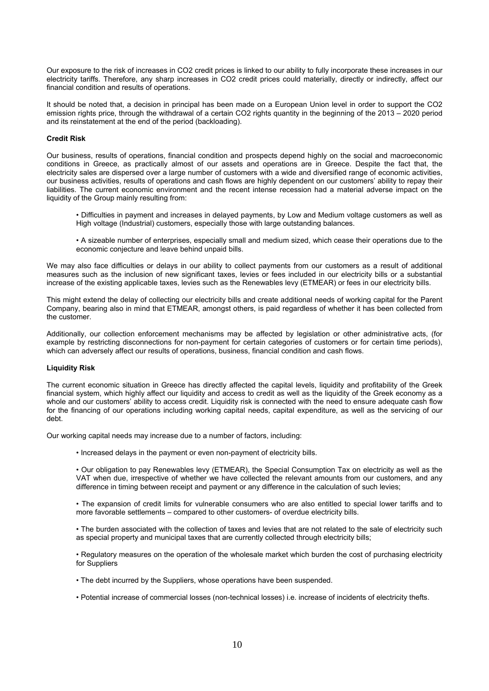Our exposure to the risk of increases in CO2 credit prices is linked to our ability to fully incorporate these increases in our electricity tariffs. Therefore, any sharp increases in CO2 credit prices could materially, directly or indirectly, affect our financial condition and results of operations.

It should be noted that, a decision in principal has been made on a European Union level in order to support the CO2 emission rights price, through the withdrawal of a certain CO2 rights quantity in the beginning of the 2013 – 2020 period and its reinstatement at the end of the period (backloading).

#### **Credit Risk**

Our business, results of operations, financial condition and prospects depend highly on the social and macroeconomic conditions in Greece, as practically almost of our assets and operations are in Greece. Despite the fact that, the electricity sales are dispersed over a large number of customers with a wide and diversified range of economic activities, our business activities, results of operations and cash flows are highly dependent on our customers' ability to repay their liabilities. The current economic environment and the recent intense recession had a material adverse impact on the liquidity of the Group mainly resulting from:

- Difficulties in payment and increases in delayed payments, by Low and Medium voltage customers as well as High voltage (Industrial) customers, especially those with large outstanding balances.
- A sizeable number of enterprises, especially small and medium sized, which cease their operations due to the economic conjecture and leave behind unpaid bills.

We may also face difficulties or delays in our ability to collect payments from our customers as a result of additional measures such as the inclusion of new significant taxes, levies or fees included in our electricity bills or a substantial increase of the existing applicable taxes, levies such as the Renewables levy (ETMEAR) or fees in our electricity bills.

This might extend the delay of collecting our electricity bills and create additional needs of working capital for the Parent Company, bearing also in mind that ETMEAR, amongst others, is paid regardless of whether it has been collected from the customer.

Additionally, our collection enforcement mechanisms may be affected by legislation or other administrative acts, (for example by restricting disconnections for non-payment for certain categories of customers or for certain time periods), which can adversely affect our results of operations, business, financial condition and cash flows.

#### **Liquidity Risk**

The current economic situation in Greece has directly affected the capital levels, liquidity and profitability of the Greek financial system, which highly affect our liquidity and access to credit as well as the liquidity of the Greek economy as a whole and our customers' ability to access credit. Liquidity risk is connected with the need to ensure adequate cash flow for the financing of our operations including working capital needs, capital expenditure, as well as the servicing of our debt.

Our working capital needs may increase due to a number of factors, including:

• Increased delays in the payment or even non-payment of electricity bills.

• Our obligation to pay Renewables levy (ETMEAR), the Special Consumption Tax on electricity as well as the VAT when due, irrespective of whether we have collected the relevant amounts from our customers, and any difference in timing between receipt and payment or any difference in the calculation of such levies;

• The expansion of credit limits for vulnerable consumers who are also entitled to special lower tariffs and to more favorable settlements – compared to other customers- of overdue electricity bills.

• The burden associated with the collection of taxes and levies that are not related to the sale of electricity such as special property and municipal taxes that are currently collected through electricity bills;

• Regulatory measures on the operation of the wholesale market which burden the cost of purchasing electricity for Suppliers

- The debt incurred by the Suppliers, whose operations have been suspended.
- Potential increase of commercial losses (non-technical losses) i.e. increase of incidents of electricity thefts.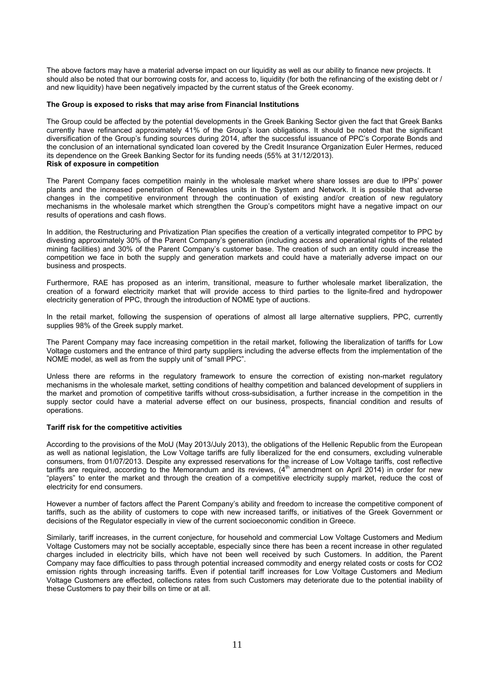The above factors may have a material adverse impact on our liquidity as well as our ability to finance new projects. It should also be noted that our borrowing costs for, and access to, liquidity (for both the refinancing of the existing debt or / and new liquidity) have been negatively impacted by the current status of the Greek economy.

#### **The Group is exposed to risks that may arise from Financial Institutions**

The Group could be affected by the potential developments in the Greek Banking Sector given the fact that Greek Banks currently have refinanced approximately 41% of the Group's loan obligations. It should be noted that the significant diversification of the Group's funding sources during 2014, after the successful issuance of PPC's Corporate Bonds and the conclusion of an international syndicated loan covered by the Credit Insurance Organization Euler Hermes, reduced its dependence on the Greek Banking Sector for its funding needs (55% at 31/12/2013). **Risk of exposure in competition** 

The Parent Company faces competition mainly in the wholesale market where share losses are due to IPPs' power plants and the increased penetration of Renewables units in the System and Network. It is possible that adverse changes in the competitive environment through the continuation of existing and/or creation of new regulatory mechanisms in the wholesale market which strengthen the Group's competitors might have a negative impact on our results of operations and cash flows.

In addition, the Restructuring and Privatization Plan specifies the creation of a vertically integrated competitor to PPC by divesting approximately 30% of the Parent Company's generation (including access and operational rights of the related mining facilities) and 30% of the Parent Company's customer base. The creation of such an entity could increase the competition we face in both the supply and generation markets and could have a materially adverse impact on our business and prospects.

Furthermore, RAE has proposed as an interim, transitional, measure to further wholesale market liberalization, the creation of a forward electricity market that will provide access to third parties to the lignite-fired and hydropower electricity generation of PPC, through the introduction of NOME type of auctions.

In the retail market, following the suspension of operations of almost all large alternative suppliers, PPC, currently supplies 98% of the Greek supply market.

The Parent Company may face increasing competition in the retail market, following the liberalization of tariffs for Low Voltage customers and the entrance of third party suppliers including the adverse effects from the implementation of the NOME model, as well as from the supply unit of "small PPC".

Unless there are reforms in the regulatory framework to ensure the correction of existing non-market regulatory mechanisms in the wholesale market, setting conditions of healthy competition and balanced development of suppliers in the market and promotion of competitive tariffs without cross-subsidisation, a further increase in the competition in the supply sector could have a material adverse effect on our business, prospects, financial condition and results of operations.

#### **Tariff risk for the competitive activities**

According to the provisions of the MoU (May 2013/July 2013), the obligations of the Hellenic Republic from the European as well as national legislation, the Low Voltage tariffs are fully liberalized for the end consumers, excluding vulnerable consumers, from 01/07/2013. Despite any expressed reservations for the increase of Low Voltage tariffs, cost reflective tariffs are required, according to the Memorandum and its reviews, (4<sup>th</sup> amendment on April 2014) in order for new "players" to enter the market and through the creation of a competitive electricity supply market, reduce the cost of electricity for end consumers.

However a number of factors affect the Parent Company's ability and freedom to increase the competitive component of tariffs, such as the ability of customers to cope with new increased tariffs, or initiatives of the Greek Government or decisions of the Regulator especially in view of the current socioeconomic condition in Greece.

Similarly, tariff increases, in the current conjecture, for household and commercial Low Voltage Customers and Medium Voltage Customers may not be socially acceptable, especially since there has been a recent increase in other regulated charges included in electricity bills, which have not been well received by such Customers. In addition, the Parent Company may face difficulties to pass through potential increased commodity and energy related costs or costs for CO2 emission rights through increasing tariffs. Even if potential tariff increases for Low Voltage Customers and Medium Voltage Customers are effected, collections rates from such Customers may deteriorate due to the potential inability of these Customers to pay their bills on time or at all.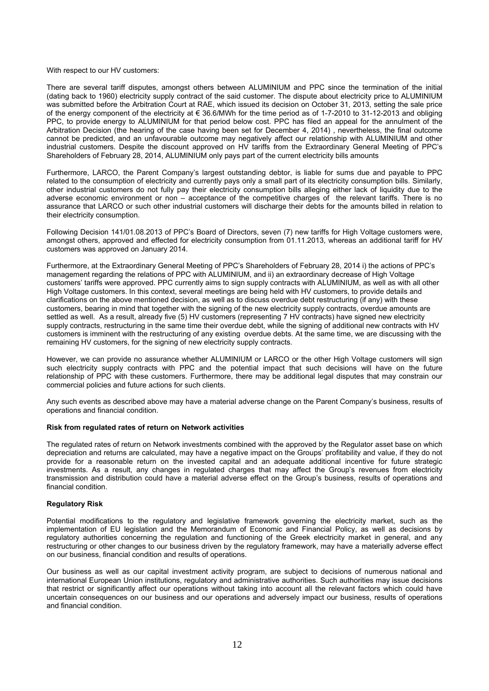#### With respect to our HV customers:

There are several tariff disputes, amongst others between ALUMINIUM and PPC since the termination of the initial (dating back to 1960) electricity supply contract of the said customer. The dispute about electricity price to ALUMINIUM was submitted before the Arbitration Court at RAE, which issued its decision on October 31, 2013, setting the sale price of the energy component of the electricity at  $\epsilon$  36.6/MWh for the time period as of 1-7-2010 to 31-12-2013 and obliging PPC, to provide energy to ALUMINIUM for that period below cost. PPC has filed an appeal for the annulment of the Arbitration Decision (the hearing of the case having been set for December 4, 2014) , nevertheless, the final outcome cannot be predicted, and an unfavourable outcome may negatively affect our relationship with ALUMINIUM and other industrial customers. Despite the discount approved on HV tariffs from the Extraordinary General Meeting of PPC's Shareholders of February 28, 2014, ALUMINIUM only pays part of the current electricity bills amounts

Furthermore, LARCO, the Parent Company's largest outstanding debtor, is liable for sums due and payable to PPC related to the consumption of electricity and currently pays only a small part of its electricity consumption bills. Similarly, other industrial customers do not fully pay their electricity consumption bills alleging either lack of liquidity due to the adverse economic environment or non – acceptance of the competitive charges of the relevant tariffs. There is no assurance that LARCO or such other industrial customers will discharge their debts for the amounts billed in relation to their electricity consumption.

Following Decision 141/01.08.2013 of PPC's Board of Directors, seven (7) new tariffs for High Voltage customers were, amongst others, approved and effected for electricity consumption from 01.11.2013, whereas an additional tariff for HV customers was approved on January 2014.

Furthermore, at the Extraordinary General Meeting of PPC's Shareholders of February 28, 2014 i) the actions of PPC's management regarding the relations of PPC with ALUMINIUM, and ii) an extraordinary decrease of High Voltage customers' tariffs were approved. PPC currently aims to sign supply contracts with ALUMINIUM, as well as with all other High Voltage customers. In this context, several meetings are being held with HV customers, to provide details and clarifications on the above mentioned decision, as well as to discuss overdue debt restructuring (if any) with these customers, bearing in mind that together with the signing of the new electricity supply contracts, overdue amounts are settled as well. As a result, already five (5) HV customers (representing 7 HV contracts) have signed new electricity supply contracts, restructuring in the same time their overdue debt, while the signing of additional new contracts with HV customers is imminent with the restructuring of any existing overdue debts. At the same time, we are discussing with the remaining HV customers, for the signing of new electricity supply contracts.

However, we can provide no assurance whether ALUMINIUM or LARCO or the other High Voltage customers will sign such electricity supply contracts with PPC and the potential impact that such decisions will have on the future relationship of PPC with these customers. Furthermore, there may be additional legal disputes that may constrain our commercial policies and future actions for such clients.

Any such events as described above may have a material adverse change on the Parent Company's business, results of operations and financial condition.

#### **Risk from regulated rates of return on Network activities**

The regulated rates of return on Network investments combined with the approved by the Regulator asset base on which depreciation and returns are calculated, may have a negative impact on the Groups' profitability and value, if they do not provide for a reasonable return on the invested capital and an adequate additional incentive for future strategic investments. As a result, any changes in regulated charges that may affect the Group's revenues from electricity transmission and distribution could have a material adverse effect on the Group's business, results of operations and financial condition.

#### **Regulatory Risk**

Potential modifications to the regulatory and legislative framework governing the electricity market, such as the implementation of EU legislation and the Memorandum of Economic and Financial Policy, as well as decisions by regulatory authorities concerning the regulation and functioning of the Greek electricity market in general, and any restructuring or other changes to our business driven by the regulatory framework, may have a materially adverse effect on our business, financial condition and results of operations.

Our business as well as our capital investment activity program, are subject to decisions of numerous national and international European Union institutions, regulatory and administrative authorities. Such authorities may issue decisions that restrict or significantly affect our operations without taking into account all the relevant factors which could have uncertain consequences on our business and our operations and adversely impact our business, results of operations and financial condition.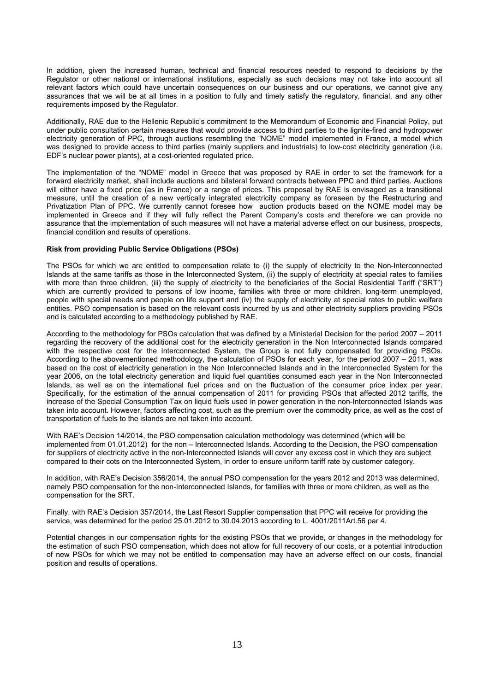In addition, given the increased human, technical and financial resources needed to respond to decisions by the Regulator or other national or international institutions, especially as such decisions may not take into account all relevant factors which could have uncertain consequences on our business and our operations, we cannot give any assurances that we will be at all times in a position to fully and timely satisfy the regulatory, financial, and any other requirements imposed by the Regulator.

Additionally, RAE due to the Hellenic Republic's commitment to the Memorandum of Economic and Financial Policy, put under public consultation certain measures that would provide access to third parties to the lignite-fired and hydropower electricity generation of PPC, through auctions resembling the "NOME" model implemented in France, a model which was designed to provide access to third parties (mainly suppliers and industrials) to low-cost electricity generation (i.e. EDF's nuclear power plants), at a cost-oriented regulated price.

The implementation of the "NOME" model in Greece that was proposed by RAE in order to set the framework for a forward electricity market, shall include auctions and bilateral forward contracts between PPC and third parties. Auctions will either have a fixed price (as in France) or a range of prices. This proposal by RAE is envisaged as a transitional measure, until the creation of a new vertically integrated electricity company as foreseen by the Restructuring and Privatization Plan of PPC. We currently cannot foresee how auction products based on the NOME model may be implemented in Greece and if they will fully reflect the Parent Company's costs and therefore we can provide no assurance that the implementation of such measures will not have a material adverse effect on our business, prospects, financial condition and results of operations.

#### **Risk from providing Public Service Obligations (PSOs)**

The PSOs for which we are entitled to compensation relate to (i) the supply of electricity to the Non-Interconnected Islands at the same tariffs as those in the Interconnected System, (ii) the supply of electricity at special rates to families with more than three children, (iii) the supply of electricity to the beneficiaries of the Social Residential Tariff ("SRT") which are currently provided to persons of low income, families with three or more children, long-term unemployed, people with special needs and people on life support and (iv) the supply of electricity at special rates to public welfare entities. PSO compensation is based on the relevant costs incurred by us and other electricity suppliers providing PSOs and is calculated according to a methodology published by RAE.

According to the methodology for PSOs calculation that was defined by a Ministerial Decision for the period 2007 – 2011 regarding the recovery of the additional cost for the electricity generation in the Non Interconnected Islands compared with the respective cost for the Interconnected System, the Group is not fully compensated for providing PSOs. According to the abovementioned methodology, the calculation of PSOs for each year, for the period 2007 – 2011, was based on the cost of electricity generation in the Non Interconnected Islands and in the Interconnected System for the year 2006, on the total electricity generation and liquid fuel quantities consumed each year in the Non Interconnected Islands, as well as on the international fuel prices and on the fluctuation of the consumer price index per year. Specifically, for the estimation of the annual compensation of 2011 for providing PSOs that affected 2012 tariffs, the increase of the Special Consumption Tax on liquid fuels used in power generation in the non-Interconnected Islands was taken into account. However, factors affecting cost, such as the premium over the commodity price, as well as the cost of transportation of fuels to the islands are not taken into account.

With RAE's Decision 14/2014, the PSO compensation calculation methodology was determined (which will be implemented from 01.01.2012) for the non – Interconnected Islands. According to the Decision, the PSO compensation for suppliers of electricity active in the non-Interconnected Islands will cover any excess cost in which they are subject compared to their cots on the Interconnected System, in order to ensure uniform tariff rate by customer category.

In addition, with RAE's Decision 356/2014, the annual PSO compensation for the years 2012 and 2013 was determined, namely PSO compensation for the non-Interconnected Islands, for families with three or more children, as well as the compensation for the SRT.

Finally, with RAE's Decision 357/2014, the Last Resort Supplier compensation that PPC will receive for providing the service, was determined for the period 25.01.2012 to 30.04.2013 according to L. 4001/2011Art.56 par 4.

Potential changes in our compensation rights for the existing PSOs that we provide, or changes in the methodology for the estimation of such PSO compensation, which does not allow for full recovery of our costs, or a potential introduction of new PSOs for which we may not be entitled to compensation may have an adverse effect on our costs, financial position and results of operations.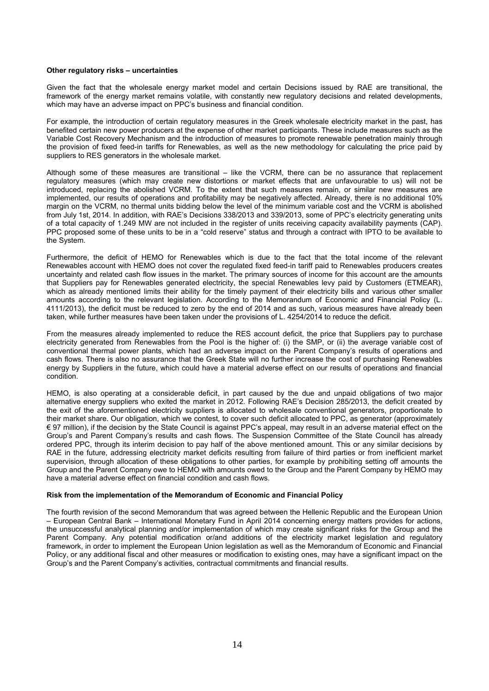#### **Other regulatory risks – uncertainties**

Given the fact that the wholesale energy market model and certain Decisions issued by RAE are transitional, the framework of the energy market remains volatile, with constantly new regulatory decisions and related developments, which may have an adverse impact on PPC's business and financial condition.

For example, the introduction of certain regulatory measures in the Greek wholesale electricity market in the past, has benefited certain new power producers at the expense of other market participants. These include measures such as the Variable Cost Recovery Mechanism and the introduction of measures to promote renewable penetration mainly through the provision of fixed feed-in tariffs for Renewables, as well as the new methodology for calculating the price paid by suppliers to RES generators in the wholesale market.

Although some of these measures are transitional – like the VCRM, there can be no assurance that replacement regulatory measures (which may create new distortions or market effects that are unfavourable to us) will not be introduced, replacing the abolished VCRM. To the extent that such measures remain, or similar new measures are implemented, our results of operations and profitability may be negatively affected. Already, there is no additional 10% margin on the VCRM, no thermal units bidding below the level of the minimum variable cost and the VCRM is abolished from July 1st, 2014. In addition, with RAE's Decisions 338/2013 and 339/2013, some of PPC's electricity generating units of a total capacity of 1.249 MW are not included in the register of units receiving capacity availability payments (CAP). PPC proposed some of these units to be in a "cold reserve" status and through a contract with IPTO to be available to the System.

Furthermore, the deficit of HEMO for Renewables which is due to the fact that the total income of the relevant Renewables account with HEMO does not cover the regulated fixed feed-in tariff paid to Renewables producers creates uncertainty and related cash flow issues in the market. The primary sources of income for this account are the amounts that Suppliers pay for Renewables generated electricity, the special Renewables levy paid by Customers (ETMEAR), which as already mentioned limits their ability for the timely payment of their electricity bills and various other smaller amounts according to the relevant legislation. According to the Memorandum of Economic and Financial Policy (L. 4111/2013), the deficit must be reduced to zero by the end of 2014 and as such, various measures have already been taken, while further measures have been taken under the provisions of L. 4254/2014 to reduce the deficit.

From the measures already implemented to reduce the RES account deficit, the price that Suppliers pay to purchase electricity generated from Renewables from the Pool is the higher of: (i) the SMP, or (ii) the average variable cost of conventional thermal power plants, which had an adverse impact on the Parent Company's results of operations and cash flows. There is also no assurance that the Greek State will no further increase the cost of purchasing Renewables energy by Suppliers in the future, which could have a material adverse effect on our results of operations and financial condition.

HEMO, is also operating at a considerable deficit, in part caused by the due and unpaid obligations of two major alternative energy suppliers who exited the market in 2012. Following RAE's Decision 285/2013, the deficit created by the exit of the aforementioned electricity suppliers is allocated to wholesale conventional generators, proportionate to their market share. Our obligation, which we contest, to cover such deficit allocated to PPC, as generator (approximately € 97 million), if the decision by the State Council is against PPC's appeal, may result in an adverse material effect on the Group's and Parent Company's results and cash flows. The Suspension Committee of the State Council has already ordered PPC, through its interim decision to pay half of the above mentioned amount. This or any similar decisions by RAE in the future, addressing electricity market deficits resulting from failure of third parties or from inefficient market supervision, through allocation of these obligations to other parties, for example by prohibiting setting off amounts the Group and the Parent Company owe to HEMO with amounts owed to the Group and the Parent Company by HEMO may have a material adverse effect on financial condition and cash flows.

#### **Risk from the implementation of the Memorandum of Economic and Financial Policy**

The fourth revision of the second Memorandum that was agreed between the Hellenic Republic and the European Union – European Central Bank – International Monetary Fund in April 2014 concerning energy matters provides for actions, the unsuccessful analytical planning and/or implementation of which may create significant risks for the Group and the Parent Company. Any potential modification or/and additions of the electricity market legislation and regulatory framework, in order to implement the European Union legislation as well as the Memorandum of Economic and Financial Policy, or any additional fiscal and other measures or modification to existing ones, may have a significant impact on the Group's and the Parent Company's activities, contractual commitments and financial results.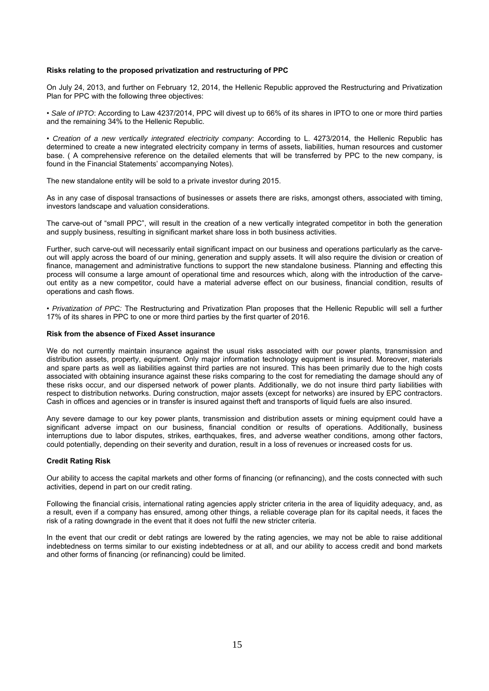#### **Risks relating to the proposed privatization and restructuring of PPC**

On July 24, 2013, and further on February 12, 2014, the Hellenic Republic approved the Restructuring and Privatization Plan for PPC with the following three objectives:

• *Sale of IPTO*: According to Law 4237/2014, PPC will divest up to 66% of its shares in IPTO to one or more third parties and the remaining 34% to the Hellenic Republic.

• *Creation of a new vertically integrated electricity company*: According to L. 4273/2014, the Hellenic Republic has determined to create a new integrated electricity company in terms of assets, liabilities, human resources and customer base. ( A comprehensive reference on the detailed elements that will be transferred by PPC to the new company, is found in the Financial Statements' accompanying Notes).

The new standalone entity will be sold to a private investor during 2015.

As in any case of disposal transactions of businesses or assets there are risks, amongst others, associated with timing, investors landscape and valuation considerations.

The carve-out of "small PPC", will result in the creation of a new vertically integrated competitor in both the generation and supply business, resulting in significant market share loss in both business activities.

Further, such carve-out will necessarily entail significant impact on our business and operations particularly as the carveout will apply across the board of our mining, generation and supply assets. It will also require the division or creation of finance, management and administrative functions to support the new standalone business. Planning and effecting this process will consume a large amount of operational time and resources which, along with the introduction of the carveout entity as a new competitor, could have a material adverse effect on our business, financial condition, results of operations and cash flows.

• *Privatization of PPC:* The Restructuring and Privatization Plan proposes that the Hellenic Republic will sell a further 17% of its shares in PPC to one or more third parties by the first quarter of 2016.

#### **Risk from the absence of Fixed Asset insurance**

We do not currently maintain insurance against the usual risks associated with our power plants, transmission and distribution assets, property, equipment. Only major information technology equipment is insured. Moreover, materials and spare parts as well as liabilities against third parties are not insured. This has been primarily due to the high costs associated with obtaining insurance against these risks comparing to the cost for remediating the damage should any of these risks occur, and our dispersed network of power plants. Additionally, we do not insure third party liabilities with respect to distribution networks. During construction, major assets (except for networks) are insured by EPC contractors. Cash in offices and agencies or in transfer is insured against theft and transports of liquid fuels are also insured.

Any severe damage to our key power plants, transmission and distribution assets or mining equipment could have a significant adverse impact on our business, financial condition or results of operations. Additionally, business interruptions due to labor disputes, strikes, earthquakes, fires, and adverse weather conditions, among other factors, could potentially, depending on their severity and duration, result in a loss of revenues or increased costs for us.

#### **Credit Rating Risk**

Our ability to access the capital markets and other forms of financing (or refinancing), and the costs connected with such activities, depend in part on our credit rating.

Following the financial crisis, international rating agencies apply stricter criteria in the area of liquidity adequacy, and, as a result, even if a company has ensured, among other things, a reliable coverage plan for its capital needs, it faces the risk of a rating downgrade in the event that it does not fulfil the new stricter criteria.

In the event that our credit or debt ratings are lowered by the rating agencies, we may not be able to raise additional indebtedness on terms similar to our existing indebtedness or at all, and our ability to access credit and bond markets and other forms of financing (or refinancing) could be limited.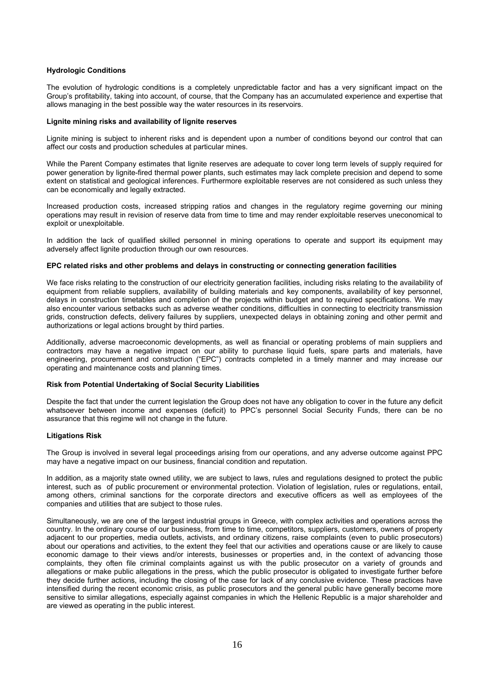#### **Hydrologic Conditions**

The evolution of hydrologic conditions is a completely unpredictable factor and has a very significant impact on the Group's profitability, taking into account, of course, that the Company has an accumulated experience and expertise that allows managing in the best possible way the water resources in its reservoirs.

#### **Lignite mining risks and availability of lignite reserves**

Lignite mining is subject to inherent risks and is dependent upon a number of conditions beyond our control that can affect our costs and production schedules at particular mines.

While the Parent Company estimates that lignite reserves are adequate to cover long term levels of supply required for power generation by lignite-fired thermal power plants, such estimates may lack complete precision and depend to some extent on statistical and geological inferences. Furthermore exploitable reserves are not considered as such unless they can be economically and legally extracted.

Increased production costs, increased stripping ratios and changes in the regulatory regime governing our mining operations may result in revision of reserve data from time to time and may render exploitable reserves uneconomical to exploit or unexploitable.

In addition the lack of qualified skilled personnel in mining operations to operate and support its equipment may adversely affect lignite production through our own resources.

#### **EPC related risks and other problems and delays in constructing or connecting generation facilities**

We face risks relating to the construction of our electricity generation facilities, including risks relating to the availability of equipment from reliable suppliers, availability of building materials and key components, availability of key personnel, delays in construction timetables and completion of the projects within budget and to required specifications. We may also encounter various setbacks such as adverse weather conditions, difficulties in connecting to electricity transmission grids, construction defects, delivery failures by suppliers, unexpected delays in obtaining zoning and other permit and authorizations or legal actions brought by third parties.

Additionally, adverse macroeconomic developments, as well as financial or operating problems of main suppliers and contractors may have a negative impact on our ability to purchase liquid fuels, spare parts and materials, have engineering, procurement and construction ("EPC") contracts completed in a timely manner and may increase our operating and maintenance costs and planning times.

#### **Risk from Potential Undertaking of Social Security Liabilities**

Despite the fact that under the current legislation the Group does not have any obligation to cover in the future any deficit whatsoever between income and expenses (deficit) to PPC's personnel Social Security Funds, there can be no assurance that this regime will not change in the future.

#### **Litigations Risk**

The Group is involved in several legal proceedings arising from our operations, and any adverse outcome against PPC may have a negative impact on our business, financial condition and reputation.

In addition, as a majority state owned utility, we are subject to laws, rules and regulations designed to protect the public interest, such as of public procurement or environmental protection. Violation of legislation, rules or regulations, entail, among others, criminal sanctions for the corporate directors and executive officers as well as employees of the companies and utilities that are subject to those rules.

Simultaneously, we are one of the largest industrial groups in Greece, with complex activities and operations across the country. In the ordinary course of our business, from time to time, competitors, suppliers, customers, owners of property adjacent to our properties, media outlets, activists, and ordinary citizens, raise complaints (even to public prosecutors) about our operations and activities, to the extent they feel that our activities and operations cause or are likely to cause economic damage to their views and/or interests, businesses or properties and, in the context of advancing those complaints, they often file criminal complaints against us with the public prosecutor on a variety of grounds and allegations or make public allegations in the press, which the public prosecutor is obligated to investigate further before they decide further actions, including the closing of the case for lack of any conclusive evidence. These practices have intensified during the recent economic crisis, as public prosecutors and the general public have generally become more sensitive to similar allegations, especially against companies in which the Hellenic Republic is a major shareholder and are viewed as operating in the public interest.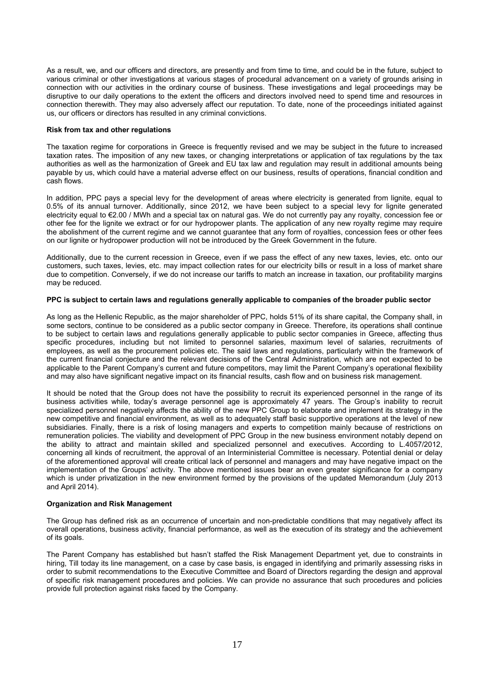As a result, we, and our officers and directors, are presently and from time to time, and could be in the future, subject to various criminal or other investigations at various stages of procedural advancement on a variety of grounds arising in connection with our activities in the ordinary course of business. These investigations and legal proceedings may be disruptive to our daily operations to the extent the officers and directors involved need to spend time and resources in connection therewith. They may also adversely affect our reputation. To date, none of the proceedings initiated against us, our officers or directors has resulted in any criminal convictions.

#### **Risk from tax and other regulations**

The taxation regime for corporations in Greece is frequently revised and we may be subject in the future to increased taxation rates. The imposition of any new taxes, or changing interpretations or application of tax regulations by the tax authorities as well as the harmonization of Greek and EU tax law and regulation may result in additional amounts being payable by us, which could have a material adverse effect on our business, results of operations, financial condition and cash flows.

In addition, PPC pays a special levy for the development of areas where electricity is generated from lignite, equal to 0.5% of its annual turnover. Additionally, since 2012, we have been subject to a special levy for lignite generated electricity equal to €2.00 / MWh and a special tax on natural gas. We do not currently pay any royalty, concession fee or other fee for the lignite we extract or for our hydropower plants. The application of any new royalty regime may require the abolishment of the current regime and we cannot guarantee that any form of royalties, concession fees or other fees on our lignite or hydropower production will not be introduced by the Greek Government in the future.

Additionally, due to the current recession in Greece, even if we pass the effect of any new taxes, levies, etc. onto our customers, such taxes, levies, etc. may impact collection rates for our electricity bills or result in a loss of market share due to competition. Conversely, if we do not increase our tariffs to match an increase in taxation, our profitability margins may be reduced.

#### **PPC is subject to certain laws and regulations generally applicable to companies of the broader public sector**

As long as the Hellenic Republic, as the major shareholder of PPC, holds 51% of its share capital, the Company shall, in some sectors, continue to be considered as a public sector company in Greece. Therefore, its operations shall continue to be subject to certain laws and regulations generally applicable to public sector companies in Greece, affecting thus specific procedures, including but not limited to personnel salaries, maximum level of salaries, recruitments of employees, as well as the procurement policies etc. The said laws and regulations, particularly within the framework of the current financial conjecture and the relevant decisions of the Central Administration, which are not expected to be applicable to the Parent Company's current and future competitors, may limit the Parent Company's operational flexibility and may also have significant negative impact on its financial results, cash flow and on business risk management.

It should be noted that the Group does not have the possibility to recruit its experienced personnel in the range of its business activities while, today's average personnel age is approximately 47 years. The Group's inability to recruit specialized personnel negatively affects the ability of the new PPC Group to elaborate and implement its strategy in the new competitive and financial environment, as well as to adequately staff basic supportive operations at the level of new subsidiaries. Finally, there is a risk of losing managers and experts to competition mainly because of restrictions on remuneration policies. The viability and development of PPC Group in the new business environment notably depend on the ability to attract and maintain skilled and specialized personnel and executives. According to L.4057/2012, concerning all kinds of recruitment, the approval of an Interministerial Committee is necessary. Potential denial or delay of the aforementioned approval will create critical lack of personnel and managers and may have negative impact on the implementation of the Groups' activity. The above mentioned issues bear an even greater significance for a company which is under privatization in the new environment formed by the provisions of the updated Memorandum (July 2013 and April 2014).

#### **Organization and Risk Management**

The Group has defined risk as an occurrence of uncertain and non-predictable conditions that may negatively affect its overall operations, business activity, financial performance, as well as the execution of its strategy and the achievement of its goals.

The Parent Company has established but hasn't staffed the Risk Management Department yet, due to constraints in hiring, Till today its line management, on a case by case basis, is engaged in identifying and primarily assessing risks in order to submit recommendations to the Executive Committee and Board of Directors regarding the design and approval of specific risk management procedures and policies. We can provide no assurance that such procedures and policies provide full protection against risks faced by the Company.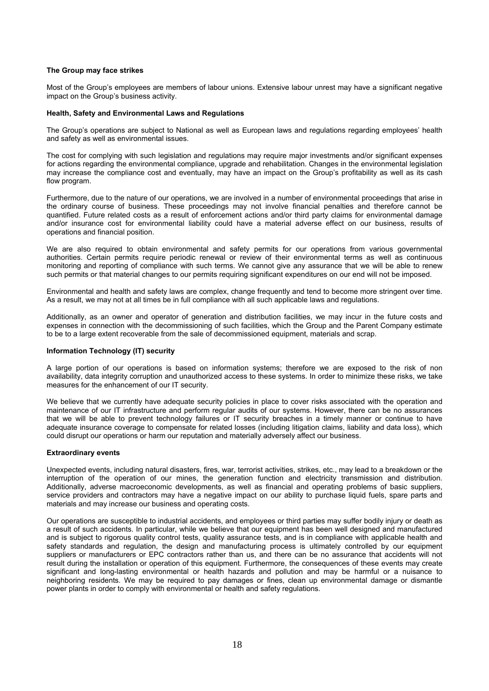#### **The Group may face strikes**

Most of the Group's employees are members of labour unions. Extensive labour unrest may have a significant negative impact on the Group's business activity.

#### **Health, Safety and Environmental Laws and Regulations**

The Group's operations are subject to National as well as European laws and regulations regarding employees' health and safety as well as environmental issues.

The cost for complying with such legislation and regulations may require major investments and/or significant expenses for actions regarding the environmental compliance, upgrade and rehabilitation. Changes in the environmental legislation may increase the compliance cost and eventually, may have an impact on the Group's profitability as well as its cash flow program.

Furthermore, due to the nature of our operations, we are involved in a number of environmental proceedings that arise in the ordinary course of business. These proceedings may not involve financial penalties and therefore cannot be quantified. Future related costs as a result of enforcement actions and/or third party claims for environmental damage and/or insurance cost for environmental liability could have a material adverse effect on our business, results of operations and financial position.

We are also required to obtain environmental and safety permits for our operations from various governmental authorities. Certain permits require periodic renewal or review of their environmental terms as well as continuous monitoring and reporting of compliance with such terms. We cannot give any assurance that we will be able to renew such permits or that material changes to our permits requiring significant expenditures on our end will not be imposed.

Environmental and health and safety laws are complex, change frequently and tend to become more stringent over time. As a result, we may not at all times be in full compliance with all such applicable laws and regulations.

Additionally, as an owner and operator of generation and distribution facilities, we may incur in the future costs and expenses in connection with the decommissioning of such facilities, which the Group and the Parent Company estimate to be to a large extent recoverable from the sale of decommissioned equipment, materials and scrap.

#### **Information Technology (IT) security**

A large portion of our operations is based on information systems; therefore we are exposed to the risk of non availability, data integrity corruption and unauthorized access to these systems. In order to minimize these risks, we take measures for the enhancement of our IT security.

We believe that we currently have adequate security policies in place to cover risks associated with the operation and maintenance of our IT infrastructure and perform regular audits of our systems. However, there can be no assurances that we will be able to prevent technology failures or IT security breaches in a timely manner or continue to have adequate insurance coverage to compensate for related losses (including litigation claims, liability and data loss), which could disrupt our operations or harm our reputation and materially adversely affect our business.

#### **Extraordinary events**

Unexpected events, including natural disasters, fires, war, terrorist activities, strikes, etc., may lead to a breakdown or the interruption of the operation of our mines, the generation function and electricity transmission and distribution. Additionally, adverse macroeconomic developments, as well as financial and operating problems of basic suppliers, service providers and contractors may have a negative impact on our ability to purchase liquid fuels, spare parts and materials and may increase our business and operating costs.

Our operations are susceptible to industrial accidents, and employees or third parties may suffer bodily injury or death as a result of such accidents. In particular, while we believe that our equipment has been well designed and manufactured and is subject to rigorous quality control tests, quality assurance tests, and is in compliance with applicable health and safety standards and regulation, the design and manufacturing process is ultimately controlled by our equipment suppliers or manufacturers or EPC contractors rather than us, and there can be no assurance that accidents will not result during the installation or operation of this equipment. Furthermore, the consequences of these events may create significant and long-lasting environmental or health hazards and pollution and may be harmful or a nuisance to neighboring residents. We may be required to pay damages or fines, clean up environmental damage or dismantle power plants in order to comply with environmental or health and safety regulations.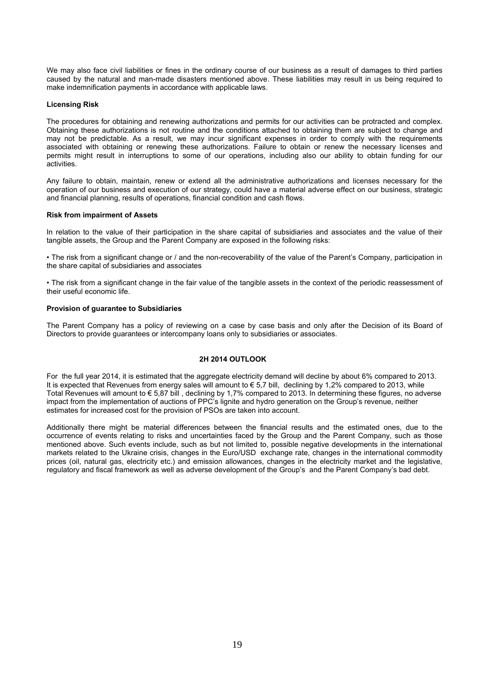We may also face civil liabilities or fines in the ordinary course of our business as a result of damages to third parties caused by the natural and man-made disasters mentioned above. These liabilities may result in us being required to make indemnification payments in accordance with applicable laws.

#### **Licensing Risk**

The procedures for obtaining and renewing authorizations and permits for our activities can be protracted and complex. Obtaining these authorizations is not routine and the conditions attached to obtaining them are subject to change and may not be predictable. As a result, we may incur significant expenses in order to comply with the requirements associated with obtaining or renewing these authorizations. Failure to obtain or renew the necessary licenses and permits might result in interruptions to some of our operations, including also our ability to obtain funding for our activities.

Any failure to obtain, maintain, renew or extend all the administrative authorizations and licenses necessary for the operation of our business and execution of our strategy, could have a material adverse effect on our business, strategic and financial planning, results of operations, financial condition and cash flows.

#### **Risk from impairment of Assets**

In relation to the value of their participation in the share capital of subsidiaries and associates and the value of their tangible assets, the Group and the Parent Company are exposed in the following risks:

• The risk from a significant change or / and the non-recoverability of the value of the Parent's Company, participation in the share capital of subsidiaries and associates

• The risk from a significant change in the fair value of the tangible assets in the context of the periodic reassessment of their useful economic life.

#### **Provision of guarantee to Subsidiaries**

The Parent Company has a policy of reviewing on a case by case basis and only after the Decision of its Board of Directors to provide guarantees or intercompany loans only to subsidiaries or associates.

### **2H 2014 OUTLOOK**

For the full year 2014, it is estimated that the aggregate electricity demand will decline by about 6% compared to 2013. It is expected that Revenues from energy sales will amount to € 5,7 bill, declining by 1,2% compared to 2013, while Total Revenues will amount to € 5,87 bill , declining by 1,7% compared to 2013. In determining these figures, no adverse impact from the implementation of auctions of PPC's lignite and hydro generation on the Group's revenue, neither estimates for increased cost for the provision of PSOs are taken into account.

Additionally there might be material differences between the financial results and the estimated ones, due to the occurrence of events relating to risks and uncertainties faced by the Group and the Parent Company, such as those mentioned above. Such events include, such as but not limited to, possible negative developments in the international markets related to the Ukraine crisis, changes in the Euro/USD exchange rate, changes in the international commodity prices (oil, natural gas, electricity etc.) and emission allowances, changes in the electricity market and the legislative, regulatory and fiscal framework as well as adverse development of the Group's and the Parent Company's bad debt.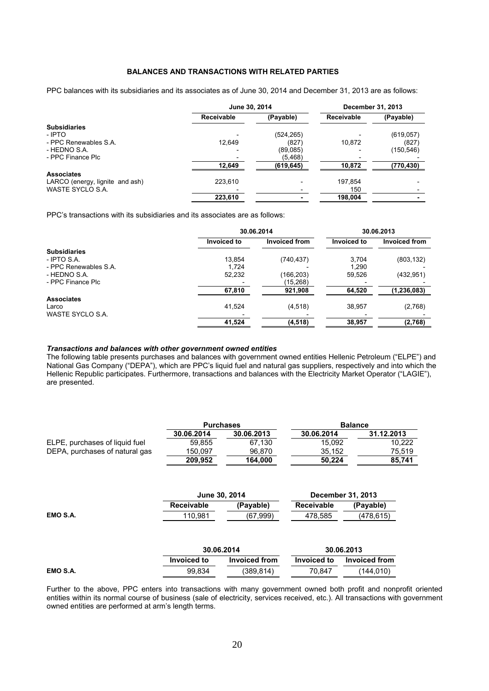### **BALANCES AND TRANSACTIONS WITH RELATED PARTIES**

PPC balances with its subsidiaries and its associates as of June 30, 2014 and December 31, 2013 are as follows:

|                                 | June 30, 2014     |            | December 31, 2013 |            |  |
|---------------------------------|-------------------|------------|-------------------|------------|--|
|                                 | <b>Receivable</b> | (Payable)  | <b>Receivable</b> | (Payable)  |  |
| <b>Subsidiaries</b>             |                   |            |                   |            |  |
| - IPTO                          |                   | (524, 265) |                   | (619, 057) |  |
| - PPC Renewables S.A.           | 12.649            | (827)      | 10.872            | (827)      |  |
| - HEDNO S.A.                    |                   | (89,085)   |                   | (150,546)  |  |
| - PPC Finance Plc               |                   | (5, 468)   |                   |            |  |
|                                 | 12,649            | (619, 645) | 10,872            | (770, 430) |  |
| <b>Associates</b>               |                   |            |                   |            |  |
| LARCO (energy, lignite and ash) | 223.610           |            | 197.854           |            |  |
| WASTE SYCLO S.A.                |                   |            | 150               |            |  |
|                                 | 223.610           |            | 198.004           |            |  |

PPC's transactions with its subsidiaries and its associates are as follows:

|                       | 30.06.2014         | 30.06.2013           |             |               |  |
|-----------------------|--------------------|----------------------|-------------|---------------|--|
|                       | <b>Invoiced to</b> | <b>Invoiced from</b> | Invoiced to | Invoiced from |  |
| <b>Subsidiaries</b>   |                    |                      |             |               |  |
| - IPTO S.A.           | 13.854             | (740, 437)           | 3.704       | (803, 132)    |  |
| - PPC Renewables S.A. | 1.724              |                      | 1.290       |               |  |
| - HEDNO S.A.          | 52,232             | (166,203)            | 59,526      | (432, 951)    |  |
| - PPC Finance Plc     |                    | (15,268)             |             |               |  |
|                       | 67,810             | 921,908              | 64,520      | (1, 236, 083) |  |
| <b>Associates</b>     |                    |                      |             |               |  |
| Larco                 | 41,524             | (4, 518)             | 38,957      | (2,768)       |  |
| WASTE SYCLO S.A.      |                    |                      |             |               |  |
|                       | 41,524             | (4, 518)             | 38,957      | (2,768)       |  |

#### *Transactions and balances with other government owned entities*

The following table presents purchases and balances with government owned entities Hellenic Petroleum ("ELPE") and National Gas Company ("DEPA"), which are PPC's liquid fuel and natural gas suppliers, respectively and into which the Hellenic Republic participates. Furthermore, transactions and balances with the Electricity Market Operator ("LAGIE"), are presented.

|                                | <b>Purchases</b> |            | <b>Balance</b> |            |  |
|--------------------------------|------------------|------------|----------------|------------|--|
|                                | 30.06.2014       | 30.06.2013 | 30.06.2014     | 31.12.2013 |  |
| ELPE, purchases of liquid fuel | 59.855           | 67.130     | 15.092         | 10.222     |  |
| DEPA, purchases of natural gas | 150.097          | 96.870     | 35.152         | 75.519     |  |
|                                | 209.952          | 164.000    | 50.224         | 85.741     |  |

|          |                    | June 30, 2014        | December 31, 2013  |                      |  |  |
|----------|--------------------|----------------------|--------------------|----------------------|--|--|
|          | <b>Receivable</b>  | (Payable)            | <b>Receivable</b>  | (Payable)            |  |  |
| EMO S.A. | 110,981            | (67, 999)            | 478,585            | (478, 615)           |  |  |
|          |                    |                      |                    |                      |  |  |
|          |                    | 30.06.2014           |                    | 30.06.2013           |  |  |
|          | <b>Invoiced to</b> | <b>Invoiced from</b> | <b>Invoiced to</b> | <b>Invoiced from</b> |  |  |

Further to the above, PPC enters into transactions with many government owned both profit and nonprofit oriented entities within its normal course of business (sale of electricity, services received, etc.). All transactions with government owned entities are performed at arm's length terms.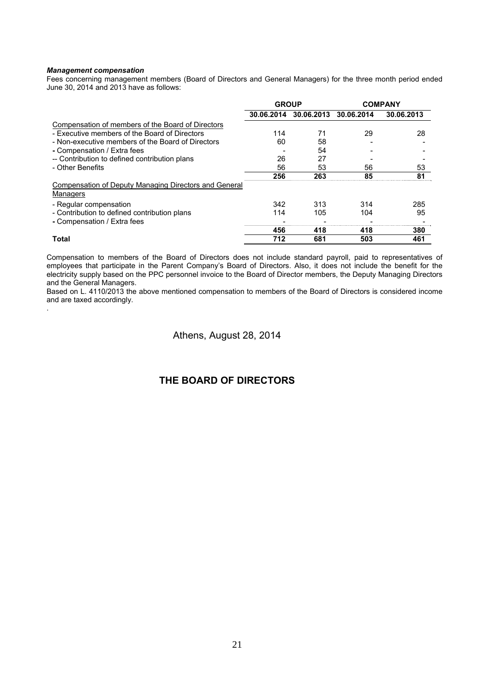#### *Management compensation*

.

Fees concerning management members (Board of Directors and General Managers) for the three month period ended June 30, 2014 and 2013 have as follows:

|                                                                   | <b>GROUP</b> |            | <b>COMPANY</b> |            |  |
|-------------------------------------------------------------------|--------------|------------|----------------|------------|--|
|                                                                   | 30.06.2014   | 30.06.2013 | 30.06.2014     | 30.06.2013 |  |
| Compensation of members of the Board of Directors                 |              |            |                |            |  |
| - Executive members of the Board of Directors                     | 114          | 71         | 29             | 28         |  |
| - Non-executive members of the Board of Directors                 | 60           | 58         |                |            |  |
| - Compensation / Extra fees                                       |              | 54         |                |            |  |
| -- Contribution to defined contribution plans                     | 26           | 27         |                |            |  |
| - Other Benefits                                                  | 56           | 53         | 56             | 53         |  |
|                                                                   | 256          | 263        | 85             | 81         |  |
| Compensation of Deputy Managing Directors and General<br>Managers |              |            |                |            |  |
| - Regular compensation                                            | 342          | 313        | 314            | 285        |  |
| - Contribution to defined contribution plans                      | 114          | 105        | 104            | 95         |  |
| - Compensation / Extra fees                                       |              |            |                |            |  |
|                                                                   | 456          | 418        | 418            | 380        |  |
| <b>Total</b>                                                      | 712          | 681        | 503            | 461        |  |

Compensation to members of the Board of Directors does not include standard payroll, paid to representatives of employees that participate in the Parent Company's Board of Directors. Also, it does not include the benefit for the electricity supply based on the PPC personnel invoice to the Board of Director members, the Deputy Managing Directors and the General Managers.

Based on L. 4110/2013 the above mentioned compensation to members of the Board of Directors is considered income and are taxed accordingly.

## Athens, August 28, 2014

## **THE BOARD OF DIRECTORS**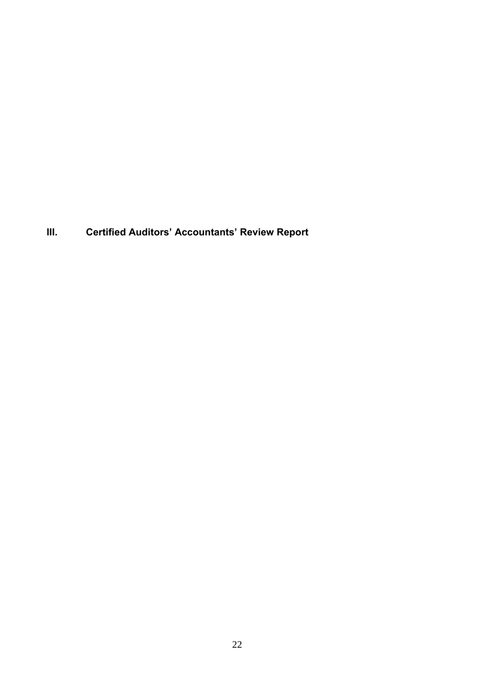**III. Certified Auditors' Accountants' Review Report**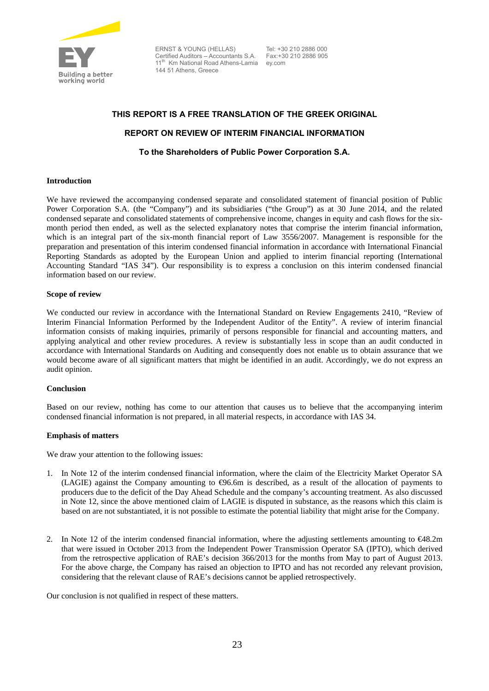

ERNST & YOUNG (HELLAS) Certified Auditors – Accountants S.A. 11<sup>th</sup> Km National Road Athens-Lamia 144 51 Athens, Greece

 Tel: +30 210 2886 000 Fax:+30 210 2886 905 ey.com

# **THIS REPORT IS A FREE TRANSLATION OF THE GREEK ORIGINAL REPORT ON REVIEW OF INTERIM FINANCIAL INFORMATION To the Shareholders of Public Power Corporation S.A.**

### **Introduction**

We have reviewed the accompanying condensed separate and consolidated statement of financial position of Public Power Corporation S.A. (the "Company") and its subsidiaries ("the Group") as at 30 June 2014, and the related condensed separate and consolidated statements of comprehensive income, changes in equity and cash flows for the sixmonth period then ended, as well as the selected explanatory notes that comprise the interim financial information, which is an integral part of the six-month financial report of Law 3556/2007. Management is responsible for the preparation and presentation of this interim condensed financial information in accordance with International Financial Reporting Standards as adopted by the European Union and applied to interim financial reporting (International Accounting Standard "IAS 34"). Our responsibility is to express a conclusion on this interim condensed financial information based on our review.

### **Scope of review**

We conducted our review in accordance with the International Standard on Review Engagements 2410, "Review of Interim Financial Information Performed by the Independent Auditor of the Entity". A review of interim financial information consists of making inquiries, primarily of persons responsible for financial and accounting matters, and applying analytical and other review procedures. A review is substantially less in scope than an audit conducted in accordance with International Standards on Auditing and consequently does not enable us to obtain assurance that we would become aware of all significant matters that might be identified in an audit. Accordingly, we do not express an audit opinion.

### **Conclusion**

Based on our review, nothing has come to our attention that causes us to believe that the accompanying interim condensed financial information is not prepared, in all material respects, in accordance with IAS 34.

### **Emphasis of matters**

We draw your attention to the following issues:

- 1. In Note 12 of the interim condensed financial information, where the claim of the Electricity Market Operator SA (LAGIE) against the Company amounting to  $\Theta$ 6.6m is described, as a result of the allocation of payments to producers due to the deficit of the Day Ahead Schedule and the company's accounting treatment. As also discussed in Note 12, since the above mentioned claim of LAGIE is disputed in substance, as the reasons which this claim is based on are not substantiated, it is not possible to estimate the potential liability that might arise for the Company.
- 2. In Note 12 of the interim condensed financial information, where the adjusting settlements amounting to €48.2m that were issued in October 2013 from the Independent Power Transmission Operator SA (IPTO), which derived from the retrospective application of RAE's decision 366/2013 for the months from May to part of August 2013. For the above charge, the Company has raised an objection to IPTO and has not recorded any relevant provision, considering that the relevant clause of RAE's decisions cannot be applied retrospectively.

Our conclusion is not qualified in respect of these matters.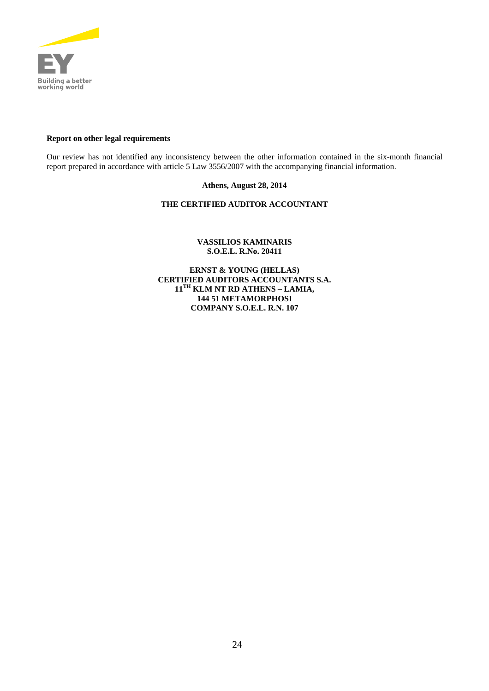

### **Report on other legal requirements**

Our review has not identified any inconsistency between the other information contained in the six-month financial report prepared in accordance with article 5 Law 3556/2007 with the accompanying financial information.

### **Athens, August 28, 2014**

## **THE CERTIFIED AUDITOR ACCOUNTANT**

### **VASSILIOS KAMINARIS S.O.E.L. R.No. 20411**

**ERNST & YOUNG (HELLAS) CERTIFIED AUDITORS ACCOUNTANTS S.A. 11TH KLM NT RD ATHENS – LAMIA, 144 51 METAMORPHOSI COMPANY S.O.E.L. R.N. 107**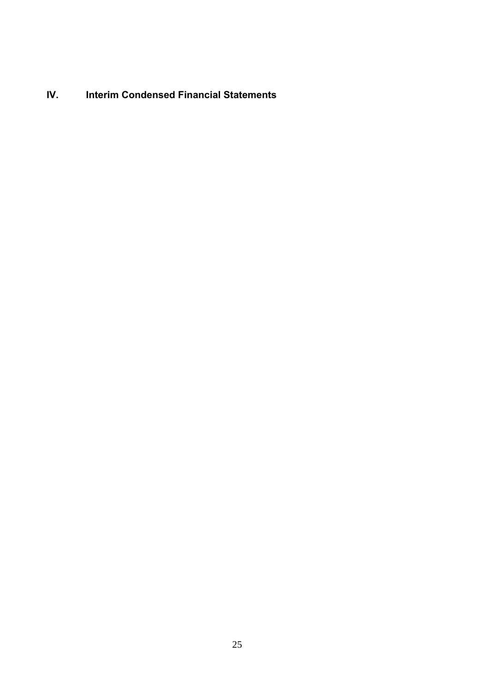**IV. Interim Condensed Financial Statements**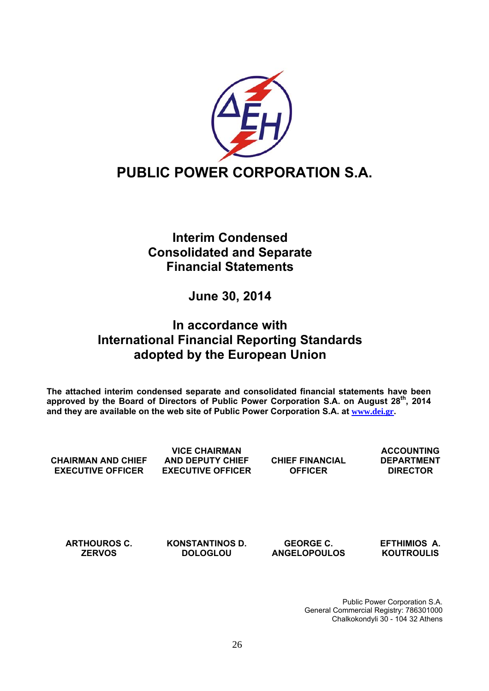

## **Interim Condensed Consolidated and Separate Financial Statements**

## **June 30, 2014**

## **In accordance with International Financial Reporting Standards adopted by the European Union**

**The attached interim condensed separate and consolidated financial statements have been**  approved by the Board of Directors of Public Power Corporation S.A. on August 28<sup>th</sup>, 2014 **and they are available on the web site of Public Power Corporation S.A. at www.dei.gr.** 

**CHAIRMAN AND CHIEF EXECUTIVE OFFICER** 

**VICE CHAIRMAN AND DEPUTY CHIEF EXECUTIVE OFFICER** 

**CHIEF FINANCIAL OFFICER** 

**ACCOUNTING DEPARTMENT DIRECTOR** 

**ARTHOUROS C. ZERVOS** 

**KONSTANTINOS D. DOLOGLOU** 

**GEORGE C. ANGELOPOULOS**  **EFTHIMIOS Α. KOUTROULIS** 

 Public Power Corporation S.A. General Commercial Registry: 786301000 Chalkokondyli 30 - 104 32 Athens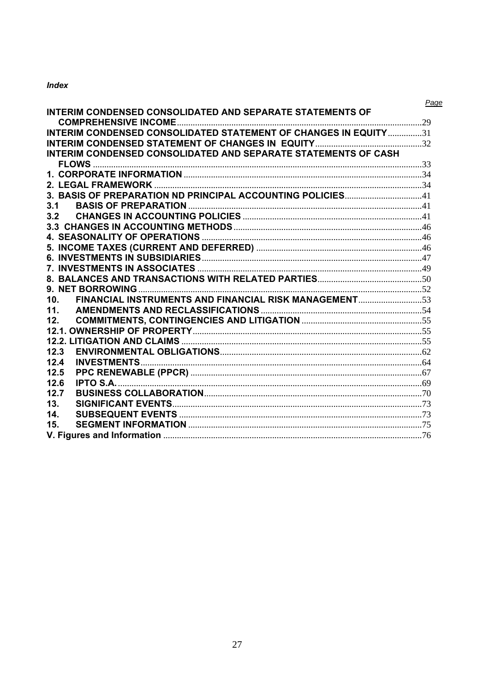## **Index**

|                                                                        | Page |
|------------------------------------------------------------------------|------|
| <b>INTERIM CONDENSED CONSOLIDATED AND SEPARATE STATEMENTS OF</b>       |      |
|                                                                        |      |
| <b>INTERIM CONDENSED CONSOLIDATED STATEMENT OF CHANGES IN EQUITY31</b> |      |
|                                                                        |      |
| INTERIM CONDENSED CONSOLIDATED AND SEPARATE STATEMENTS OF CASH         |      |
|                                                                        |      |
|                                                                        |      |
|                                                                        |      |
|                                                                        |      |
| 3.1                                                                    |      |
|                                                                        |      |
|                                                                        |      |
|                                                                        |      |
|                                                                        |      |
|                                                                        |      |
|                                                                        |      |
|                                                                        |      |
|                                                                        |      |
| 10 <sub>1</sub>                                                        |      |
| 11.                                                                    |      |
| 12.                                                                    |      |
|                                                                        |      |
|                                                                        |      |
| 12.3                                                                   |      |
| 12.4                                                                   |      |
| 12.5                                                                   |      |
| 126                                                                    |      |
| 12.7                                                                   |      |
| 13.                                                                    |      |
| 14.                                                                    |      |
| 15.                                                                    |      |
|                                                                        |      |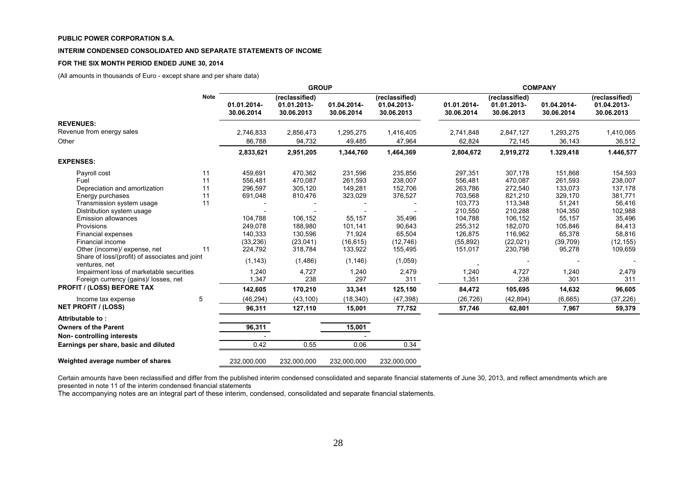#### **INTERIM CONDENSED CONSOLIDATED AND SEPARATE STATEMENTS OF INCOME**

#### **FOR THE SIX MONTH PERIOD ENDED JUNE 30, 2014**

(All amounts in thousands of Euro - except share and per share data)

|                                                                 |             | <b>GROUP</b>              |                                             |                           |                                             | <b>COMPANY</b>            |                                             |                           |                                             |
|-----------------------------------------------------------------|-------------|---------------------------|---------------------------------------------|---------------------------|---------------------------------------------|---------------------------|---------------------------------------------|---------------------------|---------------------------------------------|
|                                                                 | <b>Note</b> | 01.01.2014-<br>30.06.2014 | (reclassified)<br>01.01.2013-<br>30.06.2013 | 01.04.2014-<br>30.06.2014 | (reclassified)<br>01.04.2013-<br>30.06.2013 | 01.01.2014-<br>30.06.2014 | (reclassified)<br>01.01.2013-<br>30.06.2013 | 01.04.2014-<br>30.06.2014 | (reclassified)<br>01.04.2013-<br>30.06.2013 |
| <b>REVENUES:</b>                                                |             |                           |                                             |                           |                                             |                           |                                             |                           |                                             |
| Revenue from energy sales                                       |             | 2,746,833                 | 2,856,473                                   | 1,295,275                 | 1,416,405                                   | 2,741,848                 | 2,847,127                                   | 1,293,275                 | 1,410,065                                   |
| Other                                                           |             | 86,788                    | 94,732                                      | 49,485                    | 47,964                                      | 62,824                    | 72,145                                      | 36,143                    | 36,512                                      |
|                                                                 |             | 2,833,621                 | 2,951,205                                   | 1,344,760                 | 1,464,369                                   | 2,804,672                 | 2,919,272                                   | 1.329,418                 | 1.446,577                                   |
| <b>EXPENSES:</b>                                                |             |                           |                                             |                           |                                             |                           |                                             |                           |                                             |
| Payroll cost                                                    | 11          | 459,691                   | 470,362                                     | 231,596                   | 235,856                                     | 297,351                   | 307,178                                     | 151,868                   | 154,593                                     |
| Fuel                                                            | 11          | 556,481                   | 470,087                                     | 261,593                   | 238,007                                     | 556,481                   | 470,087                                     | 261,593                   | 238,007                                     |
| Depreciation and amortization                                   | 11          | 296,597                   | 305,120                                     | 149,281                   | 152,706                                     | 263,786                   | 272,540                                     | 133,073                   | 137,178                                     |
| Energy purchases                                                | 11          | 691,048                   | 810,476                                     | 323,029                   | 376,527                                     | 703,568                   | 821,210                                     | 329,170                   | 381,771                                     |
| Transmission system usage                                       | 11          |                           |                                             |                           |                                             | 103,773                   | 113,348                                     | 51,241                    | 56,416                                      |
| Distribution system usage                                       |             |                           |                                             |                           |                                             | 210,550                   | 210,288                                     | 104,350                   | 102,988                                     |
| <b>Emission allowances</b>                                      |             | 104,788                   | 106,152                                     | 55,157                    | 35,496                                      | 104,788                   | 106,152                                     | 55,157                    | 35,496                                      |
| Provisions                                                      |             | 249,078                   | 188,980                                     | 101,141                   | 90,643                                      | 255,312                   | 182,070                                     | 105,846                   | 84,413                                      |
| Financial expenses                                              |             | 140,333                   | 130,596                                     | 71,924                    | 65,504                                      | 126.875                   | 116,962                                     | 65,378                    | 58,816                                      |
| Financial income                                                |             | (33, 236)                 | (23, 041)                                   | (16, 615)                 | (12, 746)                                   | (55, 892)                 | (22, 021)                                   | (39,709)                  | (12, 155)                                   |
| Other (income)/ expense, net                                    | 11          | 224,792                   | 318,784                                     | 133,922                   | 155,495                                     | 151,017                   | 230,798                                     | 95,278                    | 109,659                                     |
| Share of loss/(profit) of associates and joint<br>ventures, net |             | (1, 143)                  | (1,486)                                     | (1, 146)                  | (1,059)                                     |                           |                                             |                           |                                             |
| Impairment loss of marketable securities                        |             | 1,240                     | 4,727                                       | 1,240                     | 2,479                                       | 1,240                     | 4,727                                       | 1,240                     | 2,479                                       |
| Foreign currency (gains)/ losses, net                           |             | 1,347                     | 238                                         | 297                       | 311                                         | 1,351                     | 238                                         | 301                       | 311                                         |
| <b>PROFIT / (LOSS) BEFORE TAX</b>                               |             | 142,605                   | 170,210                                     | 33,341                    | 125,150                                     | 84,472                    | 105,695                                     | 14,632                    | 96,605                                      |
| Income tax expense                                              | 5           | (46, 294)                 | (43, 100)                                   | (18, 340)                 | (47, 398)                                   | (26, 726)                 | (42, 894)                                   | (6,665)                   | (37, 226)                                   |
| <b>NET PROFIT / (LOSS)</b>                                      |             | 96,311                    | 127.110                                     | 15,001                    | 77,752                                      | 57,746                    | 62,801                                      | 7,967                     | 59,379                                      |
| Attributable to:                                                |             |                           |                                             |                           |                                             |                           |                                             |                           |                                             |
| <b>Owners of the Parent</b>                                     |             | 96,311                    |                                             | 15,001                    |                                             |                           |                                             |                           |                                             |
| Non-controlling interests                                       |             |                           |                                             |                           |                                             |                           |                                             |                           |                                             |
| Earnings per share, basic and diluted                           |             | 0.42                      | 0.55                                        | 0.06                      | 0.34                                        |                           |                                             |                           |                                             |
| Weighted average number of shares                               |             | 232,000,000               | 232,000,000                                 | 232,000,000               | 232,000,000                                 |                           |                                             |                           |                                             |

Certain amounts have been reclassified and differ from the published interim condensed consolidated and separate financial statements of June 30, 2013, and reflect amendments which are presented in note 11 of the interim condensed financial statements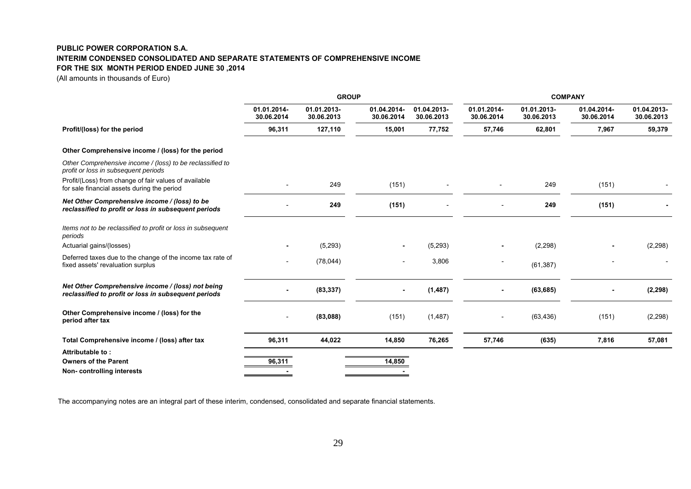### **PUBLIC POWER CORPORATION S.A. INTERIM CONDENSED CONSOLIDATED AND SEPARATE STATEMENTS OF COMPREHENSIVE INCOME FOR THE SIX MONTH PERIOD ENDED JUNE 30 ,2014**

(All amounts in thousands of Euro)

|                                                                                                           |                           | <b>GROUP</b>              |                           |                           | <b>COMPANY</b>            |                           |                           |                           |  |
|-----------------------------------------------------------------------------------------------------------|---------------------------|---------------------------|---------------------------|---------------------------|---------------------------|---------------------------|---------------------------|---------------------------|--|
|                                                                                                           | 01.01.2014-<br>30.06.2014 | 01.01.2013-<br>30.06.2013 | 01.04.2014-<br>30.06.2014 | 01.04.2013-<br>30.06.2013 | 01.01.2014-<br>30.06.2014 | 01.01.2013-<br>30.06.2013 | 01.04.2014-<br>30.06.2014 | 01.04.2013-<br>30.06.2013 |  |
| Profit/(loss) for the period                                                                              | 96,311                    | 127,110                   | 15,001                    | 77,752                    | 57,746                    | 62,801                    | 7,967                     | 59,379                    |  |
| Other Comprehensive income / (loss) for the period                                                        |                           |                           |                           |                           |                           |                           |                           |                           |  |
| Other Comprehensive income / (loss) to be reclassified to<br>profit or loss in subsequent periods         |                           |                           |                           |                           |                           |                           |                           |                           |  |
| Profit/(Loss) from change of fair values of available<br>for sale financial assets during the period      |                           | 249                       | (151)                     |                           |                           | 249                       | (151)                     |                           |  |
| Net Other Comprehensive income / (loss) to be<br>reclassified to profit or loss in subsequent periods     |                           | 249                       | (151)                     |                           |                           | 249                       | (151)                     |                           |  |
| Items not to be reclassified to profit or loss in subsequent<br>periods                                   |                           |                           |                           |                           |                           |                           |                           |                           |  |
| Actuarial gains/(losses)                                                                                  |                           | (5, 293)                  |                           | (5, 293)                  |                           | (2, 298)                  |                           | (2, 298)                  |  |
| Deferred taxes due to the change of the income tax rate of<br>fixed assets' revaluation surplus           |                           | (78, 044)                 |                           | 3,806                     |                           | (61, 387)                 |                           |                           |  |
| Net Other Comprehensive income / (loss) not being<br>reclassified to profit or loss in subsequent periods |                           | (83, 337)                 | ۰.                        | (1, 487)                  |                           | (63, 685)                 |                           | (2, 298)                  |  |
| Other Comprehensive income / (loss) for the<br>period after tax                                           |                           | (83,088)                  | (151)                     | (1, 487)                  |                           | (63, 436)                 | (151)                     | (2, 298)                  |  |
| Total Comprehensive income / (loss) after tax                                                             | 96,311                    | 44,022                    | 14,850                    | 76,265                    | 57,746                    | (635)                     | 7,816                     | 57,081                    |  |
| Attributable to:                                                                                          |                           |                           |                           |                           |                           |                           |                           |                           |  |
| <b>Owners of the Parent</b><br>Non-controlling interests                                                  | 96,311                    |                           | 14,850                    |                           |                           |                           |                           |                           |  |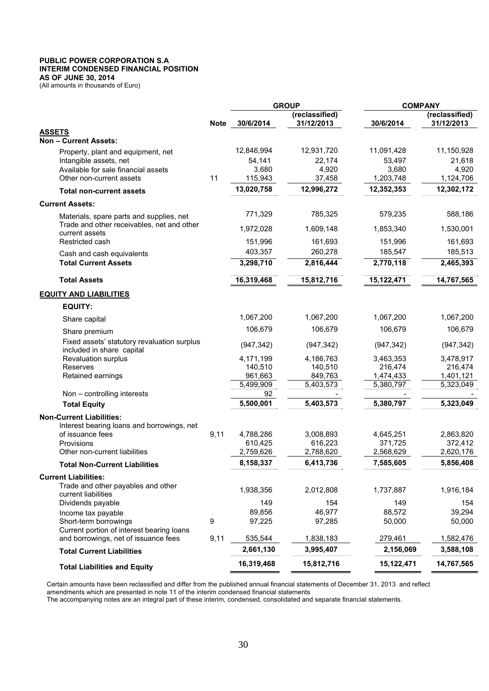#### **PUBLIC POWER CORPORATION S.A INTERIM CONDENSED FINANCIAL POSITION AS OF JUNE 30, 2014**

(All amounts in thousands of Euro)

|                                                                                        |             |                 | <b>GROUP</b>                 | <b>COMPANY</b> |                              |  |
|----------------------------------------------------------------------------------------|-------------|-----------------|------------------------------|----------------|------------------------------|--|
|                                                                                        | <b>Note</b> | 30/6/2014       | (reclassified)<br>31/12/2013 | 30/6/2014      | (reclassified)<br>31/12/2013 |  |
| <b>ASSETS</b>                                                                          |             |                 |                              |                |                              |  |
| <b>Non-Current Assets:</b>                                                             |             |                 |                              |                |                              |  |
| Property, plant and equipment, net                                                     |             | 12,846,994      | 12,931,720                   | 11,091,428     | 11,150,928                   |  |
| Intangible assets, net                                                                 |             | 54,141          | 22,174                       | 53,497         | 21,618                       |  |
| Available for sale financial assets                                                    |             | 3,680           | 4,920                        | 3,680          | 4,920                        |  |
| Other non-current assets                                                               | 11          | 115,943         | 37,458                       | 1,203,748      | 1,124,706                    |  |
| <b>Total non-current assets</b>                                                        |             | 13,020,758      | 12,996,272                   | 12,352,353     | 12,302,172                   |  |
| <b>Current Assets:</b>                                                                 |             |                 |                              |                |                              |  |
| Materials, spare parts and supplies, net<br>Trade and other receivables, net and other |             | 771,329         | 785,325                      | 579,235        | 588,186                      |  |
| current assets                                                                         |             | 1,972,028       | 1,609,148                    | 1,853,340      | 1,530,001                    |  |
| Restricted cash                                                                        |             | 151,996         | 161,693                      | 151,996        | 161,693                      |  |
| Cash and cash equivalents                                                              |             | 403,357         | 260,278                      | 185,547        | 185,513                      |  |
| <b>Total Current Assets</b>                                                            |             | 3,298,710       | 2,816,444                    | 2,770,118      | 2,465,393                    |  |
| <b>Total Assets</b>                                                                    |             | 16,319,468      | 15,812,716                   | 15,122,471     | 14,767,565                   |  |
| <b>EQUITY AND LIABILITIES</b>                                                          |             |                 |                              |                |                              |  |
| <b>EQUITY:</b>                                                                         |             |                 |                              |                |                              |  |
| Share capital                                                                          |             | 1,067,200       | 1,067,200                    | 1,067,200      | 1,067,200                    |  |
| Share premium                                                                          |             | 106,679         | 106,679                      | 106,679        | 106,679                      |  |
| Fixed assets' statutory revaluation surplus<br>included in share capital               |             | (947, 342)      | (947, 342)                   | (947, 342)     | (947, 342)                   |  |
| <b>Revaluation surplus</b>                                                             |             | 4,171,199       | 4,186,763                    | 3,463,353      | 3,478,917                    |  |
| Reserves                                                                               |             | 140,510         | 140,510                      | 216,474        | 216,474                      |  |
| Retained earnings                                                                      |             | 961,663         | 849,763                      | 1,474,433      | 1,401,121                    |  |
|                                                                                        |             | 5,499,909<br>92 | $\overline{5,}403,573$       | 5,380,797      | 5,323,049                    |  |
| Non - controlling interests<br><b>Total Equity</b>                                     |             | 5,500,001       | 5,403,573                    | 5,380,797      | 5,323,049                    |  |
|                                                                                        |             |                 |                              |                |                              |  |
| <b>Non-Current Liabilities:</b>                                                        |             |                 |                              |                |                              |  |
| Interest bearing loans and borrowings, net<br>of issuance fees                         | 9,11        | 4,788,286       | 3,008,893                    | 4,645,251      | 2,863,820                    |  |
| Provisions                                                                             |             | 610,425         | 616,223                      | 371,725        | 372,412                      |  |
| Other non-current liabilities                                                          |             | 2,759,626       | 2,788,620                    | 2,568,629      | 2,620,176                    |  |
| <b>Total Non-Current Liabilities</b>                                                   |             | 8,158,337       | 6,413,736                    | 7,585,605      | 5,856,408                    |  |
| <b>Current Liabilities:</b>                                                            |             |                 |                              |                |                              |  |
| Trade and other payables and other                                                     |             |                 |                              |                |                              |  |
| current liabilities                                                                    |             | 1,938,356       | 2,012,808                    | 1,737,887      | 1,916,184                    |  |
| Dividends payable                                                                      |             | 149             | 154                          | 149            | 154                          |  |
| Income tax payable                                                                     |             | 89,856          | 46,977                       | 88,572         | 39,294                       |  |
| Short-term borrowings                                                                  | 9           | 97,225          | 97,285                       | 50,000         | 50,000                       |  |
| Current portion of interest bearing loans<br>and borrowings, net of issuance fees      | 9,11        | 535,544         | 1,838,183                    | 279,461        | 1,582,476                    |  |
| <b>Total Current Liabilities</b>                                                       |             | 2,661,130       | 3,995,407                    | 2,156,069      | 3,588,108                    |  |
|                                                                                        |             |                 | 15,812,716                   |                |                              |  |
| <b>Total Liabilities and Equity</b>                                                    |             | 16,319,468      |                              | 15,122,471     | 14,767,565                   |  |

Certain amounts have been reclassified and differ from the published annual financial statements of December 31, 2013 and reflect amendments which are presented in note 11 of the interim condensed financial statements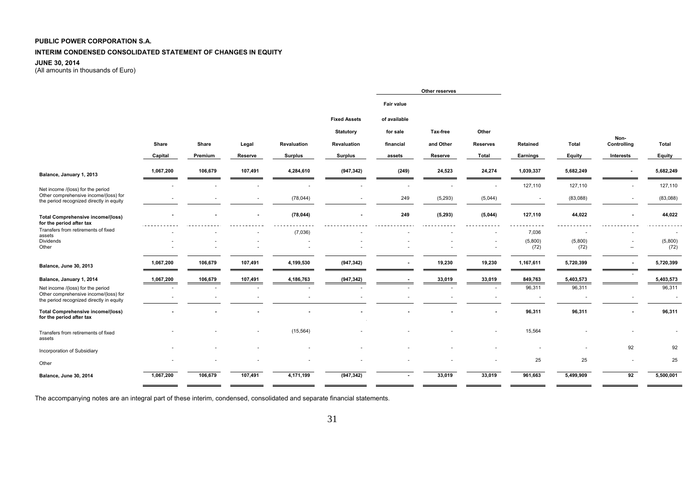#### **INTERIM CONDENSED CONSOLIDATED STATEMENT OF CHANGES IN EQUITY**

#### **JUNE 30, 2014**

(All amounts in thousands of Euro)

|                                                                                                                        |           |                          |                          |                |                     |                   | Other reserves |                          |                                    |                                    |                          |                  |
|------------------------------------------------------------------------------------------------------------------------|-----------|--------------------------|--------------------------|----------------|---------------------|-------------------|----------------|--------------------------|------------------------------------|------------------------------------|--------------------------|------------------|
|                                                                                                                        |           |                          |                          |                |                     | <b>Fair value</b> |                |                          |                                    |                                    |                          |                  |
|                                                                                                                        |           |                          |                          |                | <b>Fixed Assets</b> | of available      |                |                          |                                    |                                    |                          |                  |
|                                                                                                                        |           |                          |                          |                | <b>Statutory</b>    | for sale          | Tax-free       | Other                    |                                    |                                    |                          |                  |
|                                                                                                                        | Share     | Share                    | Legal                    | Revaluation    | Revaluation         | financial         | and Other      | <b>Reserves</b>          | Retained                           | Total                              | Non-<br>Controlling      | Total            |
|                                                                                                                        | Capital   | Premium                  | Reserve                  | <b>Surplus</b> | <b>Surplus</b>      | assets            | Reserve        | Total                    | Earnings                           | Equity                             | Interests                | Equity           |
| Balance, January 1, 2013                                                                                               | 1,067,200 | 106,679                  | 107,491                  | 4,284,610      | (947, 342)          | (249)             | 24,523         | 24,274                   | 1,039,337                          | 5,682,249                          | $\blacksquare$           | 5,682,249        |
| Net income /(loss) for the period                                                                                      |           |                          |                          |                |                     |                   |                |                          | 127,110                            | 127,110                            |                          | 127,110          |
| Other comprehensive income/(loss) for<br>the period recognized directly in equity                                      |           | $\overline{a}$           | $\sim$                   | (78, 044)      | $\overline{a}$      | 249               | (5, 293)       | (5,044)                  | $\sim$                             | (83,088)                           | $\overline{\phantom{a}}$ | (83,088)         |
| <b>Total Comprehensive income/(loss)</b><br>for the period after tax                                                   |           |                          | $\blacksquare$           | (78, 044)      |                     | 249               | (5, 293)       | (5,044)                  | 127,110                            | 44,022                             |                          | 44,022           |
| Transfers from retirements of fixed<br>assets                                                                          |           |                          |                          | (7,036)        |                     |                   |                |                          | 7,036                              |                                    |                          |                  |
| Dividends<br>Other                                                                                                     |           |                          |                          |                |                     |                   |                | $\overline{\phantom{a}}$ | (5,800)<br>(72)                    | (5,800)<br>(72)                    | $\overline{a}$           | (5,800)<br>(72)  |
| Balance, June 30, 2013                                                                                                 | 1,067,200 | 106,679                  | 107,491                  | 4,199,530      | (947, 342)          |                   | 19,230         | 19,230                   | 1,167,611                          | 5,720,399                          |                          | 5,720,399        |
| Balance, January 1, 2014                                                                                               | 1,067,200 | 106,679                  | 107,491                  | 4,186,763      | (947, 342)          |                   | 33,019         | 33,019                   | 849,763                            | 5,403,573                          |                          | 5,403,573        |
| Net income /(loss) for the period<br>Other comprehensive income/(loss) for<br>the period recognized directly in equity |           | $\overline{\phantom{a}}$ | $\overline{\phantom{a}}$ |                |                     |                   |                |                          | 96,311<br>$\overline{\phantom{a}}$ | 96,311<br>$\overline{\phantom{a}}$ |                          | 96,311<br>$\sim$ |
| <b>Total Comprehensive income/(loss)</b><br>for the period after tax                                                   |           |                          |                          |                |                     |                   |                |                          | 96,311                             | 96,311                             |                          | 96,311           |
| Transfers from retirements of fixed<br>assets                                                                          |           |                          |                          | (15, 564)      |                     |                   |                |                          | 15,564                             |                                    |                          |                  |
| Incorporation of Subsidiary                                                                                            |           |                          |                          |                |                     |                   |                |                          |                                    |                                    | 92                       | 92               |
| Other                                                                                                                  |           |                          |                          |                |                     |                   |                |                          | 25                                 | 25                                 |                          | 25               |
| Balance, June 30, 2014                                                                                                 | 1,067,200 | 106,679                  | 107,491                  | 4,171,199      | (947, 342)          |                   | 33,019         | 33,019                   | 961,663                            | 5,499,909                          | 92                       | 5,500,001        |
|                                                                                                                        |           |                          |                          |                |                     |                   |                |                          |                                    |                                    |                          |                  |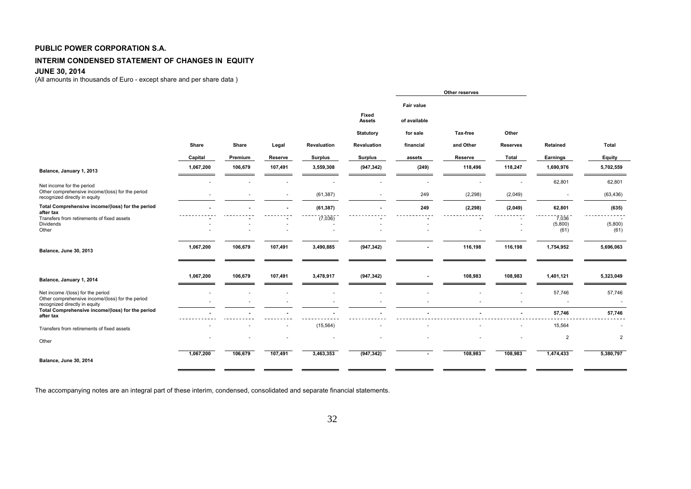#### **INTERIM CONDENSED STATEMENT OF CHANGES IN EQUITY**

#### **JUNE 30, 2014**

(All amounts in thousands of Euro - except share and per share data )

|                                                                                   |           |         |         |                |                        |                                   | Other reserves |                 |                          |                 |
|-----------------------------------------------------------------------------------|-----------|---------|---------|----------------|------------------------|-----------------------------------|----------------|-----------------|--------------------------|-----------------|
|                                                                                   |           |         |         |                | Fixed<br><b>Assets</b> | <b>Fair value</b><br>of available |                |                 |                          |                 |
|                                                                                   |           |         |         |                | <b>Statutory</b>       | for sale                          | Tax-free       | Other           |                          |                 |
|                                                                                   | Share     | Share   | Legal   | Revaluation    | Revaluation            | financial                         | and Other      | <b>Reserves</b> | Retained                 | Total           |
|                                                                                   | Capital   | Premium | Reserve | <b>Surplus</b> | <b>Surplus</b>         | assets                            | Reserve        | Total           | Earnings                 | Equity          |
| Balance, January 1, 2013                                                          | 1,067,200 | 106,679 | 107,491 | 3,559,308      | (947, 342)             | (249)                             | 118,496        | 118,247         | 1,690,976                | 5,702,559       |
| Net income for the period                                                         |           |         |         |                |                        |                                   |                |                 | 62,801                   | 62,801          |
| Other comprehensive income/(loss) for the period<br>recognized directly in equity |           |         |         | (61, 387)      |                        | 249                               | (2, 298)       | (2,049)         |                          | (63, 436)       |
| Total Comprehensive income/(loss) for the period<br>after tax                     |           |         |         | (61, 387)      |                        | 249                               | (2, 298)       | (2,049)         | 62,801                   | (635)           |
| Transfers from retirements of fixed assets<br>Dividends<br>Other                  |           |         |         | (7,036)        |                        |                                   |                |                 | 7,036<br>(5,800)<br>(61) | (5,800)<br>(61) |
| Balance, June 30, 2013                                                            | 1,067,200 | 106,679 | 107,491 | 3,490,885      | (947, 342)             |                                   | 116,198        | 116,198         | 1,754,952                | 5,696,063       |
| Balance, January 1, 2014                                                          | 1,067,200 | 106,679 | 107,491 | 3,478,917      | (947, 342)             |                                   | 108,983        | 108,983         | 1,401,121                | 5,323,049       |
| Net income /(loss) for the period                                                 |           |         |         |                |                        |                                   |                |                 | 57,746                   | 57,746          |
| Other comprehensive income/(loss) for the period<br>recognized directly in equity |           |         |         |                |                        |                                   |                |                 |                          | $\blacksquare$  |
| Total Comprehensive income/(loss) for the period<br>after tax                     |           |         |         |                |                        |                                   |                |                 | 57,746                   | 57,746          |
| Transfers from retirements of fixed assets                                        |           |         |         | (15, 564)      |                        |                                   |                |                 | 15,564                   |                 |
| Other                                                                             |           |         |         |                |                        |                                   |                |                 | $\overline{2}$           | $\overline{2}$  |
| Balance, June 30, 2014                                                            | 1,067,200 | 106,679 | 107,491 | 3,463,353      | (947, 342)             | $\sim$                            | 108,983        | 108,983         | 1,474,433                | 5,380,797       |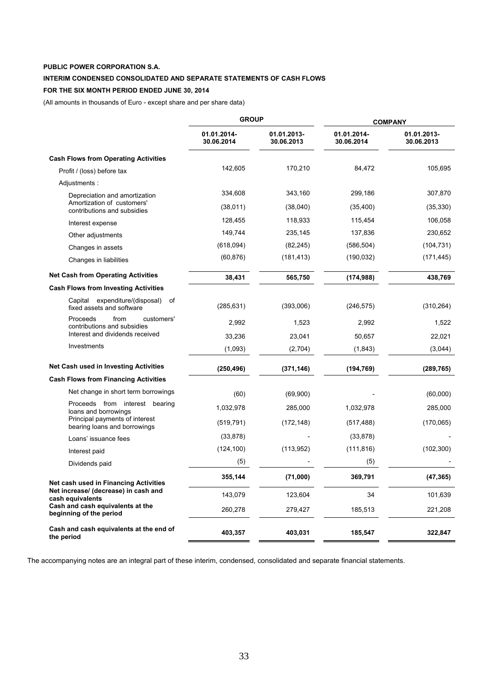### **INTERIM CONDENSED CONSOLIDATED AND SEPARATE STATEMENTS OF CASH FLOWS**

## **FOR THE SIX MONTH PERIOD ENDED JUNE 30, 2014**

(All amounts in thousands of Euro - except share and per share data)

|                                                                   | <b>GROUP</b>              |                           | <b>COMPANY</b>            |                           |  |  |
|-------------------------------------------------------------------|---------------------------|---------------------------|---------------------------|---------------------------|--|--|
|                                                                   | 01.01.2014-<br>30.06.2014 | 01.01.2013-<br>30.06.2013 | 01.01.2014-<br>30.06.2014 | 01.01.2013-<br>30.06.2013 |  |  |
| <b>Cash Flows from Operating Activities</b>                       |                           |                           |                           |                           |  |  |
| Profit / (loss) before tax                                        | 142,605                   | 170,210                   | 84,472                    | 105,695                   |  |  |
| Adjustments:                                                      |                           |                           |                           |                           |  |  |
| Depreciation and amortization                                     | 334,608                   | 343,160                   | 299,186                   | 307,870                   |  |  |
| Amortization of customers'<br>contributions and subsidies         | (38,011)                  | (38,040)                  | (35, 400)                 | (35, 330)                 |  |  |
| Interest expense                                                  | 128,455                   | 118,933                   | 115,454                   | 106,058                   |  |  |
| Other adjustments                                                 | 149,744                   | 235,145                   | 137,836                   | 230,652                   |  |  |
| Changes in assets                                                 | (618,094)                 | (82, 245)                 | (586, 504)                | (104, 731)                |  |  |
| Changes in liabilities                                            | (60, 876)                 | (181, 413)                | (190, 032)                | (171, 445)                |  |  |
| <b>Net Cash from Operating Activities</b>                         | 38,431                    | 565,750                   | (174, 988)                | 438,769                   |  |  |
| <b>Cash Flows from Investing Activities</b>                       |                           |                           |                           |                           |  |  |
| Capital expenditure/(disposal)<br>of<br>fixed assets and software | (285, 631)                | (393,006)                 | (246, 575)                | (310, 264)                |  |  |
| Proceeds<br>from<br>customers'<br>contributions and subsidies     | 2,992                     | 1,523                     | 2,992                     | 1,522                     |  |  |
| Interest and dividends received                                   | 33,236                    | 23,041                    | 50,657                    | 22,021                    |  |  |
| Investments                                                       | (1,093)                   | (2,704)                   | (1,843)                   | (3,044)                   |  |  |
| <b>Net Cash used in Investing Activities</b>                      | (250, 496)                | (371, 146)                | (194, 769)                | (289, 765)                |  |  |
| <b>Cash Flows from Financing Activities</b>                       |                           |                           |                           |                           |  |  |
| Net change in short term borrowings                               | (60)                      | (69,900)                  |                           | (60,000)                  |  |  |
| Proceeds from interest bearing<br>loans and borrowings            | 1,032,978                 | 285,000                   | 1,032,978                 | 285,000                   |  |  |
| Principal payments of interest<br>bearing loans and borrowings    | (519, 791)                | (172, 148)                | (517, 488)                | (170,065)                 |  |  |
| Loans' issuance fees                                              | (33, 878)                 |                           | (33, 878)                 |                           |  |  |
| Interest paid                                                     | (124, 100)                | (113, 952)                | (111, 816)                | (102, 300)                |  |  |
| Dividends paid                                                    | (5)                       |                           | (5)                       |                           |  |  |
| Net cash used in Financing Activities                             | 355,144                   | (71,000)                  | 369,791                   | (47, 365)                 |  |  |
| Net increase/ (decrease) in cash and<br>cash equivalents          | 143,079                   | 123,604                   | 34                        | 101,639                   |  |  |
| Cash and cash equivalents at the<br>beginning of the period       | 260,278                   | 279,427                   | 185,513                   | 221,208                   |  |  |
| Cash and cash equivalents at the end of<br>the period             | 403,357                   | 403,031                   | 185,547                   | 322,847                   |  |  |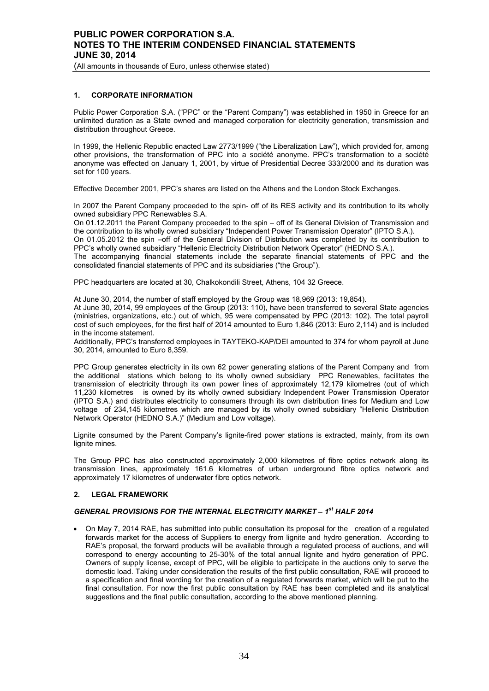## **PUBLIC POWER CORPORATION S.A. NOTES TO THE INTERIM CONDENSED FINANCIAL STATEMENTS JUNE 30, 2014**

(All amounts in thousands of Euro, unless otherwise stated)

#### **1. CORPORATE INFORMATION**

Public Power Corporation S.A. ("PPC" or the "Parent Company") was established in 1950 in Greece for an unlimited duration as a State owned and managed corporation for electricity generation, transmission and distribution throughout Greece.

In 1999, the Hellenic Republic enacted Law 2773/1999 ("the Liberalization Law"), which provided for, among other provisions, the transformation of PPC into a société anonyme. PPC's transformation to a société anonyme was effected on January 1, 2001, by virtue of Presidential Decree 333/2000 and its duration was set for 100 years.

Effective December 2001, PPC's shares are listed on the Athens and the London Stock Exchanges.

In 2007 the Parent Company proceeded to the spin- off of its RES activity and its contribution to its wholly owned subsidiary PPC Renewables S.A.

On 01.12.2011 the Parent Company proceeded to the spin – off of its General Division of Transmission and the contribution to its wholly owned subsidiary "Independent Power Transmission Operator" (IPTO S.A.).

On 01.05.2012 the spin –off of the General Division of Distribution was completed by its contribution to PPC's wholly owned subsidiary "Hellenic Electricity Distribution Network Operator" (HEDNO S.A.).

The accompanying financial statements include the separate financial statements of PPC and the consolidated financial statements of PPC and its subsidiaries ("the Group").

PPC headquarters are located at 30, Chalkokondili Street, Athens, 104 32 Greece.

At June 30, 2014, the number of staff employed by the Group was 18,969 (2013: 19,854).

At June 30, 2014, 99 employees of the Group (2013: 110), have been transferred to several State agencies (ministries, organizations, etc.) out of which, 95 were compensated by PPC (2013: 102). The total payroll cost of such employees, for the first half of 2014 amounted to Euro 1,846 (2013: Euro 2,114) and is included in the income statement.

Additionally, PPC's transferred employees in TAYTEKO-KAP/DEI amounted to 374 for whom payroll at June 30, 2014, amounted to Euro 8,359.

PPC Group generates electricity in its own 62 power generating stations of the Parent Company and from the additional stations which belong to its wholly owned subsidiary PPC Renewables, facilitates the transmission of electricity through its own power lines of approximately 12,179 kilometres (out of which 11,230 kilometres is owned by its wholly owned subsidiary Independent Power Transmission Operator (IPTO S.A.) and distributes electricity to consumers through its own distribution lines for Medium and Low voltage of 234,145 kilometres which are managed by its wholly owned subsidiary "Hellenic Distribution Network Operator (HEDNO S.A.)" (Medium and Low voltage).

Lignite consumed by the Parent Company's lignite-fired power stations is extracted, mainly, from its own lignite mines.

The Group PPC has also constructed approximately 2,000 kilometres of fibre optics network along its transmission lines, approximately 161.6 kilometres of urban underground fibre optics network and approximately 17 kilometres of underwater fibre optics network.

#### **2. LEGAL FRAMEWORK**

#### *GENERAL PROVISIONS FOR THE INTERNAL ELECTRICITY MARKET – 1st HALF 2014*

• On May 7, 2014 RAE, has submitted into public consultation its proposal for the creation of a regulated forwards market for the access of Suppliers to energy from lignite and hydro generation. According to RAE's proposal, the forward products will be available through a regulated process of auctions, and will correspond to energy accounting to 25-30% of the total annual lignite and hydro generation of PPC. Owners of supply license, except of PPC, will be eligible to participate in the auctions only to serve the domestic load. Taking under consideration the results of the first public consultation, RAE will proceed to a specification and final wording for the creation of a regulated forwards market, which will be put to the final consultation. For now the first public consultation by RAE has been completed and its analytical suggestions and the final public consultation, according to the above mentioned planning.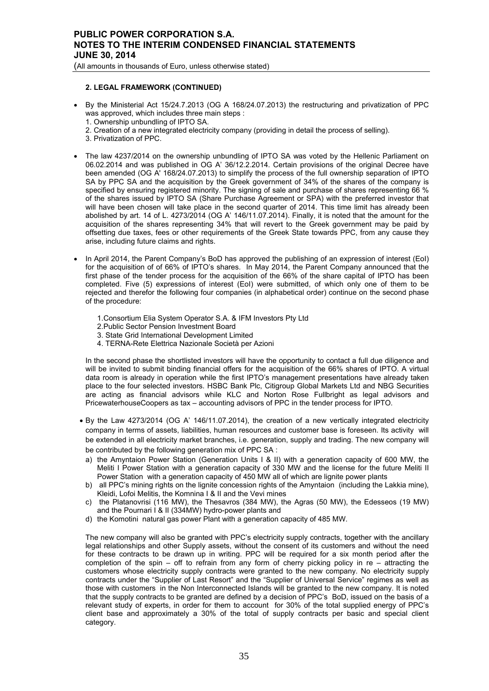## **PUBLIC POWER CORPORATION S.A. NOTES TO THE INTERIM CONDENSED FINANCIAL STATEMENTS JUNE 30, 2014**

(All amounts in thousands of Euro, unless otherwise stated)

#### **2. LEGAL FRAMEWORK (CONTINUED)**

- By the Ministerial Act 15/24.7.2013 (OG A 168/24.07.2013) the restructuring and privatization of PPC was approved, which includes three main steps :
	- 1. Ownership unbundling of IPTO SA.
	- 2. Creation of a new integrated electricity company (providing in detail the process of selling).
	- 3. Privatization of PPC.
- The law 4237/2014 on the ownership unbundling of IPTO SA was voted by the Hellenic Parliament on 06.02.2014 and was published in OG A' 36/12.2.2014. Certain provisions of the original Decree have been amended (OG A' 168/24.07.2013) to simplify the process of the full ownership separation of IPTO SA by PPC SA and the acquisition by the Greek government of 34% of the shares of the company is specified by ensuring registered minority. Τhe signing of sale and purchase of shares representing 66 % of the shares issued by IPTO SA (Share Purchase Agreement or SPA) with the preferred investor that will have been chosen will take place in the second quarter of 2014. This time limit has already been abolished by art. 14 of L. 4273/2014 (OG A' 146/11.07.2014). Finally, it is noted that the amount for the acquisition of the shares representing 34% that will revert to the Greek government may be paid by offsetting due taxes, fees or other requirements of the Greek State towards PPC, from any cause they arise, including future claims and rights.
- In April 2014, the Parent Company's BoD has approved the publishing of an expression of interest (EoI) for the acquisition of of 66% of IPTO's shares. In May 2014, the Parent Company announced that the first phase of the tender process for the acquisition of the 66% of the share capital of IPTO has been completed. Five (5) expressions of interest (EoI) were submitted, of which only one of them to be rejected and therefor the following four companies (in alphabetical order) continue on the second phase of the procedure:
	- 1. Consortium Elia System Operator S.A. & IFM Investors Pty Ltd
	- 2. Public Sector Pension Investment Board
	- 3.State Grid International Development Limited
	- 4.TERNA-Rete Elettrica Nazionale Società per Azioni

In the second phase the shortlisted investors will have the opportunity to contact a full due diligence and will be invited to submit binding financial offers for the acquisition of the 66% shares of IPTO. A virtual data room is already in operation while the first IPTO's management presentations have already taken place to the four selected investors. HSBC Bank Plc, Citigroup Global Markets Ltd and NBG Securities are acting as financial advisors while KLC and Norton Rose Fullbright as legal advisors and PricewaterhouseCoopers as tax – accounting advisors of PPC in the tender process for IPTO.

- By the Law 4273/2014 (OG A' 146/11.07.2014), the creation of a new vertically integrated electricity company in terms of assets, liabilities, human resources and customer base is foreseen. Its activity will be extended in all electricity market branches, i.e. generation, supply and trading. The new company will be contributed by the following generation mix of PPC SA :
- a) the Amyntaion Power Station (Generation Units I & II) with a generation capacity of 600 MW, the Meliti I Power Station with a generation capacity of 330 MW and the license for the future Meliti II Power Station with a generation capacity of 450 MW all of which are lignite power plants
- b) all PPC's mining rights on the lignite concession rights of the Amyntaion (including the Lakkia mine), Kleidi, Lofoi Melitis, the Komnina I & II and the Vevi mines
- c) the Platanovrisi (116 MW), the Thesavros (384 MW), the Agras (50 MW), the Edesseos (19 MW) and the Pournari I & II (334MW) hydro-power plants and
- d) the Komotini natural gas power Plant with a generation capacity of 485 MW.

The new company will also be granted with PPC's electricity supply contracts, together with the ancillary legal relationships and other Supply assets, without the consent of its customers and without the need for these contracts to be drawn up in writing. PPC will be required for a six month period after the completion of the spin – off to refrain from any form of cherry picking policy in re – attracting the customers whose electricity supply contracts were granted to the new company. No electricity supply contracts under the "Supplier of Last Resort" and the "Supplier of Universal Service" regimes as well as those with customers in the Non Interconnected Islands will be granted to the new company. It is noted that the supply contracts to be granted are defined by a decision of PPC's BoD, issued on the basis of a relevant study of experts, in order for them to account for 30% of the total supplied energy of PPC's client base and approximately a 30% of the total of supply contracts per basic and special client category.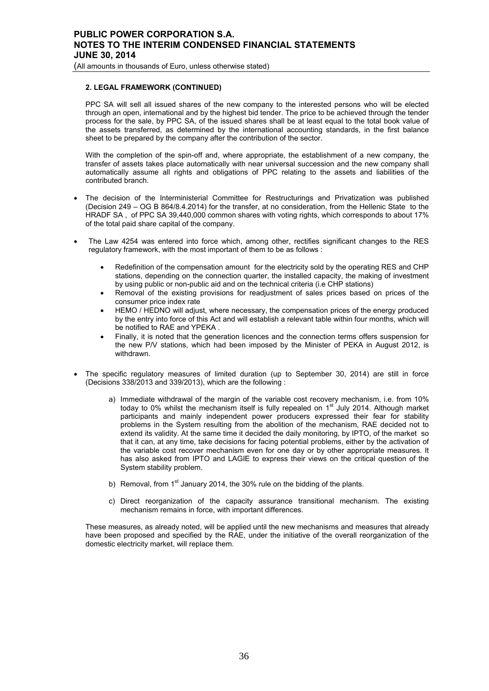(All amounts in thousands of Euro, unless otherwise stated)

#### **2. LEGAL FRAMEWORK (CONTINUED)**

PPC SA will sell all issued shares of the new company to the interested persons who will be elected through an open, international and by the highest bid tender. The price to be achieved through the tender process for the sale, by PPC SA, of the issued shares shall be at least equal to the total book value of the assets transferred, as determined by the international accounting standards, in the first balance sheet to be prepared by the company after the contribution of the sector.

With the completion of the spin-off and, where appropriate, the establishment of a new company, the transfer of assets takes place automatically with near universal succession and the new company shall automatically assume all rights and obligations of PPC relating to the assets and liabilities of the contributed branch.

- The decision of the Interministerial Committee for Restructurings and Privatization was published (Decision 249 – OG B 864/8.4.2014) for the transfer, at no consideration, from the Hellenic State to the HRADF SA , of PPC SA 39,440,000 common shares with voting rights, which corresponds to about 17% of the total paid share capital of the company.
- The Law 4254 was entered into force which, among other, rectifies significant changes to the RES regulatory framework, with the most important of them to be as follows :
	- Redefinition of the compensation amount for the electricity sold by the operating RES and CHP stations, depending on the connection quarter, the installed capacity, the making of investment by using public or non-public aid and on the technical criteria (i.e CHP stations)
	- Removal of the existing provisions for readjustment of sales prices based on prices of the consumer price index rate
	- HEMO / HEDNO will adjust, where necessary, the compensation prices of the energy produced by the entry into force of this Act and will establish a relevant table within four months, which will be notified to RAE and YPEKA .
	- Finally, it is noted that the generation licences and the connection terms offers suspension for the new P/V stations, which had been imposed by the Minister of PEKA in August 2012, is withdrawn.
- The specific regulatory measures of limited duration (up to September 30, 2014) are still in force (Decisions 338/2013 and 339/2013), which are the following :
	- a) Immediate withdrawal of the margin of the variable cost recovery mechanism, i.e. from 10% today to 0% whilst the mechanism itself is fully repealed on  $1<sup>st</sup>$  July 2014. Although market participants and mainly independent power producers expressed their fear for stability problems in the System resulting from the abolition of the mechanism, RAE decided not to extend its validity. At the same time it decided the daily monitoring, by IPTO, of the market so that it can, at any time, take decisions for facing potential problems, either by the activation of the variable cost recover mechanism even for one day or by other appropriate measures. It has also asked from IPTO and LAGIE to express their views on the critical question of the System stability problem.
	- b) Removal, from  $1<sup>st</sup>$  January 2014, the 30% rule on the bidding of the plants.
	- c) Direct reorganization of the capacity assurance transitional mechanism. The existing mechanism remains in force, with important differences.

These measures, as already noted, will be applied until the new mechanisms and measures that already have been proposed and specified by the RAE, under the initiative of the overall reorganization of the domestic electricity market, will replace them.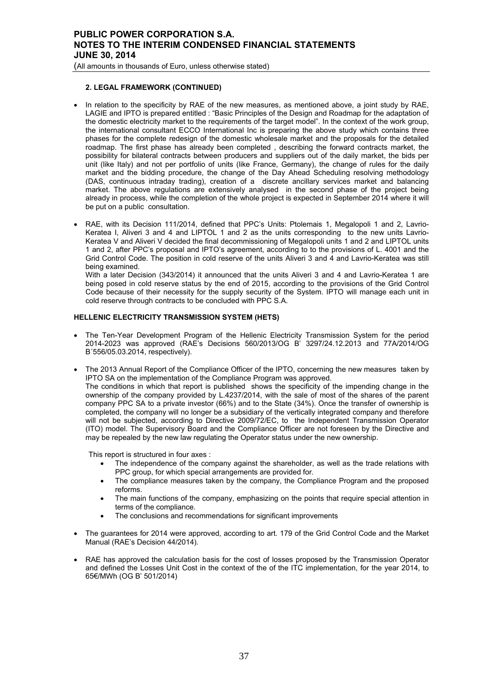(All amounts in thousands of Euro, unless otherwise stated)

## **2. LEGAL FRAMEWORK (CONTINUED)**

- In relation to the specificity by RAE of the new measures, as mentioned above, a joint study by RAE, LAGIE and IPTO is prepared entitled : "Basic Principles of the Design and Roadmap for the adaptation of the domestic electricity market to the requirements of the target model". In the context of the work group, the international consultant ECCO International Inc is preparing the above study which contains three phases for the complete redesign of the domestic wholesale market and the proposals for the detailed roadmap. The first phase has already been completed , describing the forward contracts market, the possibility for bilateral contracts between producers and suppliers out of the daily market, the bids per unit (like Italy) and not per portfolio of units (like France, Germany), the change of rules for the daily market and the bidding procedure, the change of the Day Ahead Scheduling resolving methodology (DAS, continuous intraday trading), creation of a discrete ancillary services market and balancing market. The above regulations are extensively analysed in the second phase of the project being already in process, while the completion of the whole project is expected in September 2014 where it will be put on a public consultation.
- RAE, with its Decision 111/2014, defined that PPC's Units: Ptolemais 1, Megalopoli 1 and 2, Lavrio-Keratea I, Aliveri 3 and 4 and LIPTOL 1 and 2 as the units corresponding to the new units Lavrio-Keratea V and Aliveri V decided the final decommissioning of Megalopoli units 1 and 2 and LIPTOL units 1 and 2, after PPC's proposal and IPTO's agreement, according to to the provisions of L. 4001 and the Grid Control Code. The position in cold reserve of the units Aliveri 3 and 4 and Lavrio-Keratea was still being examined.

With a later Decision (343/2014) it announced that the units Aliveri 3 and 4 and Lavrio-Keratea 1 are being posed in cold reserve status by the end of 2015, according to the provisions of the Grid Control Code because of their necessity for the supply security of the System. IPTO will manage each unit in cold reserve through contracts to be concluded with PPC S.A.

# **HELLENIC ELECTRICITY TRANSMISSION SYSTEM (HETS)**

- The Ten-Year Development Program of the Hellenic Electricity Transmission System for the period 2014-2023 was approved (RAE's Decisions 560/2013/OG B' 3297/24.12.2013 and 77A/2014/OG Β΄556/05.03.2014, respectively).
- The 2013 Annual Report of the Compliance Officer of the IPTO, concerning the new measures taken by IPTO SA on the implementation of the Compliance Program was approved. The conditions in which that report is published shows the specificity of the impending change in the ownership of the company provided by L.4237/2014, with the sale of most of the shares of the parent company PPC SA to a private investor (66%) and to the State (34%). Once the transfer of ownership is completed, the company will no longer be a subsidiary of the vertically integrated company and therefore will not be subjected, according to Directive 2009/72/EC, to the Independent Transmission Operator (ITO) model. The Supervisory Board and the Compliance Officer are not foreseen by the Directive and may be repealed by the new law regulating the Operator status under the new ownership.

This report is structured in four axes :

- The independence of the company against the shareholder, as well as the trade relations with PPC group, for which special arrangements are provided for.
- The compliance measures taken by the company, the Compliance Program and the proposed reforms.
- The main functions of the company, emphasizing on the points that require special attention in terms of the compliance.
- The conclusions and recommendations for significant improvements
- The guarantees for 2014 were approved, according to art. 179 of the Grid Control Code and the Market Manual (RAE's Decision 44/2014).
- RAE has approved the calculation basis for the cost of losses proposed by the Transmission Operator and defined the Losses Unit Cost in the context of the of the ITC implementation, for the year 2014, to 65€/MWh (OG B' 501/2014)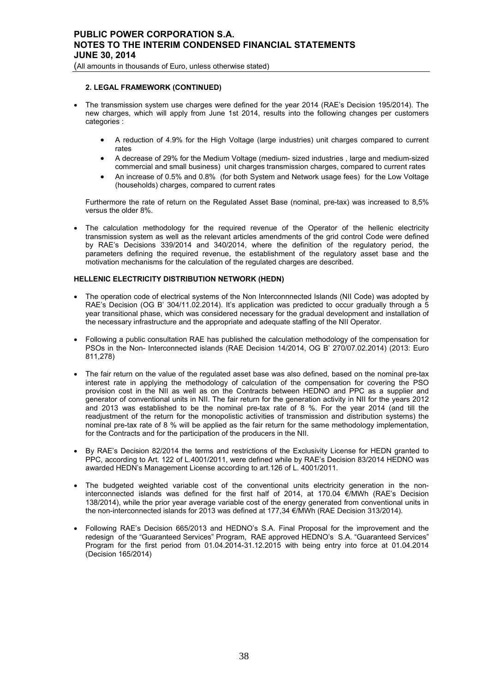### **2. LEGAL FRAMEWORK (CONTINUED)**

- The transmission system use charges were defined for the year 2014 (RAE's Decision 195/2014). The new charges, which will apply from June 1st 2014, results into the following changes per customers categories :
	- A reduction of 4.9% for the High Voltage (large industries) unit charges compared to current rates
	- A decrease of 29% for the Medium Voltage (medium- sized industries , large and medium-sized commercial and small business) unit charges transmission charges, compared to current rates
	- An increase of 0.5% and 0.8% (for both System and Network usage fees) for the Low Voltage (households) charges, compared to current rates

Furthermore the rate of return on the Regulated Asset Base (nominal, pre-tax) was increased to 8,5% versus the older 8%.

• The calculation methodology for the required revenue of the Operator of the hellenic electricity transmission system as well as the relevant articles amendments of the grid control Code were defined by RAE's Decisions 339/2014 and 340/2014, where the definition of the regulatory period, the parameters defining the required revenue, the establishment of the regulatory asset base and the motivation mechanisms for the calculation of the regulated charges are described.

#### **HELLENIC ELECTRICITY DISTRIBUTION NETWORK (HEDN)**

- The operation code of electrical systems of the Non Interconnnected Islands (NII Code) was adopted by RAE's Decision (OG B' 304/11.02.2014). It's application was predicted to occur gradually through a 5 year transitional phase, which was considered necessary for the gradual development and installation of the necessary infrastructure and the appropriate and adequate staffing of the NII Operator.
- Following a public consultation RAE has published the calculation methodology of the compensation for PSOs in the Non- Interconnected islands (RAE Decision 14/2014, OG B' 270/07.02.2014) (2013: Euro 811,278)
- The fair return on the value of the regulated asset base was also defined, based on the nominal pre-tax interest rate in applying the methodology of calculation of the compensation for covering the PSO provision cost in the NII as well as on the Contracts between HEDNO and PPC as a supplier and generator of conventional units in NII. The fair return for the generation activity in NII for the years 2012 and 2013 was established to be the nominal pre-tax rate of 8 %. For the year 2014 (and till the readjustment of the return for the monopolistic activities of transmission and distribution systems) the nominal pre-tax rate of 8 % will be applied as the fair return for the same methodology implementation, for the Contracts and for the participation of the producers in the NII.
- By RAE's Decision 82/2014 the terms and restrictions of the Exclusivity License for HEDN granted to PPC, according to Art. 122 of L.4001/2011, were defined while by RAE's Decision 83/2014 HEDNO was awarded HEDN's Management License according to art.126 of L. 4001/2011.
- The budgeted weighted variable cost of the conventional units electricity generation in the noninterconnected islands was defined for the first half of 2014, at 170.04 €/MWh (RAE's Decision 138/2014), while the prior year average variable cost of the energy generated from conventional units in the non-interconnected islands for 2013 was defined at 177,34 €/MWh (RAE Decision 313/2014).
- Following RAE's Decision 665/2013 and HEDNO's S.A. Final Proposal for the improvement and the redesign of the "Guaranteed Services" Program, RAE approved HEDNO's S.A. "Guaranteed Services" Program for the first period from 01.04.2014-31.12.2015 with being entry into force at 01.04.2014 (Decision 165/2014)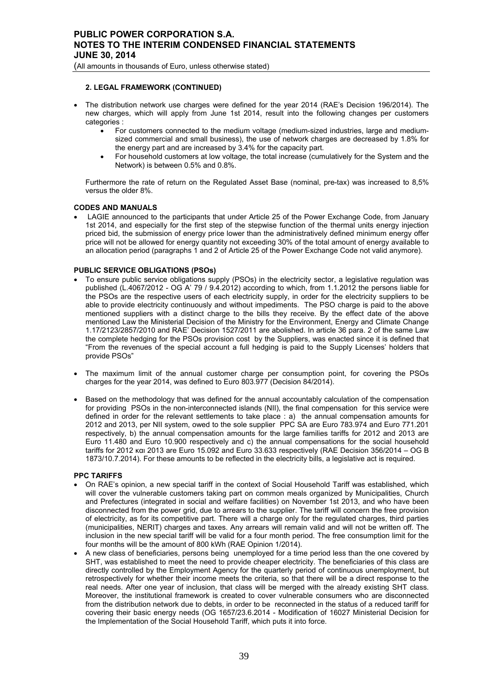## **2. LEGAL FRAMEWORK (CONTINUED)**

- The distribution network use charges were defined for the year 2014 (RAE's Decision 196/2014). The new charges, which will apply from June 1st 2014, result into the following changes per customers categories :
	- For customers connected to the medium voltage (medium-sized industries, large and mediumsized commercial and small business), the use of network charges are decreased by 1.8% for the energy part and are increased by 3.4% for the capacity part.
	- For household customers at low voltage, the total increase (cumulatively for the System and the Network) is between 0.5% and 0.8%.

Furthermore the rate of return on the Regulated Asset Base (nominal, pre-tax) was increased to 8,5% versus the older 8%.

## **CODES AND MANUALS**

LAGIE announced to the participants that under Article 25 of the Power Exchange Code, from January 1st 2014, and especially for the first step of the stepwise function of the thermal units energy injection priced bid, the submission of energy price lower than the administratively defined minimum energy offer price will not be allowed for energy quantity not exceeding 30% of the total amount of energy available to an allocation period (paragraphs 1 and 2 of Article 25 of the Power Exchange Code not valid anymore).

## **PUBLIC SERVICE OBLIGATIONS (PSOs)**

- To ensure public service obligations supply (PSOs) in the electricity sector, a legislative regulation was published (L.4067/2012 - OG A' 79 / 9.4.2012) according to which, from 1.1.2012 the persons liable for the PSOs are the respective users of each electricity supply, in order for the electricity suppliers to be able to provide electricity continuously and without impediments. The PSO charge is paid to the above mentioned suppliers with a distinct charge to the bills they receive. By the effect date of the above mentioned Law the Ministerial Decision of the Ministry for the Environment, Energy and Climate Change 1.17/2123/2857/2010 and RAE' Decision 1527/2011 are abolished. In article 36 para. 2 of the same Law the complete hedging for the PSOs provision cost by the Suppliers, was enacted since it is defined that "From the revenues of the special account a full hedging is paid to the Supply Licenses' holders that provide PSOs"
- The maximum limit of the annual customer charge per consumption point, for covering the PSOs charges for the year 2014, was defined to Euro 803.977 (Decision 84/2014).
- Based on the methodology that was defined for the annual accountably calculation of the compensation for providing PSOs in the non-interconnected islands (NII), the final compensation for this service were defined in order for the relevant settlements to take place : a) the annual compensation amounts for 2012 and 2013, per NII system, owed to the sole supplier PPC SA are Euro 783.974 and Euro 771.201 respectively, b) the annual compensation amounts for the large families tariffs for 2012 and 2013 are Euro 11.480 and Euro 10.900 respectively and c) the annual compensations for the social household tariffs for 2012 και 2013 are Euro 15.092 and Euro 33.633 respectively (RΑΕ Decision 356/2014 – OG Β 1873/10.7.2014). For these amounts to be reflected in the electricity bills, a legislative act is required.

#### **PPC TARIFFS**

- On RAE's opinion, a new special tariff in the context of Social Household Tariff was established, which will cover the vulnerable customers taking part on common meals organized by Municipalities, Church and Prefectures (integrated in social and welfare facilities) on November 1st 2013, and who have been disconnected from the power grid, due to arrears to the supplier. The tariff will concern the free provision of electricity, as for its competitive part. There will a charge only for the regulated charges, third parties (municipalities, NERIT) charges and taxes. Any arrears will remain valid and will not be written off. The inclusion in the new special tariff will be valid for a four month period. The free consumption limit for the four months will be the amount of 800 kWh (RAE Opinion 1/2014).
- A new class of beneficiaries, persons being unemployed for a time period less than the one covered by SHT, was established to meet the need to provide cheaper electricity. The beneficiaries of this class are directly controlled by the Employment Agency for the quarterly period of continuous unemployment, but retrospectively for whether their income meets the criteria, so that there will be a direct response to the real needs. After one year of inclusion, that class will be merged with the already existing SHT class. Moreover, the institutional framework is created to cover vulnerable consumers who are disconnected from the distribution network due to debts, in order to be reconnected in the status of a reduced tariff for covering their basic energy needs (OG 1657/23.6.2014 - Modification of 16027 Ministerial Decision for the Implementation of the Social Household Tariff, which puts it into force.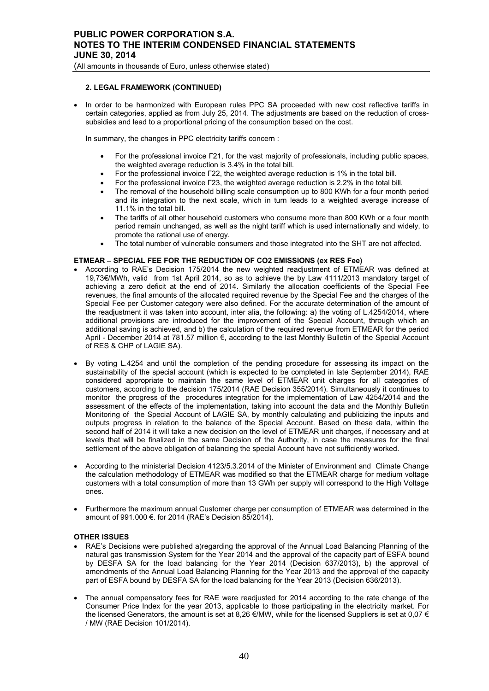## **2. LEGAL FRAMEWORK (CONTINUED)**

• In order to be harmonized with European rules PPC SA proceeded with new cost reflective tariffs in certain categories, applied as from July 25, 2014. The adjustments are based on the reduction of crosssubsidies and lead to a proportional pricing of the consumption based on the cost.

In summary, the changes in PPC electricity tariffs concern :

- For the professional invoice Γ21, for the vast majority of professionals, including public spaces, the weighted average reduction is 3.4% in the total bill.
- For the professional invoice Γ22, the weighted average reduction is 1% in the total bill.
- For the professional invoice Γ23, the weighted average reduction is 2.2% in the total bill.
- The removal of the household billing scale consumption up to 800 KWh for a four month period and its integration to the next scale, which in turn leads to a weighted average increase of 11.1% in the total bill.
- The tariffs of all other household customers who consume more than 800 KWh or a four month period remain unchanged, as well as the night tariff which is used internationally and widely, to promote the rational use of energy.
- The total number of vulnerable consumers and those integrated into the SHT are not affected.

## **ETMEAR – SPECIAL FEE FOR THE REDUCTION OF CO2 EMISSIONS (ex RES Fee)**

- According to RAE's Decision 175/2014 the new weighted readjustment of ETMEAR was defined at 19,73€/MWh, valid from 1st April 2014, so as to achieve the by Law 4111/2013 mandatory target of achieving a zero deficit at the end of 2014. Similarly the allocation coefficients of the Special Fee revenues, the final amounts of the allocated required revenue by the Special Fee and the charges of the Special Fee per Customer category were also defined. For the accurate determination of the amount of the readjustment it was taken into account, inter alia, the following: a) the voting of L.4254/2014, where additional provisions are introduced for the improvement of the Special Account, through which an additional saving is achieved, and b) the calculation of the required revenue from ETMEAR for the period April - December 2014 at 781.57 million €, according to the last Monthly Bulletin of the Special Account of RES & CHP of LAGIE SA).
- By voting L.4254 and until the completion of the pending procedure for assessing its impact on the sustainability of the special account (which is expected to be completed in late September 2014), RAE considered appropriate to maintain the same level of ETMEAR unit charges for all categories of customers, according to the decision 175/2014 (RAE Decision 355/2014). Simultaneously it continues to monitor the progress of the procedures integration for the implementation of Law 4254/2014 and the assessment of the effects of the implementation, taking into account the data and the Monthly Bulletin Monitoring of the Special Account of LAGIE SA, by monthly calculating and publicizing the inputs and outputs progress in relation to the balance of the Special Account. Based on these data, within the second half of 2014 it will take a new decision on the level of ETMEAR unit charges, if necessary and at levels that will be finalized in the same Decision of the Authority, in case the measures for the final settlement of the above obligation of balancing the special Account have not sufficiently worked.
- According to the ministerial Decision 4123/5.3.2014 of the Minister of Environment and Climate Change the calculation methodology of ETMEAR was modified so that the ETMEAR charge for medium voltage customers with a total consumption of more than 13 GWh per supply will correspond to the High Voltage ones.
- Furthermore the maximum annual Customer charge per consumption of ETMEAR was determined in the amount of 991.000 €. for 2014 (RAE's Decision 85/2014).

### **OTHER ISSUES**

- RAE's Decisions were published a)regarding the approval of the Annual Load Balancing Planning of the natural gas transmission System for the Year 2014 and the approval of the capacity part of ESFA bound by DESFA SA for the load balancing for the Year 2014 (Decision 637/2013), b) the approval of amendments of the Annual Load Balancing Planning for the Year 2013 and the approval of the capacity part of ESFA bound by DESFA SA for the load balancing for the Year 2013 (Decision 636/2013).
- The annual compensatory fees for RAE were readjusted for 2014 according to the rate change of the Consumer Price Index for the year 2013, applicable to those participating in the electricity market. For the licensed Generators, the amount is set at 8,26  $\varepsilon$ /MW, while for the licensed Suppliers is set at 0,07  $\varepsilon$ / MW (RAE Decision 101/2014).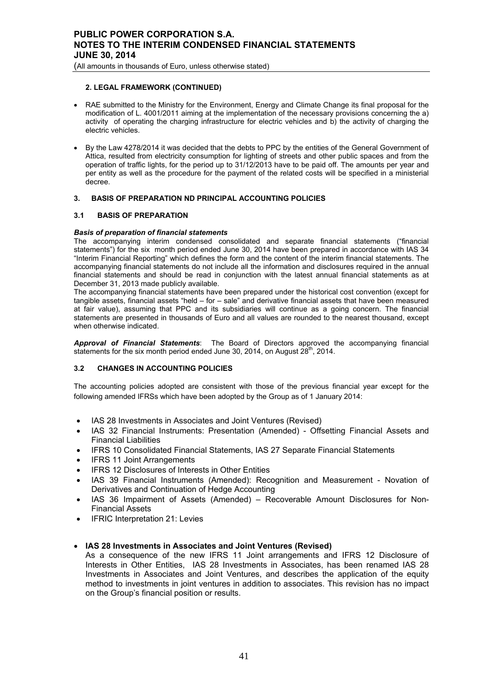## **2. LEGAL FRAMEWORK (CONTINUED)**

- RAE submitted to the Ministry for the Environment, Energy and Climate Change its final proposal for the modification of L. 4001/2011 aiming at the implementation of the necessary provisions concerning the a) activity of operating the charging infrastructure for electric vehicles and b) the activity of charging the electric vehicles.
- By the Law 4278/2014 it was decided that the debts to PPC by the entities of the General Government of Attica, resulted from electricity consumption for lighting of streets and other public spaces and from the operation of traffic lights, for the period up to 31/12/2013 have to be paid off. The amounts per year and per entity as well as the procedure for the payment of the related costs will be specified in a ministerial decree.

# **3. BASIS OF PREPARATION ND PRINCIPAL ACCOUNTING POLICIES**

# **3.1 BASIS OF PREPARATION**

# *Basis of preparation of financial statements*

The accompanying interim condensed consolidated and separate financial statements ("financial statements") for the six month period ended June 30, 2014 have been prepared in accordance with IAS 34 "Interim Financial Reporting" which defines the form and the content of the interim financial statements. The accompanying financial statements do not include all the information and disclosures required in the annual financial statements and should be read in conjunction with the latest annual financial statements as at December 31, 2013 made publicly available.

The accompanying financial statements have been prepared under the historical cost convention (except for tangible assets, financial assets "held – for – sale" and derivative financial assets that have been measured at fair value), assuming that PPC and its subsidiaries will continue as a going concern. The financial statements are presented in thousands of Euro and all values are rounded to the nearest thousand, except when otherwise indicated.

*Approval of Financial Statements*: The Board of Directors approved the accompanying financial statements for the six month period ended June 30, 2014, on August  $28<sup>th</sup>$ , 2014.

# **3.2 CHANGES IN ACCOUNTING POLICIES**

The accounting policies adopted are consistent with those of the previous financial year except for the following amended IFRSs which have been adopted by the Group as of 1 January 2014:

- IAS 28 Investments in Associates and Joint Ventures (Revised)
- IAS 32 Financial Instruments: Presentation (Amended) Offsetting Financial Assets and Financial Liabilities
- IFRS 10 Consolidated Financial Statements, IAS 27 Separate Financial Statements
- **IFRS 11 Joint Arrangements**
- IFRS 12 Disclosures of Interests in Other Entities
- IAS 39 Financial Instruments (Amended): Recognition and Measurement Novation of Derivatives and Continuation of Hedge Accounting
- IAS 36 Impairment of Assets (Amended) Recoverable Amount Disclosures for Non-Financial Assets
- IFRIC Interpretation 21: Levies

# • **IAS 28 Investments in Associates and Joint Ventures (Revised)**

As a consequence of the new IFRS 11 Joint arrangements and IFRS 12 Disclosure of Interests in Other Entities, IAS 28 Investments in Associates, has been renamed IAS 28 Investments in Associates and Joint Ventures, and describes the application of the equity method to investments in joint ventures in addition to associates. This revision has no impact on the Group's financial position or results.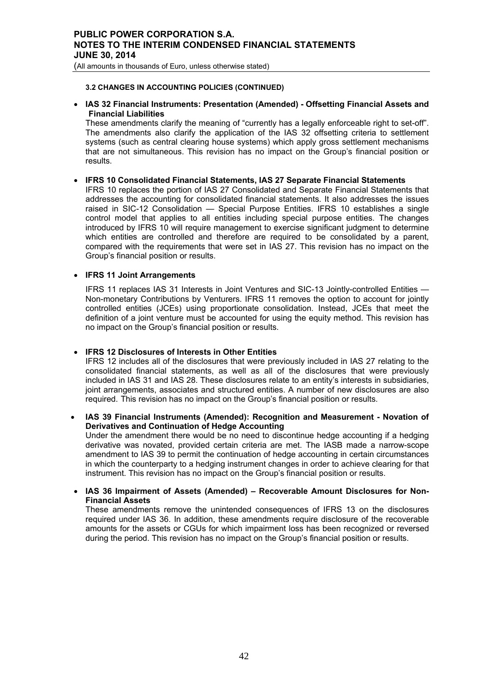(All amounts in thousands of Euro, unless otherwise stated)

## **3.2 CHANGES IN ACCOUNTING POLICIES (CONTINUED)**

• **IAS 32 Financial Instruments: Presentation (Amended) - Offsetting Financial Assets and Financial Liabilities** 

These amendments clarify the meaning of "currently has a legally enforceable right to set-off". The amendments also clarify the application of the IAS 32 offsetting criteria to settlement systems (such as central clearing house systems) which apply gross settlement mechanisms that are not simultaneous. This revision has no impact on the Group's financial position or results.

# • **IFRS 10 Consolidated Financial Statements, IAS 27 Separate Financial Statements**

IFRS 10 replaces the portion of IAS 27 Consolidated and Separate Financial Statements that addresses the accounting for consolidated financial statements. It also addresses the issues raised in SIC-12 Consolidation — Special Purpose Entities. IFRS 10 establishes a single control model that applies to all entities including special purpose entities. The changes introduced by IFRS 10 will require management to exercise significant judgment to determine which entities are controlled and therefore are required to be consolidated by a parent, compared with the requirements that were set in IAS 27. This revision has no impact on the Group's financial position or results.

# • **IFRS 11 Joint Arrangements**

IFRS 11 replaces IAS 31 Interests in Joint Ventures and SIC-13 Jointly-controlled Entities — Non-monetary Contributions by Venturers. IFRS 11 removes the option to account for jointly controlled entities (JCEs) using proportionate consolidation. Instead, JCEs that meet the definition of a joint venture must be accounted for using the equity method. This revision has no impact on the Group's financial position or results.

# • **IFRS 12 Disclosures of Interests in Other Entities**

IFRS 12 includes all of the disclosures that were previously included in IAS 27 relating to the consolidated financial statements, as well as all of the disclosures that were previously included in IAS 31 and IAS 28. These disclosures relate to an entity's interests in subsidiaries, joint arrangements, associates and structured entities. A number of new disclosures are also required. This revision has no impact on the Group's financial position or results.

• **IAS 39 Financial Instruments (Amended): Recognition and Measurement - Novation of Derivatives and Continuation of Hedge Accounting**  Under the amendment there would be no need to discontinue hedge accounting if a hedging

derivative was novated, provided certain criteria are met. The IASB made a narrow-scope amendment to IAS 39 to permit the continuation of hedge accounting in certain circumstances in which the counterparty to a hedging instrument changes in order to achieve clearing for that instrument. This revision has no impact on the Group's financial position or results.

• **IAS 36 Impairment of Assets (Amended) – Recoverable Amount Disclosures for Non-Financial Assets** 

These amendments remove the unintended consequences of IFRS 13 on the disclosures required under IAS 36. In addition, these amendments require disclosure of the recoverable amounts for the assets or CGUs for which impairment loss has been recognized or reversed during the period. This revision has no impact on the Group's financial position or results.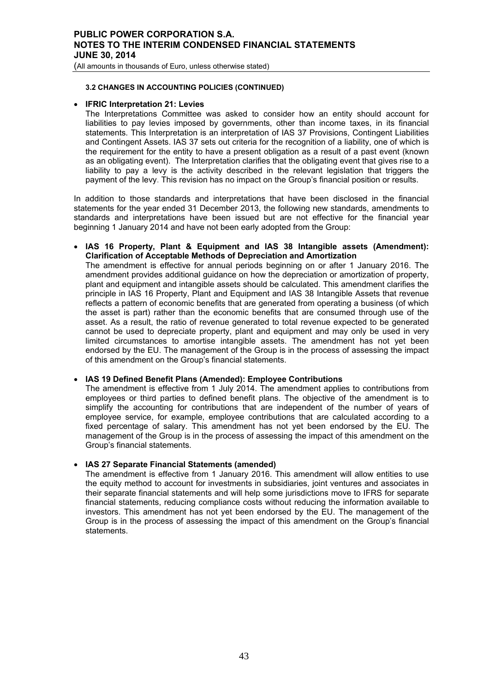(All amounts in thousands of Euro, unless otherwise stated)

# **3.2 CHANGES IN ACCOUNTING POLICIES (CONTINUED)**

# • **IFRIC Interpretation 21: Levies**

The Interpretations Committee was asked to consider how an entity should account for liabilities to pay levies imposed by governments, other than income taxes, in its financial statements. This Interpretation is an interpretation of IAS 37 Provisions, Contingent Liabilities and Contingent Assets. IAS 37 sets out criteria for the recognition of a liability, one of which is the requirement for the entity to have a present obligation as a result of a past event (known as an obligating event). The Interpretation clarifies that the obligating event that gives rise to a liability to pay a levy is the activity described in the relevant legislation that triggers the payment of the levy. This revision has no impact on the Group's financial position or results.

In addition to those standards and interpretations that have been disclosed in the financial statements for the year ended 31 December 2013, the following new standards, amendments to standards and interpretations have been issued but are not effective for the financial year beginning 1 January 2014 and have not been early adopted from the Group:

• **IAS 16 Property, Plant & Equipment and IAS 38 Intangible assets (Amendment): Clarification of Acceptable Methods of Depreciation and Amortization**  The amendment is effective for annual periods beginning on or after 1 January 2016. The amendment provides additional guidance on how the depreciation or amortization of property, plant and equipment and intangible assets should be calculated. This amendment clarifies the principle in IAS 16 Property, Plant and Equipment and IAS 38 Intangible Assets that revenue reflects a pattern of economic benefits that are generated from operating a business (of which the asset is part) rather than the economic benefits that are consumed through use of the asset. As a result, the ratio of revenue generated to total revenue expected to be generated cannot be used to depreciate property, plant and equipment and may only be used in very limited circumstances to amortise intangible assets. The amendment has not yet been endorsed by the EU. The management of the Group is in the process of assessing the impact

# • **IAS 19 Defined Benefit Plans (Amended): Employee Contributions**

of this amendment on the Group's financial statements.

The amendment is effective from 1 July 2014. The amendment applies to contributions from employees or third parties to defined benefit plans. The objective of the amendment is to simplify the accounting for contributions that are independent of the number of years of employee service, for example, employee contributions that are calculated according to a fixed percentage of salary. This amendment has not yet been endorsed by the EU. The management of the Group is in the process of assessing the impact of this amendment on the Group's financial statements.

# • **IAS 27 Separate Financial Statements (amended)**

The amendment is effective from 1 January 2016. This amendment will allow entities to use the equity method to account for investments in subsidiaries, joint ventures and associates in their separate financial statements and will help some jurisdictions move to IFRS for separate financial statements, reducing compliance costs without reducing the information available to investors. This amendment has not yet been endorsed by the EU. The management of the Group is in the process of assessing the impact of this amendment on the Group's financial statements.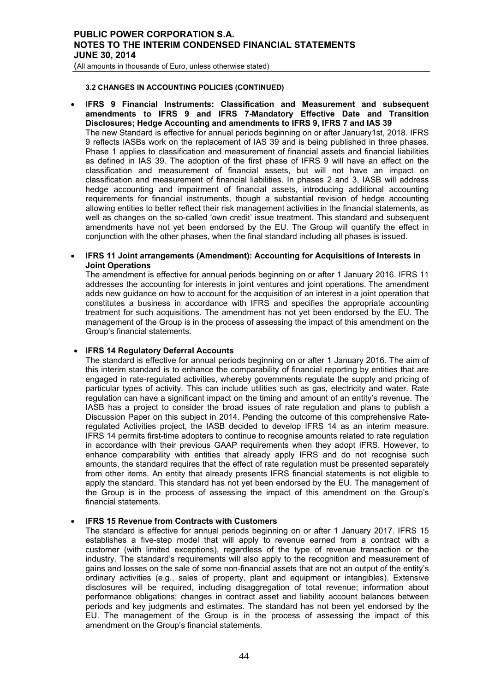(All amounts in thousands of Euro, unless otherwise stated)

# **3.2 CHANGES IN ACCOUNTING POLICIES (CONTINUED)**

• **IFRS 9 Financial Instruments: Classification and Measurement and subsequent amendments to IFRS 9 and IFRS 7-Mandatory Effective Date and Transition Disclosures; Hedge Accounting and amendments to IFRS 9, IFRS 7 and IAS 39**  The new Standard is effective for annual periods beginning on or after January1st, 2018. IFRS 9 reflects IASBs work on the replacement of IAS 39 and is being published in three phases. Phase 1 applies to classification and measurement of financial assets and financial liabilities as defined in IAS 39. The adoption of the first phase of IFRS 9 will have an effect on the classification and measurement of financial assets, but will not have an impact on classification and measurement of financial liabilities. In phases 2 and 3, IASB will address hedge accounting and impairment of financial assets, introducing additional accounting requirements for financial instruments, though a substantial revision of hedge accounting allowing entities to better reflect their risk management activities in the financial statements, as well as changes on the so-called 'own credit' issue treatment. This standard and subsequent amendments have not yet been endorsed by the EU. The Group will quantify the effect in conjunction with the other phases, when the final standard including all phases is issued.

# • **IFRS 11 Joint arrangements (Amendment): Accounting for Acquisitions of Interests in Joint Operations**

The amendment is effective for annual periods beginning on or after 1 January 2016. IFRS 11 addresses the accounting for interests in joint ventures and joint operations. The amendment adds new guidance on how to account for the acquisition of an interest in a joint operation that constitutes a business in accordance with IFRS and specifies the appropriate accounting treatment for such acquisitions. The amendment has not yet been endorsed by the EU. The management of the Group is in the process of assessing the impact of this amendment on the Group's financial statements.

# • **IFRS 14 Regulatory Deferral Accounts**

The standard is effective for annual periods beginning on or after 1 January 2016. The aim of this interim standard is to enhance the comparability of financial reporting by entities that are engaged in rate-regulated activities, whereby governments regulate the supply and pricing of particular types of activity. This can include utilities such as gas, electricity and water. Rate regulation can have a significant impact on the timing and amount of an entity's revenue. The IASB has a project to consider the broad issues of rate regulation and plans to publish a Discussion Paper on this subject in 2014. Pending the outcome of this comprehensive Rateregulated Activities project, the IASB decided to develop IFRS 14 as an interim measure. IFRS 14 permits first-time adopters to continue to recognise amounts related to rate regulation in accordance with their previous GAAP requirements when they adopt IFRS. However, to enhance comparability with entities that already apply IFRS and do not recognise such amounts, the standard requires that the effect of rate regulation must be presented separately from other items. An entity that already presents IFRS financial statements is not eligible to apply the standard. This standard has not yet been endorsed by the EU. The management of the Group is in the process of assessing the impact of this amendment on the Group's financial statements.

# **IFRS 15 Revenue from Contracts with Customers**

The standard is effective for annual periods beginning on or after 1 January 2017. IFRS 15 establishes a five-step model that will apply to revenue earned from a contract with a customer (with limited exceptions), regardless of the type of revenue transaction or the industry. The standard's requirements will also apply to the recognition and measurement of gains and losses on the sale of some non-financial assets that are not an output of the entity's ordinary activities (e.g., sales of property, plant and equipment or intangibles). Extensive disclosures will be required, including disaggregation of total revenue; information about performance obligations; changes in contract asset and liability account balances between periods and key judgments and estimates. The standard has not been yet endorsed by the EU. The management of the Group is in the process of assessing the impact of this amendment on the Group's financial statements.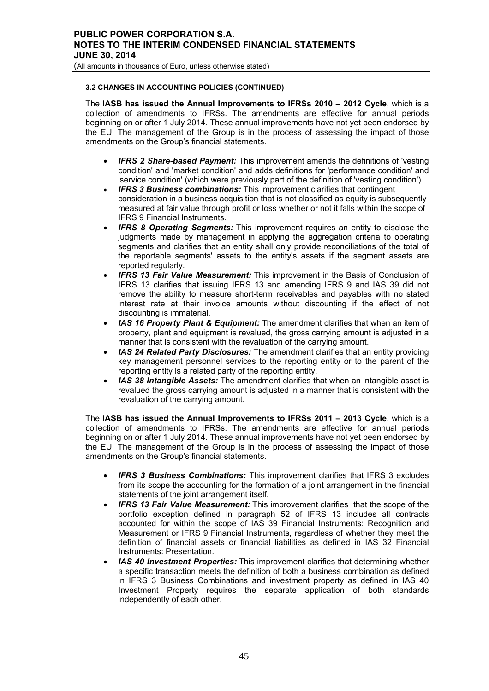(All amounts in thousands of Euro, unless otherwise stated)

# **3.2 CHANGES IN ACCOUNTING POLICIES (CONTINUED)**

The **IASB has issued the Annual Improvements to IFRSs 2010 – 2012 Cycle**, which is a collection of amendments to IFRSs. The amendments are effective for annual periods beginning on or after 1 July 2014. These annual improvements have not yet been endorsed by the EU. The management of the Group is in the process of assessing the impact of those amendments on the Group's financial statements.

- *IFRS 2 Share-based Payment:* This improvement amends the definitions of 'vesting condition' and 'market condition' and adds definitions for 'performance condition' and 'service condition' (which were previously part of the definition of 'vesting condition').
- *IFRS 3 Business combinations:* This improvement clarifies that contingent consideration in a business acquisition that is not classified as equity is subsequently measured at fair value through profit or loss whether or not it falls within the scope of IFRS 9 Financial Instruments.
- *IFRS 8 Operating Segments:* This improvement requires an entity to disclose the judgments made by management in applying the aggregation criteria to operating segments and clarifies that an entity shall only provide reconciliations of the total of the reportable segments' assets to the entity's assets if the segment assets are reported regularly.
- *IFRS 13 Fair Value Measurement:* This improvement in the Basis of Conclusion of IFRS 13 clarifies that issuing IFRS 13 and amending IFRS 9 and IAS 39 did not remove the ability to measure short-term receivables and payables with no stated interest rate at their invoice amounts without discounting if the effect of not discounting is immaterial.
- **IAS 16 Property Plant & Equipment:** The amendment clarifies that when an item of property, plant and equipment is revalued, the gross carrying amount is adjusted in a manner that is consistent with the revaluation of the carrying amount.
- *IAS 24 Related Party Disclosures:* The amendment clarifies that an entity providing key management personnel services to the reporting entity or to the parent of the reporting entity is a related party of the reporting entity.
- *IAS 38 Intangible Assets:* The amendment clarifies that when an intangible asset is revalued the gross carrying amount is adjusted in a manner that is consistent with the revaluation of the carrying amount.

The **IASB has issued the Annual Improvements to IFRSs 2011 – 2013 Cycle**, which is a collection of amendments to IFRSs. The amendments are effective for annual periods beginning on or after 1 July 2014. These annual improvements have not yet been endorsed by the EU. The management of the Group is in the process of assessing the impact of those amendments on the Group's financial statements.

- *IFRS 3 Business Combinations:* This improvement clarifies that IFRS 3 excludes from its scope the accounting for the formation of a joint arrangement in the financial statements of the joint arrangement itself.
- *IFRS 13 Fair Value Measurement:* This improvement clarifies that the scope of the portfolio exception defined in paragraph 52 of IFRS 13 includes all contracts accounted for within the scope of IAS 39 Financial Instruments: Recognition and Measurement or IFRS 9 Financial Instruments, regardless of whether they meet the definition of financial assets or financial liabilities as defined in IAS 32 Financial Instruments: Presentation.
- *IAS 40 Investment Properties:* This improvement clarifies that determining whether a specific transaction meets the definition of both a business combination as defined in IFRS 3 Business Combinations and investment property as defined in IAS 40 Investment Property requires the separate application of both standards independently of each other.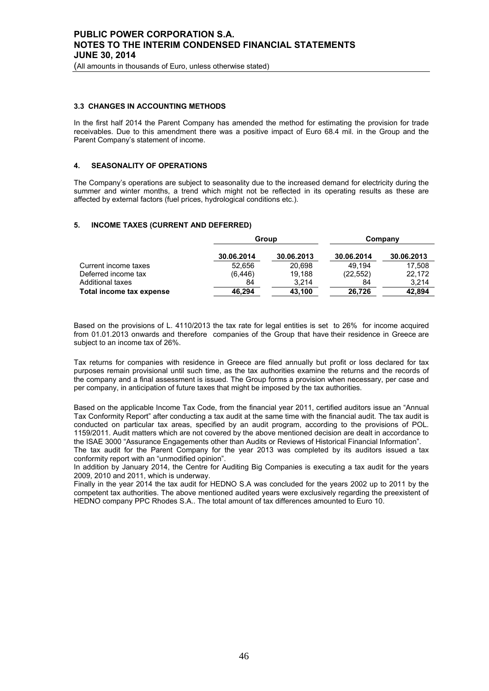(All amounts in thousands of Euro, unless otherwise stated)

### **3.3 CHANGES IN ACCOUNTING METHODS**

In the first half 2014 the Parent Company has amended the method for estimating the provision for trade receivables. Due to this amendment there was a positive impact of Euro 68.4 mil. in the Group and the Parent Company's statement of income.

## **4. SEASONALITY OF OPERATIONS**

The Company's operations are subject to seasonality due to the increased demand for electricity during the summer and winter months, a trend which might not be reflected in its operating results as these are affected by external factors (fuel prices, hydrological conditions etc.).

#### **5. INCOME TAXES (CURRENT AND DEFERRED)**

|                          | Group      |            |            | Company    |
|--------------------------|------------|------------|------------|------------|
|                          | 30.06.2014 | 30.06.2013 | 30.06.2014 | 30.06.2013 |
| Current income taxes     | 52.656     | 20.698     | 49.194     | 17.508     |
| Deferred income tax      | (6, 446)   | 19.188     | (22.552)   | 22.172     |
| Additional taxes         | 84         | 3.214      | 84         | 3.214      |
| Total income tax expense | 46.294     | 43,100     | 26.726     | 42,894     |

Based on the provisions of L. 4110/2013 the tax rate for legal entities is set to 26% for income acquired from 01.01.2013 onwards and therefore companies of the Group that have their residence in Greece are subject to an income tax of 26%.

Tax returns for companies with residence in Greece are filed annually but profit or loss declared for tax purposes remain provisional until such time, as the tax authorities examine the returns and the records of the company and a final assessment is issued. The Group forms a provision when necessary, per case and per company, in anticipation of future taxes that might be imposed by the tax authorities.

Based on the applicable Income Tax Code, from the financial year 2011, certified auditors issue an "Annual Tax Conformity Report" after conducting a tax audit at the same time with the financial audit. The tax audit is conducted on particular tax areas, specified by an audit program, according to the provisions of POL. 1159/2011. Audit matters which are not covered by the above mentioned decision are dealt in accordance to the ISAE 3000 "Assurance Engagements other than Audits or Reviews of Historical Financial Information".

The tax audit for the Parent Company for the year 2013 was completed by its auditors issued a tax conformity report with an "unmodified opinion".

In addition by January 2014, the Centre for Auditing Big Companies is executing a tax audit for the years 2009, 2010 and 2011, which is underway.

Finally in the year 2014 the tax audit for HEDNO S.A was concluded for the years 2002 up to 2011 by the competent tax authorities. The above mentioned audited years were exclusively regarding the preexistent of HEDNO company PPC Rhodes S.A.. The total amount of tax differences amounted to Euro 10.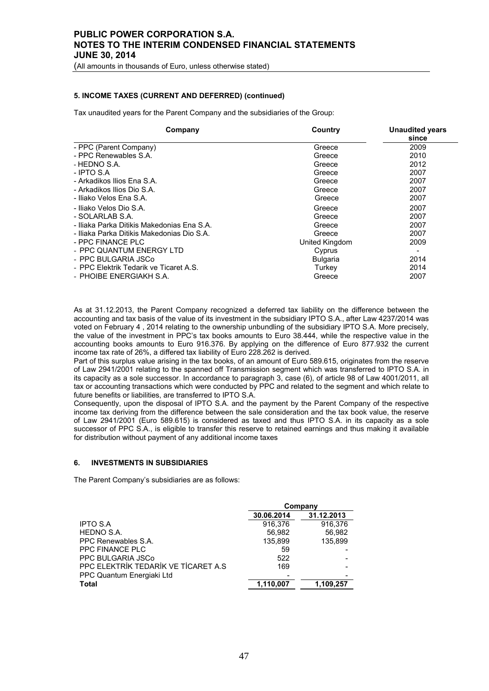(All amounts in thousands of Euro, unless otherwise stated)

## **5. INCOME TAXES (CURRENT AND DEFERRED) (continued)**

Tax unaudited years for the Parent Company and the subsidiaries of the Group:

| Country<br>Company                         |                 | <b>Unaudited years</b><br>since |
|--------------------------------------------|-----------------|---------------------------------|
| - PPC (Parent Company)                     | Greece          | 2009                            |
| - PPC Renewables S.A.                      | Greece          | 2010                            |
| - HEDNO S.A.                               | Greece          | 2012                            |
| $-$ IPTO S.A.                              | Greece          | 2007                            |
| - Arkadikos Ilios Ena S.A.                 | Greece          | 2007                            |
| - Arkadikos Ilios Dio S.A.                 | Greece          | 2007                            |
| - Iliako Velos Ena S.A.                    | Greece          | 2007                            |
| - Iliako Velos Dio S.A.                    | Greece          | 2007                            |
| - SOLARLAB S.A.                            | Greece          | 2007                            |
| - Iliaka Parka Ditikis Makedonias Ena S.A. | Greece          | 2007                            |
| - Iliaka Parka Ditikis Makedonias Dio S.A. | Greece          | 2007                            |
| - PPC FINANCE PLC                          | United Kingdom  | 2009                            |
| - PPC QUANTUM ENERGY LTD                   | Cyprus          |                                 |
| - PPC BULGARIA JSCo                        | <b>Bulgaria</b> | 2014                            |
| - PPC Elektrik Tedarik ve Ticaret A.S.     | Turkey          | 2014                            |
| - PHOIBE ENERGIAKH S.A.                    | Greece          | 2007                            |

As at 31.12.2013, the Parent Company recognized a deferred tax liability on the difference between the accounting and tax basis of the value of its investment in the subsidiary IPTO S.A., after Law 4237/2014 was voted on February 4 , 2014 relating to the ownership unbundling of the subsidiary IPTO S.A. More precisely, the value of the investment in PPC's tax books amounts to Euro 38.444, while the respective value in the accounting books amounts to Euro 916.376. By applying on the difference of Euro 877.932 the current income tax rate of 26%, a differed tax liability of Euro 228.262 is derived.

Part of this surplus value arising in the tax books, of an amount of Euro 589.615, originates from the reserve of Law 2941/2001 relating to the spanned off Transmission segment which was transferred to IPTO S.A. in its capacity as a sole successor. In accordance to paragraph 3, case (6), of article 98 of Law 4001/2011, all tax or accounting transactions which were conducted by PPC and related to the segment and which relate to future benefits or liabilities, are transferred to IPTO S.A.

Consequently, upon the disposal of IPTO S.A. and the payment by the Parent Company of the respective income tax deriving from the difference between the sale consideration and the tax book value, the reserve of Law 2941/2001 (Euro 589.615) is considered as taxed and thus IPTO S.A. in its capacity as a sole successor of PPC S.A., is eligible to transfer this reserve to retained earnings and thus making it available for distribution without payment of any additional income taxes

### **6. INVESTMENTS IN SUBSIDIARIES**

The Parent Company's subsidiaries are as follows:

| Company    |            |  |
|------------|------------|--|
| 30.06.2014 | 31.12.2013 |  |
| 916,376    | 916.376    |  |
| 56.982     | 56.982     |  |
| 135,899    | 135.899    |  |
| 59         |            |  |
| 522        |            |  |
| 169        |            |  |
|            |            |  |
| 1.110.007  | 1.109.257  |  |
|            |            |  |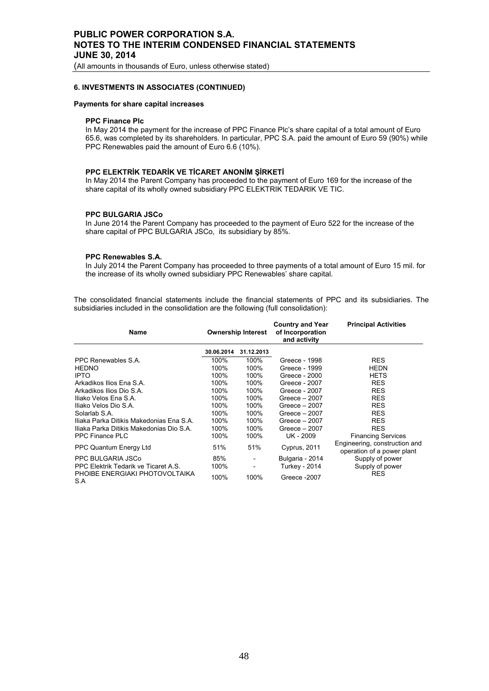(All amounts in thousands of Euro, unless otherwise stated)

### **6. INVESTMENTS IN ASSOCIATES (CONTINUED)**

### **Payments for share capital increases**

# **PPC Finance Plc**

In May 2014 the payment for the increase of PPC Finance Plc's share capital of a total amount of Euro 65.6, was completed by its shareholders. In particular, PPC S.A. paid the amount of Euro 59 (90%) while PPC Renewables paid the amount of Euro 6.6 (10%).

### **PPC ELEKTRİK TEDARİK VE TİCARET ANONİM ŞİRKETİ**

In May 2014 the Parent Company has proceeded to the payment of Euro 169 for the increase of the share capital of its wholly owned subsidiary PPC ELEKTRIK TEDARIK VE TIC.

#### **PPC BULGARIA JSCo**

In June 2014 the Parent Company has proceeded to the payment of Euro 522 for the increase of the share capital of PPC BULGARIA JSCo, its subsidiary by 85%.

### **PPC Renewables S.A.**

In July 2014 the Parent Company has proceeded to three payments of a total amount of Euro 15 mil. for the increase of its wholly owned subsidiary PPC Renewables' share capital.

The consolidated financial statements include the financial statements of PPC and its subsidiaries. The subsidiaries included in the consolidation are the following (full consolidation):

| Name                                     |            | <b>Ownership Interest</b> | <b>Country and Year</b><br>of Incorporation<br>and activity | <b>Principal Activities</b>                                 |  |
|------------------------------------------|------------|---------------------------|-------------------------------------------------------------|-------------------------------------------------------------|--|
|                                          | 30.06.2014 | 31.12.2013                |                                                             |                                                             |  |
| PPC Renewables S.A.                      | 100%       | 100%                      | Greece - 1998                                               | <b>RES</b>                                                  |  |
| <b>HEDNO</b>                             | 100%       | 100%                      | Greece - 1999                                               | <b>HEDN</b>                                                 |  |
| <b>IPTO</b>                              | 100%       | 100%                      | Greece - 2000                                               | <b>HETS</b>                                                 |  |
| Arkadikos Ilios Ena S.A.                 | 100%       | 100%                      | Greece - 2007                                               | <b>RES</b>                                                  |  |
| Arkadikos Ilios Dio S.A.                 | 100%       | 100%                      | Greece - 2007                                               | <b>RES</b>                                                  |  |
| Iliako Velos Ena S.A.                    | 100%       | 100%                      | Greece $-2007$                                              | <b>RES</b>                                                  |  |
| Iliako Velos Dio S.A.                    | 100%       | 100%                      | Greece $-2007$                                              | <b>RES</b>                                                  |  |
| Solarlab S.A.                            | 100%       | 100%                      | Greece $-2007$                                              | <b>RES</b>                                                  |  |
| Iliaka Parka Ditikis Makedonias Ena S.A. | 100%       | 100%                      | Greece $-2007$                                              | <b>RES</b>                                                  |  |
| Iliaka Parka Ditikis Makedonias Dio S.A. | 100%       | 100%                      | Greece $-2007$                                              | <b>RES</b>                                                  |  |
| PPC Finance PLC                          | 100%       | 100%                      | UK - 2009                                                   | <b>Financing Services</b>                                   |  |
| PPC Quantum Energy Ltd                   | 51%        | 51%                       | Cyprus, 2011                                                | Engineering, construction and<br>operation of a power plant |  |
| PPC BULGARIA JSCo                        | 85%        |                           | Bulgaria - 2014                                             | Supply of power                                             |  |
| PPC Elektrik Tedarik ve Ticaret A.S.     | 100%       | $\overline{\phantom{a}}$  | Turkey - 2014                                               | Supply of power                                             |  |
| PHOIBE ENERGIAKI PHOTOVOLTAIKA<br>S.A    | 100%       | 100%                      | Greece -2007                                                | <b>RES</b>                                                  |  |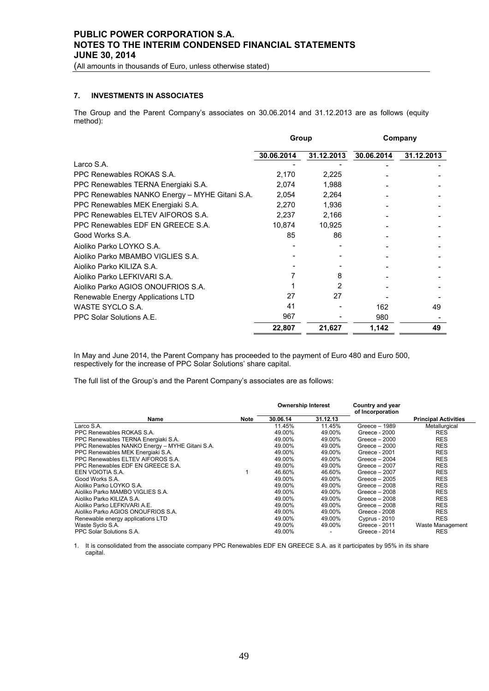(All amounts in thousands of Euro, unless otherwise stated)

# **7. INVESTMENTS IN ASSOCIATES**

The Group and the Parent Company's associates on 30.06.2014 and 31.12.2013 are as follows (equity method):

|                                                | Group      |            | Company    |            |
|------------------------------------------------|------------|------------|------------|------------|
|                                                | 30.06.2014 | 31.12.2013 | 30.06.2014 | 31.12.2013 |
| Larco S.A.                                     |            |            |            |            |
| PPC Renewables ROKAS S.A.                      | 2,170      | 2,225      |            |            |
| PPC Renewables TERNA Energiaki S.A.            | 2,074      | 1,988      |            |            |
| PPC Renewables NANKO Energy - MYHE Gitani S.A. | 2,054      | 2,264      |            |            |
| PPC Renewables MEK Energiaki S.A.              | 2,270      | 1,936      |            |            |
| PPC Renewables ELTEV AIFOROS S.A.              | 2,237      | 2,166      |            |            |
| PPC Renewables EDF EN GREECE S.A.              | 10,874     | 10,925     |            |            |
| Good Works S.A.                                | 85         | 86         |            |            |
| Aioliko Parko LOYKO S.A.                       |            |            |            |            |
| Aioliko Parko MBAMBO VIGLIES S.A.              |            |            |            |            |
| Aioliko Parko KILIZA S.A.                      |            |            |            |            |
| Aioliko Parko LEFKIVARI S.A.                   |            | 8          |            |            |
| Aioliko Parko AGIOS ONOUFRIOS S.A.             |            | 2          |            |            |
| Renewable Energy Applications LTD              | 27         | 27         |            |            |
| WASTE SYCLO S.A.                               | 41         |            | 162        | 49         |
| PPC Solar Solutions A.E.                       | 967        |            | 980        |            |
|                                                | 22,807     | 21,627     | 1,142      | 49         |

In May and June 2014, the Parent Company has proceeded to the payment of Euro 480 and Euro 500, respectively for the increase of PPC Solar Solutions' share capital.

The full list of the Group's and the Parent Company's associates are as follows:

|                                                |      | <b>Ownership Interest</b> |          | Country and year<br>of Incorporation |                             |
|------------------------------------------------|------|---------------------------|----------|--------------------------------------|-----------------------------|
| Name                                           | Note | 30.06.14                  | 31.12.13 |                                      | <b>Principal Activities</b> |
| Larco S.A.                                     |      | 11.45%                    | 11.45%   | Greece - 1989                        | Metallurgical               |
| PPC Renewables ROKAS S.A.                      |      | 49.00%                    | 49.00%   | Greece - 2000                        | <b>RES</b>                  |
| PPC Renewables TERNA Energiaki S.A.            |      | 49.00%                    | 49.00%   | Greece $-2000$                       | <b>RES</b>                  |
| PPC Renewables NANKO Energy - MYHE Gitani S.A. |      | 49.00%                    | 49.00%   | Greece $-2000$                       | <b>RES</b>                  |
| PPC Renewables MEK Energiaki S.A.              |      | 49.00%                    | 49.00%   | Greece - 2001                        | <b>RES</b>                  |
| PPC Renewables ELTEV AIFOROS S.A.              |      | 49.00%                    | 49.00%   | Greece $-2004$                       | <b>RES</b>                  |
| PPC Renewables EDF EN GREECE S.A.              |      | 49.00%                    | 49.00%   | Greece $-2007$                       | <b>RES</b>                  |
| EEN VOIOTIA S.A.                               |      | 46.60%                    | 46.60%   | Greece $-2007$                       | <b>RES</b>                  |
| Good Works S.A.                                |      | 49.00%                    | 49.00%   | Greece $-2005$                       | <b>RES</b>                  |
| Aioliko Parko LOYKO S.A.                       |      | 49.00%                    | 49.00%   | Greece $-2008$                       | <b>RES</b>                  |
| Aioliko Parko MAMBO VIGLIES S.A.               |      | 49.00%                    | 49.00%   | Greece $-2008$                       | <b>RES</b>                  |
| Aioliko Parko KILIZA S.A.                      |      | 49.00%                    | 49.00%   | Greece $-2008$                       | <b>RES</b>                  |
| Aioliko Parko LEFKIVARI A.E.                   |      | 49.00%                    | 49.00%   | Greece $-2008$                       | <b>RES</b>                  |
| Aioliko Parko AGIOS ONOUFRIOS S.A.             |      | 49.00%                    | 49.00%   | Greece - 2008                        | <b>RES</b>                  |
| Renewable energy applications LTD              |      | 49.00%                    | 49.00%   | <b>Cyprus - 2010</b>                 | <b>RES</b>                  |
| Waste Syclo S.A.                               |      | 49.00%                    | 49.00%   | Greece - 2011                        | Waste Management            |
| PPC Solar Solutions S.A.                       |      | 49.00%                    |          | Greece - 2014                        | <b>RES</b>                  |

1. It is consolidated from the associate company PPC Renewables EDF EN GREECE S.A. as it participates by 95% in its share capital.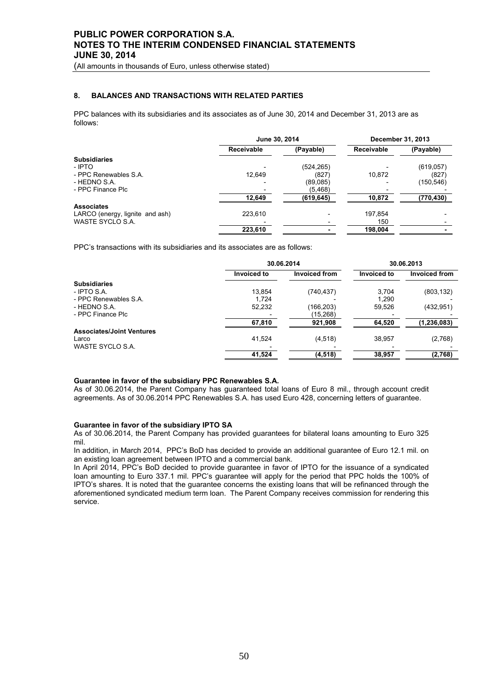(All amounts in thousands of Euro, unless otherwise stated)

# **8. BALANCES AND TRANSACTIONS WITH RELATED PARTIES**

PPC balances with its subsidiaries and its associates as of June 30, 2014 and December 31, 2013 are as follows:

|                                 | June 30, 2014 |            |            | December 31, 2013 |
|---------------------------------|---------------|------------|------------|-------------------|
|                                 | Receivable    | (Payable)  | Receivable | (Payable)         |
| <b>Subsidiaries</b>             |               |            |            |                   |
| - IPTO                          |               | (524, 265) |            | (619, 057)        |
| - PPC Renewables S.A.           | 12.649        | (827)      | 10.872     | (827)             |
| - HEDNO S.A.                    |               | (89,085)   |            | (150, 546)        |
| - PPC Finance Plc               |               | (5, 468)   |            |                   |
|                                 | 12,649        | (619, 645) | 10,872     | (770, 430)        |
| <b>Associates</b>               |               |            |            |                   |
| LARCO (energy, lignite and ash) | 223.610       |            | 197.854    |                   |
| <b>WASTE SYCLO S.A.</b>         |               |            | 150        |                   |
|                                 | 223,610       |            | 198,004    |                   |

PPC's transactions with its subsidiaries and its associates are as follows:

|                                  | 30.06.2014  |                      |             | 30.06.2013    |
|----------------------------------|-------------|----------------------|-------------|---------------|
|                                  | Invoiced to | <b>Invoiced from</b> | Invoiced to | Invoiced from |
| <b>Subsidiaries</b>              |             |                      |             |               |
| - IPTO S.A.                      | 13.854      | (740, 437)           | 3,704       | (803, 132)    |
| - PPC Renewables S.A.            | 1.724       |                      | 1,290       |               |
| - HEDNO S.A.                     | 52,232      | (166,203)            | 59,526      | (432, 951)    |
| - PPC Finance Plc                |             | (15,268)             |             |               |
|                                  | 67,810      | 921.908              | 64.520      | (1, 236, 083) |
| <b>Associates/Joint Ventures</b> |             |                      |             |               |
| Larco                            | 41,524      | (4,518)              | 38,957      | (2,768)       |
| WASTE SYCLO S.A.                 |             |                      |             |               |
|                                  | 41,524      | (4, 518)             | 38,957      | (2,768)       |

### **Guarantee in favor of the subsidiary PPC Renewables S.A.**

As of 30.06.2014, the Parent Company has guaranteed total loans of Euro 8 mil., through account credit agreements. As of 30.06.2014 PPC Renewables S.A. has used Euro 428, concerning letters of guarantee.

#### **Guarantee in favor of the subsidiary IPTO SA**

As of 30.06.2014, the Parent Company has provided guarantees for bilateral loans amounting to Euro 325 mil.

In addition, in March 2014, PPC's BoD has decided to provide an additional guarantee of Euro 12.1 mil. on an existing loan agreement between IPTO and a commercial bank.

In April 2014, PPC's BoD decided to provide guarantee in favor of IPTO for the issuance of a syndicated loan amounting to Euro 337.1 mil. PPC's guarantee will apply for the period that PPC holds the 100% of IPTO's shares. It is noted that the guarantee concerns the existing loans that will be refinanced through the aforementioned syndicated medium term loan. The Parent Company receives commission for rendering this service.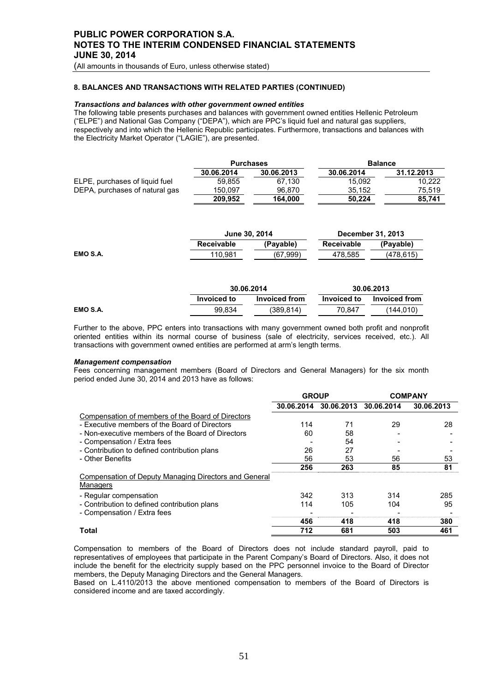(All amounts in thousands of Euro, unless otherwise stated)

## **8. BALANCES AND TRANSACTIONS WITH RELATED PARTIES (CONTINUED)**

### *Transactions and balances with other government owned entities*

The following table presents purchases and balances with government owned entities Hellenic Petroleum ("ELPE") and National Gas Company ("DEPA"), which are PPC's liquid fuel and natural gas suppliers, respectively and into which the Hellenic Republic participates. Furthermore, transactions and balances with the Electricity Market Operator ("LAGIE"), are presented.

|                                | <b>Purchases</b> |            | <b>Balance</b> |            |
|--------------------------------|------------------|------------|----------------|------------|
|                                | 30.06.2014       | 30.06.2013 | 30.06.2014     | 31.12.2013 |
| ELPE, purchases of liquid fuel | 59.855           | 67.130     | 15.092         | 10.222     |
| DEPA, purchases of natural gas | 150.097          | 96.870     | 35.152         | 75.519     |
|                                | 209.952          | 164.000    | 50.224         | 85.741     |

|          | June 30, 2014 |           | <b>December 31, 2013</b> |            |
|----------|---------------|-----------|--------------------------|------------|
|          | Receivable    | (Pavable) | Receivable               | (Pavable)  |
| EMO S.A. | 110.981       | (67.999)  | 478.585                  | (478, 615) |

|          | 30.06.2014  |               |             | 30.06.2013    |
|----------|-------------|---------------|-------------|---------------|
|          | Invoiced to | Invoiced from | Invoiced to | Invoiced from |
| EMO S.A. | 99.834      | (389.814)     | 70.847      | (144.010)     |

Further to the above, PPC enters into transactions with many government owned both profit and nonprofit oriented entities within its normal course of business (sale of electricity, services received, etc.). All transactions with government owned entities are performed at arm's length terms.

#### *Management compensation*

Fees concerning management members (Board of Directors and General Managers) for the six month period ended June 30, 2014 and 2013 have as follows:

|                                                                                  | <b>GROUP</b> |                       |     | <b>COMPANY</b> |
|----------------------------------------------------------------------------------|--------------|-----------------------|-----|----------------|
|                                                                                  | 30.06.2014   | 30.06.2013 30.06.2014 |     | 30.06.2013     |
| Compensation of members of the Board of Directors                                |              |                       |     |                |
| - Executive members of the Board of Directors                                    | 114          | 71                    | 29  | 28             |
| - Non-executive members of the Board of Directors<br>- Compensation / Extra fees | 60           | 58<br>54              |     |                |
| - Contribution to defined contribution plans                                     | 26           | 27                    |     |                |
| - Other Benefits                                                                 | 56           | 53                    | 56  | 53             |
|                                                                                  | 256          | 263                   | 85  | 81             |
| <b>Compensation of Deputy Managing Directors and General</b><br>Managers         |              |                       |     |                |
| - Regular compensation                                                           | 342          | 313                   | 314 | 285            |
| - Contribution to defined contribution plans                                     | 114          | 105                   | 104 | 95             |
| - Compensation / Extra fees                                                      |              |                       |     |                |
|                                                                                  | 456          | 418                   | 418 | 380            |
| <b>Total</b>                                                                     | 712          | 681                   | 503 | 461            |

Compensation to members of the Board of Directors does not include standard payroll, paid to representatives of employees that participate in the Parent Company's Board of Directors. Also, it does not include the benefit for the electricity supply based on the PPC personnel invoice to the Board of Director members, the Deputy Managing Directors and the General Managers.

Based on L.4110/2013 the above mentioned compensation to members of the Board of Directors is considered income and are taxed accordingly.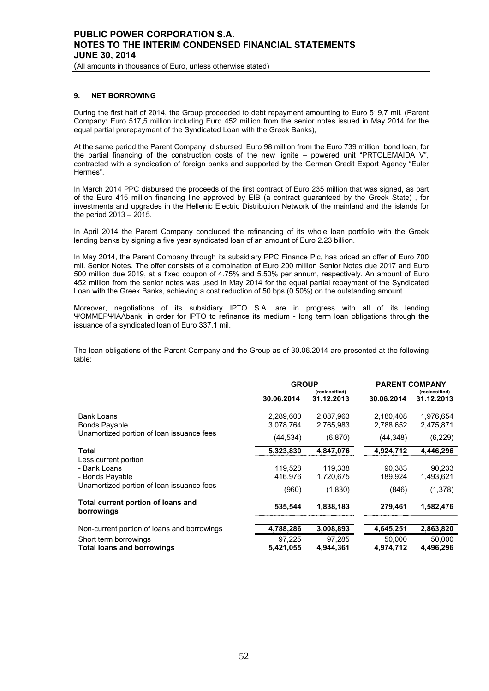(All amounts in thousands of Euro, unless otherwise stated)

## **9. NET BORROWING**

During the first half of 2014, the Group proceeded to debt repayment amounting to Euro 519,7 mil. (Parent Company: Euro 517,5 million including Euro 452 million from the senior notes issued in May 2014 for the equal partial prerepayment of the Syndicated Loan with the Greek Banks),

At the same period the Parent Company disbursed Euro 98 million from the Euro 739 million bond loan, for the partial financing of the construction costs of the new lignite – powered unit "PRTOLEMAIDA V", contracted with a syndication of foreign banks and supported by the German Credit Export Agency "Euler Hermes".

In March 2014 PPC disbursed the proceeds of the first contract of Euro 235 million that was signed, as part of the Euro 415 million financing line approved by EIB (a contract guaranteed by the Greek State) , for investments and upgrades in the Hellenic Electric Distribution Network of the mainland and the islands for the period 2013 – 2015.

In April 2014 the Parent Company concluded the refinancing of its whole loan portfolio with the Greek lending banks by signing a five year syndicated loan of an amount of Euro 2.23 billion.

In May 2014, the Parent Company through its subsidiary PPC Finance Plc, has priced an offer of Euro 700 mil. Senior Notes. Τhe offer consists of a combination of Euro 200 million Senior Notes due 2017 and Euro 500 million due 2019, at a fixed coupon of 4.75% and 5.50% per annum, respectively. An amount of Euro 452 million from the senior notes was used in May 2014 for the equal partial repayment of the Syndicated Loan with the Greek Banks, achieving a cost reduction of 50 bps (0.50%) on the outstanding amount.

Moreover, negotiations of its subsidiary IPTO S.A. are in progress with all of its lending ΨΟΜΜΕΡΨΙΑΛbank, in order for IPTO to refinance its medium - long term loan obligations through the issuance of a syndicated loan of Euro 337.1 mil.

The loan obligations of the Parent Company and the Group as of 30.06.2014 are presented at the following table:

|                                                            | <b>GROUP</b>           |                              | <b>PARENT COMPANY</b>  |                              |
|------------------------------------------------------------|------------------------|------------------------------|------------------------|------------------------------|
|                                                            | 30.06.2014             | (reclassified)<br>31.12.2013 | 30.06.2014             | (reclassified)<br>31.12.2013 |
| <b>Bank Loans</b><br><b>Bonds Payable</b>                  | 2,289,600<br>3,078,764 | 2,087,963<br>2,765,983       | 2,180,408<br>2,788,652 | 1,976,654<br>2,475,871       |
| Unamortized portion of loan issuance fees                  | (44, 534)              | (6,870)                      | (44, 348)              | (6, 229)                     |
| <b>Total</b>                                               | 5,323,830              | 4,847,076                    | 4,924,712              | 4,446,296                    |
| Less current portion<br>- Bank Loans<br>- Bonds Payable    | 119.528<br>416.976     | 119.338<br>1,720,675         | 90.383<br>189.924      | 90,233<br>1,493,621          |
| Unamortized portion of loan issuance fees                  | (960)                  | (1,830)                      | (846)                  | (1,378)                      |
| Total current portion of loans and<br>borrowings           | 535,544                | 1,838,183                    | 279,461                | 1,582,476                    |
| Non-current portion of loans and borrowings                | 4,788,286              | 3,008,893                    | 4,645,251              | 2,863,820                    |
| Short term borrowings<br><b>Total loans and borrowings</b> | 97,225<br>5,421,055    | 97,285<br>4,944,361          | 50,000<br>4,974,712    | 50,000<br>4,496,296          |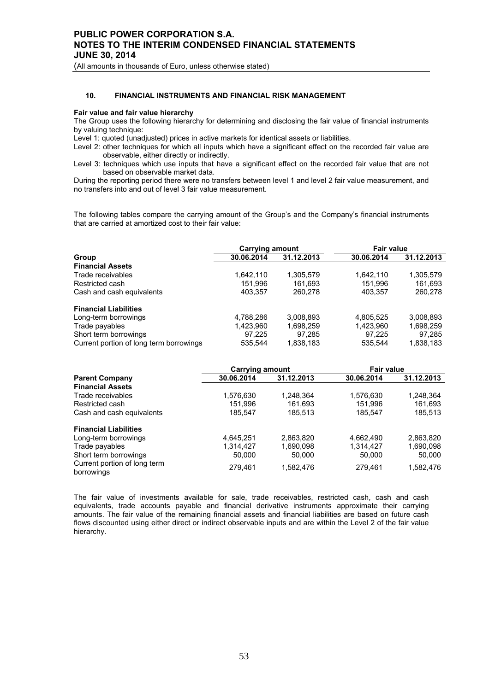(All amounts in thousands of Euro, unless otherwise stated)

# **10. FINANCIAL INSTRUMENTS AND FINANCIAL RISK MANAGEMENT**

#### **Fair value and fair value hierarchy**

The Group uses the following hierarchy for determining and disclosing the fair value of financial instruments by valuing technique:

Level 1: quoted (unadjusted) prices in active markets for identical assets or liabilities.

Level 2: other techniques for which all inputs which have a significant effect on the recorded fair value are observable, either directly or indirectly.

Level 3: techniques which use inputs that have a significant effect on the recorded fair value that are not based on observable market data.

During the reporting period there were no transfers between level 1 and level 2 fair value measurement, and no transfers into and out of level 3 fair value measurement.

The following tables compare the carrying amount of the Group's and the Company's financial instruments that are carried at amortized cost to their fair value:

|                                         | <b>Carrying amount</b> |            | <b>Fair value</b> |            |  |
|-----------------------------------------|------------------------|------------|-------------------|------------|--|
| Group                                   | 30.06.2014             | 31.12.2013 | 30.06.2014        | 31.12.2013 |  |
| <b>Financial Assets</b>                 |                        |            |                   |            |  |
| Trade receivables                       | 1,642,110              | 1,305,579  | 1,642,110         | 1,305,579  |  |
| Restricted cash                         | 151,996                | 161.693    | 151.996           | 161,693    |  |
| Cash and cash equivalents               | 403,357                | 260.278    | 403,357           | 260,278    |  |
| <b>Financial Liabilities</b>            |                        |            |                   |            |  |
| Long-term borrowings                    | 4,788,286              | 3,008,893  | 4,805,525         | 3,008,893  |  |
| Trade payables                          | 1,423,960              | 1,698,259  | 1,423,960         | 1,698,259  |  |
| Short term borrowings                   | 97.225                 | 97.285     | 97.225            | 97.285     |  |
| Current portion of long term borrowings | 535.544                | 1.838.183  | 535.544           | 1,838,183  |  |

|                                            | <b>Carrying amount</b> |            | <b>Fair value</b> |            |  |
|--------------------------------------------|------------------------|------------|-------------------|------------|--|
| <b>Parent Company</b>                      | 30.06.2014             | 31.12.2013 | 30.06.2014        | 31.12.2013 |  |
| <b>Financial Assets</b>                    |                        |            |                   |            |  |
| Trade receivables                          | 1,576,630              | 1,248,364  | 1,576,630         | 1,248,364  |  |
| Restricted cash                            | 151,996                | 161,693    | 151.996           | 161,693    |  |
| Cash and cash equivalents                  | 185,547                | 185,513    | 185,547           | 185,513    |  |
| <b>Financial Liabilities</b>               |                        |            |                   |            |  |
| Long-term borrowings                       | 4.645.251              | 2,863,820  | 4,662,490         | 2,863,820  |  |
| Trade payables                             | 1,314,427              | 1,690,098  | 1,314,427         | 1,690,098  |  |
| Short term borrowings                      | 50,000                 | 50.000     | 50,000            | 50,000     |  |
| Current portion of long term<br>borrowings | 279.461                | 1.582.476  | 279.461           | 1,582,476  |  |

The fair value of investments available for sale, trade receivables, restricted cash, cash and cash equivalents, trade accounts payable and financial derivative instruments approximate their carrying amounts. The fair value of the remaining financial assets and financial liabilities are based on future cash flows discounted using either direct or indirect observable inputs and are within the Level 2 of the fair value hierarchy.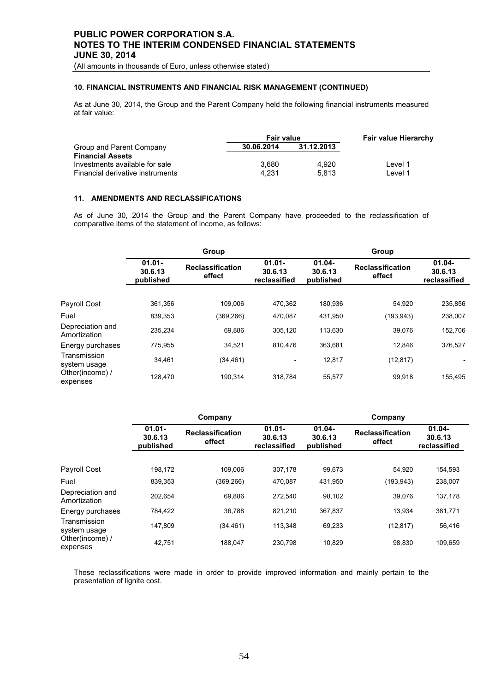(All amounts in thousands of Euro, unless otherwise stated)

# **10. FINANCIAL INSTRUMENTS AND FINANCIAL RISK MANAGEMENT (CONTINUED)**

As at June 30, 2014, the Group and the Parent Company held the following financial instruments measured at fair value:

|                                  | <b>Fair value</b> | <b>Fair value Hierarchy</b> |         |
|----------------------------------|-------------------|-----------------------------|---------|
| Group and Parent Company         | 30.06.2014        | 31.12.2013                  |         |
| <b>Financial Assets</b>          |                   |                             |         |
| Investments available for sale   | 3.680             | 4.920                       | Level 1 |
| Financial derivative instruments | 4.231             | 5.813                       | Level 1 |

# **11. AMENDMENTS AND RECLASSIFICATIONS**

As of June 30, 2014 the Group and the Parent Company have proceeded to the reclassification of comparative items of the statement of income, as follows:

|                                  | Group                                                                  |            |                                      | Group                             |                                   |                                      |  |
|----------------------------------|------------------------------------------------------------------------|------------|--------------------------------------|-----------------------------------|-----------------------------------|--------------------------------------|--|
|                                  | $01.01 -$<br><b>Reclassification</b><br>30.6.13<br>effect<br>published |            | $01.01 -$<br>30.6.13<br>reclassified | $01.04 -$<br>30.6.13<br>published | <b>Reclassification</b><br>effect | $01.04 -$<br>30.6.13<br>reclassified |  |
|                                  |                                                                        |            |                                      |                                   |                                   |                                      |  |
| Payroll Cost                     | 361.356                                                                | 109.006    | 470.362                              | 180.936                           | 54.920                            | 235,856                              |  |
| Fuel                             | 839.353                                                                | (369, 266) | 470.087                              | 431.950                           | (193, 943)                        | 238,007                              |  |
| Depreciation and<br>Amortization | 235,234                                                                | 69,886     | 305.120                              | 113.630                           | 39.076                            | 152,706                              |  |
| Energy purchases                 | 775.955                                                                | 34,521     | 810.476                              | 363,681                           | 12,846                            | 376,527                              |  |
| Transmission<br>system usage     | 34,461                                                                 | (34, 461)  | $\overline{\phantom{a}}$             | 12,817                            | (12, 817)                         |                                      |  |
| Other(income) /<br>expenses      | 128,470                                                                | 190,314    | 318,784                              | 55,577                            | 99,918                            | 155,495                              |  |

|                                  | Company                           |                                   |                                      | Company                           |                                   |                                      |  |
|----------------------------------|-----------------------------------|-----------------------------------|--------------------------------------|-----------------------------------|-----------------------------------|--------------------------------------|--|
|                                  | $01.01 -$<br>30.6.13<br>published | <b>Reclassification</b><br>effect | $01.01 -$<br>30.6.13<br>reclassified | $01.04 -$<br>30.6.13<br>published | <b>Reclassification</b><br>effect | $01.04 -$<br>30.6.13<br>reclassified |  |
| Payroll Cost                     | 198,172                           | 109.006                           | 307.178                              | 99,673                            | 54.920                            | 154,593                              |  |
|                                  |                                   |                                   |                                      |                                   |                                   |                                      |  |
| Fuel                             | 839.353                           | (369, 266)                        | 470.087                              | 431.950                           | (193,943)                         | 238,007                              |  |
| Depreciation and<br>Amortization | 202.654                           | 69.886                            | 272.540                              | 98,102                            | 39.076                            | 137,178                              |  |
| Energy purchases                 | 784.422                           | 36.788                            | 821.210                              | 367.837                           | 13.934                            | 381,771                              |  |
| Transmission<br>system usage     | 147.809                           | (34, 461)                         | 113,348                              | 69,233                            | (12, 817)                         | 56,416                               |  |
| Other(income) /<br>expenses      | 42,751                            | 188.047                           | 230,798                              | 10,829                            | 98,830                            | 109,659                              |  |

These reclassifications were made in order to provide improved information and mainly pertain to the presentation of lignite cost.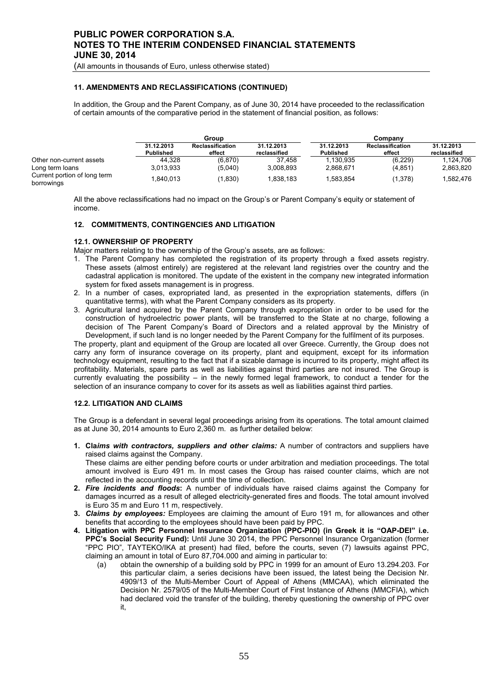(All amounts in thousands of Euro, unless otherwise stated)

## **11. AMENDMENTS AND RECLASSIFICATIONS (CONTINUED)**

In addition, the Group and the Parent Company, as of June 30, 2014 have proceeded to the reclassification of certain amounts of the comparative period in the statement of financial position, as follows:

|                                            | Group                          |                                   |                            | Company                 |                            |                            |
|--------------------------------------------|--------------------------------|-----------------------------------|----------------------------|-------------------------|----------------------------|----------------------------|
|                                            | 31.12.2013<br><b>Published</b> | <b>Reclassification</b><br>effect | 31.12.2013<br>reclassified | 31.12.2013<br>Published | Reclassification<br>effect | 31.12.2013<br>reclassified |
| Other non-current assets                   | 44.328                         | (6,870)                           | 37.458                     | 1.130.935               | (6, 229)                   | 1.124.706                  |
| Long term loans                            | 3.013.933                      | (5,040)                           | 3.008.893                  | 2.868.671               | (4, 851)                   | 2,863,820                  |
| Current portion of long term<br>borrowings | 840.013                        | (1,830)                           | 1.838.183                  | .583.854                | (1,378)                    | 1.582.476                  |

All the above reclassifications had no impact on the Group's or Parent Company's equity or statement of income.

#### **12. COMMITMENTS, CONTINGENCIES AND LITIGATION**

#### **12.1. OWNERSHIP OF PROPERTY**

Major matters relating to the ownership of the Group's assets, are as follows:

- 1. The Parent Company has completed the registration of its property through a fixed assets registry. These assets (almost entirely) are registered at the relevant land registries over the country and the cadastral application is monitored. The update of the existent in the company new integrated information system for fixed assets management is in progress.
- 2. In a number of cases, expropriated land, as presented in the expropriation statements, differs (in quantitative terms), with what the Parent Company considers as its property.
- 3. Agricultural land acquired by the Parent Company through expropriation in order to be used for the construction of hydroelectric power plants, will be transferred to the State at no charge, following a decision of The Parent Company's Board of Directors and a related approval by the Ministry of Development, if such land is no longer needed by the Parent Company for the fulfilment of its purposes.

The property, plant and equipment of the Group are located all over Greece. Currently, the Group does not carry any form of insurance coverage on its property, plant and equipment, except for its information technology equipment, resulting to the fact that if a sizable damage is incurred to its property, might affect its profitability. Materials, spare parts as well as liabilities against third parties are not insured. The Group is currently evaluating the possibility – in the newly formed legal framework, to conduct a tender for the selection of an insurance company to cover for its assets as well as liabilities against third parties.

# **12.2. LITIGATION AND CLAIMS**

The Group is a defendant in several legal proceedings arising from its operations. The total amount claimed as at June 30, 2014 amounts to Euro 2,360 m. as further detailed below:

**1. Cla***ims with contractors, suppliers and other claims:* A number of contractors and suppliers have raised claims against the Company.

These claims are either pending before courts or under arbitration and mediation proceedings. The total amount involved is Euro 491 m. In most cases the Group has raised counter claims, which are not reflected in the accounting records until the time of collection.

- **2.** *Fire incidents and floods***:** A number of individuals have raised claims against the Company for damages incurred as a result of alleged electricity-generated fires and floods. The total amount involved is Euro 35 m and Euro 11 m, respectively.
- **3.** *Claims by employees:* Employees are claiming the amount of Euro 191 m, for allowances and other benefits that according to the employees should have been paid by PPC.
- **4. Litigation with PPC Personnel Insurance Organization (PPC-PIO) (in Greek it is "OAP-DEI" i.e. PPC's Social Security Fund):** Until June 30 2014, the PPC Personnel Insurance Organization (former "PPC PIO", TAYTEKO/IKA at present) had filed, before the courts, seven (7) lawsuits against PPC, claiming an amount in total of Euro 87,704.000 and aiming in particular to:
	- (a) obtain the ownership of a building sold by PPC in 1999 for an amount of Euro 13.294.203. For this particular claim, a series decisions have been issued, the latest being the Decision Nr. 4909/13 of the Multi-Member Court of Appeal of Athens (MMCAA), which eliminated the Decision Nr. 2579/05 of the Multi-Member Court of First Instance of Athens (MMCFIA), which had declared void the transfer of the building, thereby questioning the ownership of PPC over it,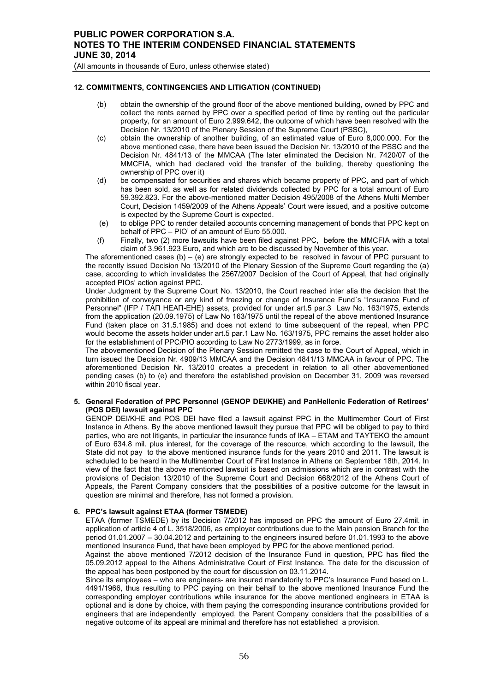(All amounts in thousands of Euro, unless otherwise stated)

# **12. COMMITMENTS, CONTINGENCIES AND LITIGATION (CONTINUED)**

- (b) obtain the ownership of the ground floor of the above mentioned building, owned by PPC and collect the rents earned by PPC over a specified period of time by renting out the particular property, for an amount of Euro 2.999.642, the outcome of which have been resolved with the Decision Nr. 13/2010 of the Plenary Session of the Supreme Court (PSSC),
- (c) obtain the ownership of another building, of an estimated value of Euro 8,000.000. For the above mentioned case, there have been issued the Decision Nr. 13/2010 of the PSSC and the Decision Nr. 4841/13 of the MMCAA (The later eliminated the Decision Nr. 7420/07 of the MMCFIA, which had declared void the transfer of the building, thereby questioning the ownership of PPC over it)
- (d) be compensated for securities and shares which became property of PPC, and part of which has been sold, as well as for related dividends collected by PPC for a total amount of Euro 59.392.823. For the above-mentioned matter Decision 495/2008 of the Athens Multi Member Court, Decision 1459/2009 of the Athens Appeals' Court were issued, and a positive outcome is expected by the Supreme Court is expected.
- (e) to oblige PPC to render detailed accounts concerning management of bonds that PPC kept on behalf of PPC – PIO' of an amount of Euro 55.000.
- (f) Finally, two (2) more lawsuits have been filed against PPC, before the MMCFIA with a total claim of 3.961.923 Euro, and which are to be discussed by November of this year.

The aforementioned cases  $(b) - (e)$  are strongly expected to be resolved in favour of PPC pursuant to the recently issued Decision No 13/2010 of the Plenary Session of the Supreme Court regarding the (a) case, according to which invalidates the 2567/2007 Decision of the Court of Appeal, that had originally accepted PIOs' action against PPC.

Under Judgment by the Supreme Court No. 13/2010, the Court reached inter alia the decision that the prohibition of conveyance or any kind of freezing or change of Insurance Fund´s "Insurance Fund of Personnel" (IFP / ΤΑΠ ΗΕΑΠ-ΕΗΕ) assets, provided for under art.5 par.3 Law No. 163/1975, extends from the application (20.09.1975) of Law No 163/1975 until the repeal of the above mentioned Insurance Fund (taken place on 31.5.1985) and does not extend to time subsequent of the repeal, when PPC would become the assets holder under art.5 par.1 Law No. 163/1975, PPC remains the asset holder also for the establishment of PPC/PIO according to Law No 2773/1999, as in force.

The abovementioned Decision of the Plenary Session remitted the case to the Court of Appeal, which in turn issued the Decision Nr. 4909/13 MMCAA and the Decision 4841/13 MMCAA in favour of PPC. The aforementioned Decision Nr. 13/2010 creates a precedent in relation to all other abovementioned pending cases (b) to (e) and therefore the established provision on December 31, 2009 was reversed within 2010 fiscal year.

### **5. General Federation of PPC Personnel (GENOP DEI/KHE) and PanHellenic Federation of Retirees' (POS DEI) lawsuit against PPC**

GENOP DEI/KHE and POS DEI have filed a lawsuit against PPC in the Multimember Court of First Instance in Athens. By the above mentioned lawsuit they pursue that PPC will be obliged to pay to third parties, who are not litigants, in particular the insurance funds of IKA – ETAM and TAYTEKO the amount of Euro 634.8 mil. plus interest, for the coverage of the resource, which according to the lawsuit, the State did not pay to the above mentioned insurance funds for the years 2010 and 2011. The lawsuit is scheduled to be heard in the Multimember Court of First Instance in Athens on September 18th, 2014. In view of the fact that the above mentioned lawsuit is based on admissions which are in contrast with the provisions of Decision 13/2010 of the Supreme Court and Decision 668/2012 of the Athens Court of Appeals, the Parent Company considers that the possibilities of a positive outcome for the lawsuit in question are minimal and therefore, has not formed a provision.

# **6. PPC's lawsuit against ETAA (former TSMEDE)**

ETAA (former TSMEDE) by its Decision 7/2012 has imposed on PPC the amount of Euro 27.4mil. in application of article 4 of L. 3518/2006, as employer contributions due to the Main pension Branch for the period 01.01.2007 – 30.04.2012 and pertaining to the engineers insured before 01.01.1993 to the above mentioned Insurance Fund, that have been employed by PPC for the above mentioned period.

Against the above mentioned 7/2012 decision of the Insurance Fund in question, PPC has filed the 05.09.2012 appeal to the Athens Administrative Court of First Instance. The date for the discussion of the appeal has been postponed by the court for discussion on 03.11.2014.

Since its employees – who are engineers- are insured mandatorily to PPC's Insurance Fund based on L. 4491/1966, thus resulting to PPC paying on their behalf to the above mentioned Insurance Fund the corresponding employer contributions while insurance for the above mentioned engineers in ETAA is optional and is done by choice, with them paying the corresponding insurance contributions provided for engineers that are independently employed, the Parent Company considers that the possibilities of a negative outcome of its appeal are minimal and therefore has not established a provision.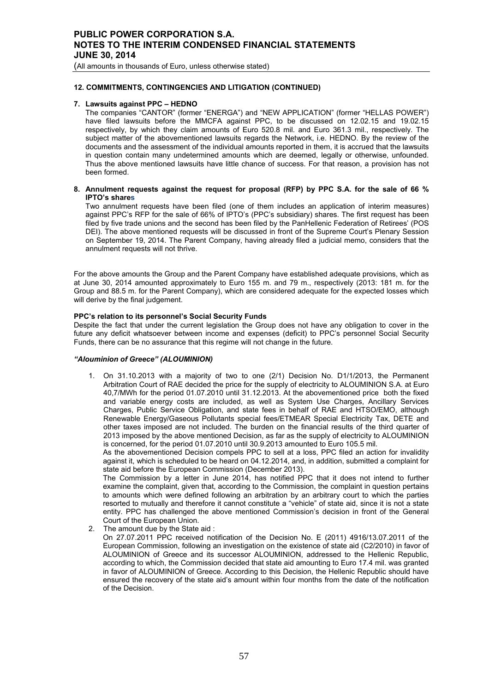(All amounts in thousands of Euro, unless otherwise stated)

#### **12. COMMITMENTS, CONTINGENCIES AND LITIGATION (CONTINUED)**

### **7. Lawsuits against PPC – HEDNO**

The companies "CANTOR" (former "ENERGA") and "NEW APPLICATION" (former "HELLAS POWER") have filed lawsuits before the MMCFA against PPC, to be discussed on 12.02.15 and 19.02.15 respectively, by which they claim amounts of Euro 520.8 mil. and Euro 361.3 mil., respectively. The subject matter of the abovementioned lawsuits regards the Network, i.e. HEDNO. By the review of the documents and the assessment of the individual amounts reported in them, it is accrued that the lawsuits in question contain many undetermined amounts which are deemed, legally or otherwise, unfounded. Thus the above mentioned lawsuits have little chance of success. For that reason, a provision has not been formed.

#### **8. Annulment requests against the request for proposal (RFP) by PPC S.A. for the sale of 66 % IPTO's shares**

Two annulment requests have been filed (one of them includes an application of interim measures) against PPC's RFP for the sale of 66% of IPTO's (PPC's subsidiary) shares. The first request has been filed by five trade unions and the second has been filed by the PanHellenic Federation of Retirees' (POS DEI). The above mentioned requests will be discussed in front of the Supreme Court's Plenary Session on September 19, 2014. The Parent Company, having already filed a judicial memo, considers that the annulment requests will not thrive.

For the above amounts the Group and the Parent Company have established adequate provisions, which as at June 30, 2014 amounted approximately to Euro 155 m. and 79 m., respectively (2013: 181 m. for the Group and 88.5 m. for the Parent Company), which are considered adequate for the expected losses which will derive by the final judgement.

#### **PPC's relation to its personnel's Social Security Funds**

Despite the fact that under the current legislation the Group does not have any obligation to cover in the future any deficit whatsoever between income and expenses (deficit) to PPC's personnel Social Security Funds, there can be no assurance that this regime will not change in the future.

#### *"Αlouminion of Greece" (ALOUMINION)*

1. On 31.10.2013 with a majority of two to one (2/1) Decision No. D1/1/2013, the Permanent Arbitration Court of RAE decided the price for the supply of electricity to ALOUMINION S.A. at Euro 40,7/MWh for the period 01.07.2010 until 31.12.2013. At the abovementioned price both the fixed and variable energy costs are included, as well as System Use Charges, Ancillary Services Charges, Public Service Obligation, and state fees in behalf of RAE and HTSO/EMO, although Renewable Energy/Gaseous Pollutants special fees/ETMEAR Special Electricity Tax, DETE and other taxes imposed are not included. The burden on the financial results of the third quarter of 2013 imposed by the above mentioned Decision, as far as the supply of electricity to ALOUMINION is concerned, for the period 01.07.2010 until 30.9.2013 amounted to Euro 105.5 mil.

As the abovementioned Decision compels PPC to sell at a loss, PPC filed an action for invalidity against it, which is scheduled to be heard on 04.12.2014, and, in addition, submitted a complaint for state aid before the European Commission (December 2013).

The Commission by a letter in June 2014, has notified PPC that it does not intend to further examine the complaint, given that, according to the Commission, the complaint in question pertains to amounts which were defined following an arbitration by an arbitrary court to which the parties resorted to mutually and therefore it cannot constitute a "vehicle" of state aid, since it is not a state entity. PPC has challenged the above mentioned Commission's decision in front of the General Court of the European Union.

2. The amount due by the State aid :

On 27.07.2011 PPC received notification of the Decision No. E (2011) 4916/13.07.2011 of the European Commission, following an investigation on the existence of state aid (C2/2010) in favor of ALOUMINION of Greece and its successor ALOUMINION, addressed to the Hellenic Republic, according to which, the Commission decided that state aid amounting to Euro 17.4 mil. was granted in favor of ALOUMINION of Greece. According to this Decision, the Hellenic Republic should have ensured the recovery of the state aid's amount within four months from the date of the notification of the Decision.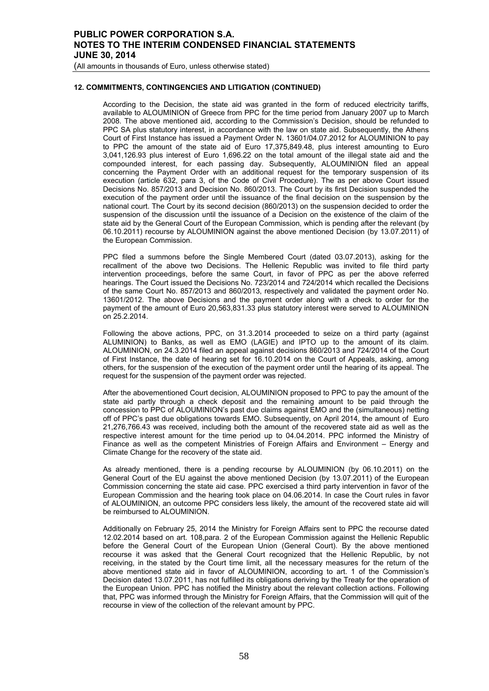## **12. COMMITMENTS, CONTINGENCIES AND LITIGATION (CONTINUED)**

According to the Decision, the state aid was granted in the form of reduced electricity tariffs, available to ALOUMINION of Greece from PPC for the time period from January 2007 up to March 2008. The above mentioned aid, according to the Commission's Decision, should be refunded to PPC SA plus statutory interest, in accordance with the law on state aid. Subsequently, the Athens Court of First Instance has issued a Payment Order N. 13601/04.07.2012 for ALOUMINION to pay to PPC the amount of the state aid of Euro 17,375,849.48, plus interest amounting to Euro 3,041,126.93 plus interest of Euro 1,696.22 on the total amount of the illegal state aid and the compounded interest, for each passing day. Subsequently, ALOUMINION filed an appeal concerning the Payment Order with an additional request for the temporary suspension of its execution (article 632, para 3, of the Code of Civil Procedure). The as per above Court issued Decisions No. 857/2013 and Decision No. 860/2013. The Court by its first Decision suspended the execution of the payment order until the issuance of the final decision on the suspension by the national court. The Court by its second decision (860/2013) on the suspension decided to order the suspension of the discussion until the issuance of a Decision on the existence of the claim of the state aid by the General Court of the European Commission, which is pending after the relevant (by 06.10.2011) recourse by ALOUMINION against the above mentioned Decision (by 13.07.2011) of the European Commission.

PPC filed a summons before the Single Membered Court (dated 03.07.2013), asking for the recallment of the above two Decisions. The Hellenic Republic was invited to file third party intervention proceedings, before the same Court, in favor of PPC as per the above referred hearings. The Court issued the Decisions No. 723/2014 and 724/2014 which recalled the Decisions of the same Court No. 857/2013 and 860/2013, respectively and validated the payment order No. 13601/2012. The above Decisions and the payment order along with a check to order for the payment of the amount of Euro 20,563,831.33 plus statutory interest were served to ALOUMINION on 25.2.2014.

Following the above actions, PPC, on 31.3.2014 proceeded to seize on a third party (against ALUMINION) to Banks, as well as EMO (LAGIE) and IPTO up to the amount of its claim. ALOUMINION, on 24.3.2014 filed an appeal against decisions 860/2013 and 724/2014 of the Court of First Instance, the date of hearing set for 16.10.2014 on the Court of Appeals, asking, among others, for the suspension of the execution of the payment order until the hearing of its appeal. The request for the suspension of the payment order was rejected.

After the abovementioned Court decision, ALOUMINION proposed to PPC to pay the amount of the state aid partly through a check deposit and the remaining amount to be paid through the concession to PPC of ALOUMINION's past due claims against EMO and the (simultaneous) netting off of PPC's past due obligations towards EMO. Subsequently, on April 2014, the amount of Euro 21,276,766.43 was received, including both the amount of the recovered state aid as well as the respective interest amount for the time period up to 04.04.2014. PPC informed the Ministry of Finance as well as the competent Ministries of Foreign Affairs and Environment – Energy and Climate Change for the recovery of the state aid.

As already mentioned, there is a pending recourse by ALOUMINION (by 06.10.2011) on the General Court of the EU against the above mentioned Decision (by 13.07.2011) of the European Commission concerning the state aid case. PPC exercised a third party intervention in favor of the European Commission and the hearing took place on 04.06.2014. In case the Court rules in favor of ALOUMINION, an outcome PPC considers less likely, the amount of the recovered state aid will be reimbursed to ALOUMINION.

Additionally on February 25, 2014 the Ministry for Foreign Affairs sent to PPC the recourse dated 12.02.2014 based on art. 108,para. 2 of the European Commission against the Hellenic Republic before the General Court of the European Union (General Court). By the above mentioned recourse it was asked that the General Court recognized that the Hellenic Republic, by not receiving, in the stated by the Court time limit, all the necessary measures for the return of the above mentioned state aid in favor of ALOUMINION, according to art. 1 of the Commission's Decision dated 13.07.2011, has not fulfilled its obligations deriving by the Treaty for the operation of the European Union. PPC has notified the Ministry about the relevant collection actions. Following that, PPC was informed through the Ministry for Foreign Affairs, that the Commission will quit of the recourse in view of the collection of the relevant amount by PPC.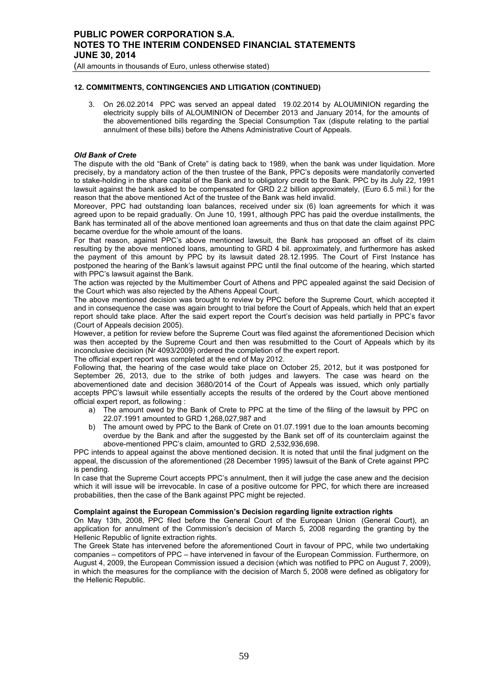(All amounts in thousands of Euro, unless otherwise stated)

## **12. COMMITMENTS, CONTINGENCIES AND LITIGATION (CONTINUED)**

3. On 26.02.2014 PPC was served an appeal dated 19.02.2014 by ALOUMINION regarding the electricity supply bills of ALOUMINION of December 2013 and January 2014, for the amounts of the abovementioned bills regarding the Special Consumption Tax (dispute relating to the partial annulment of these bills) before the Athens Administrative Court of Appeals.

## *Old Bank of Crete*

The dispute with the old "Bank of Crete" is dating back to 1989, when the bank was under liquidation. More precisely, by a mandatory action of the then trustee of the Bank, PPC's deposits were mandatorily converted to stake-holding in the share capital of the Bank and to obligatory credit to the Bank. PPC by its July 22, 1991 lawsuit against the bank asked to be compensated for GRD 2.2 billion approximately, (Euro 6.5 mil.) for the reason that the above mentioned Act of the trustee of the Bank was held invalid.

Moreover, PPC had outstanding loan balances, received under six (6) loan agreements for which it was agreed upon to be repaid gradually. On June 10, 1991, although PPC has paid the overdue installments, the Bank has terminated all of the above mentioned loan agreements and thus on that date the claim against PPC became overdue for the whole amount of the loans.

For that reason, against PPC's above mentioned lawsuit, the Bank has proposed an offset of its claim resulting by the above mentioned loans, amounting to GRD 4 bil. approximately, and furthermore has asked the payment of this amount by PPC by its lawsuit dated 28.12.1995. The Court of First Instance has postponed the hearing of the Bank's lawsuit against PPC until the final outcome of the hearing, which started with PPC's lawsuit against the Bank.

The action was rejected by the Multimember Court of Athens and PPC appealed against the said Decision of the Court which was also rejected by the Athens Appeal Court.

The above mentioned decision was brought to review by PPC before the Supreme Court, which accepted it and in consequence the case was again brought to trial before the Court of Appeals, which held that an expert report should take place. After the said expert report the Court's decision was held partially in PPC's favor (Court of Appeals decision 2005).

However, a petition for review before the Supreme Court was filed against the aforementioned Decision which was then accepted by the Supreme Court and then was resubmitted to the Court of Appeals which by its inconclusive decision (Nr 4093/2009) ordered the completion of the expert report.

The official expert report was completed at the end of May 2012.

Following that, the hearing of the case would take place on October 25, 2012, but it was postponed for September 26, 2013, due to the strike of both judges and lawyers. The case was heard on the abovementioned date and decision 3680/2014 of the Court of Appeals was issued, which only partially accepts PPC's lawsuit while essentially accepts the results of the ordered by the Court above mentioned official expert report, as following :

- a) The amount owed by the Bank of Crete to PPC at the time of the filing of the lawsuit by PPC on 22.07.1991 amounted to GRD 1,268,027,987 and
- b) The amount owed by PPC to the Bank of Crete on 01.07.1991 due to the loan amounts becoming overdue by the Bank and after the suggested by the Bank set off of its counterclaim against the above-mentioned PPC's claim, amounted to GRD 2,532,936,698.

PPC intends to appeal against the above mentioned decision. It is noted that until the final judgment on the appeal, the discussion of the aforementioned (28 December 1995) lawsuit of the Bank of Crete against PPC is pending.

In case that the Supreme Court accepts PPC's annulment, then it will judge the case anew and the decision which it will issue will be irrevocable. In case of a positive outcome for PPC, for which there are increased probabilities, then the case of the Bank against PPC might be rejected.

#### **Complaint against the European Commission's Decision regarding lignite extraction rights**

On May 13th, 2008, PPC filed before the General Court of the European Union (General Court), an application for annulment of the Commission's decision of March 5, 2008 regarding the granting by the Hellenic Republic of lignite extraction rights.

The Greek State has intervened before the aforementioned Court in favour of PPC, while two undertaking companies – competitors of PPC – have intervened in favour of the European Commission. Furthermore, on August 4, 2009, the European Commission issued a decision (which was notified to PPC on August 7, 2009), in which the measures for the compliance with the decision of March 5, 2008 were defined as obligatory for the Hellenic Republic.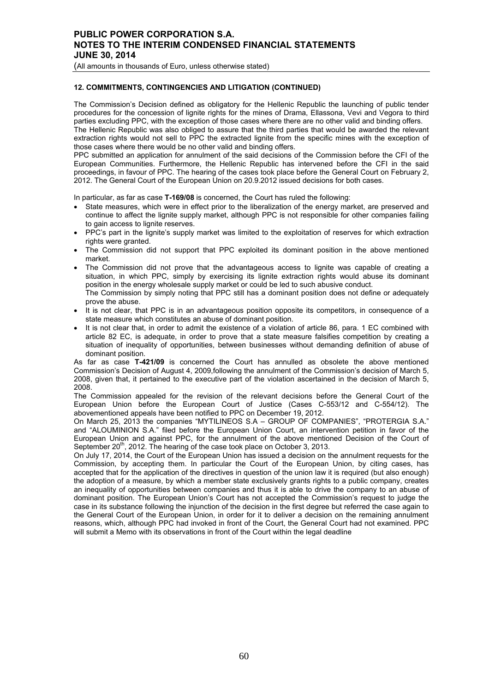(All amounts in thousands of Euro, unless otherwise stated)

## **12. COMMITMENTS, CONTINGENCIES AND LITIGATION (CONTINUED)**

The Commission's Decision defined as obligatory for the Hellenic Republic the launching of public tender procedures for the concession of lignite rights for the mines of Drama, Εllassona, Vevi and Vegora to third parties excluding PPC, with the exception of those cases where there are no other valid and binding offers.

The Hellenic Republic was also obliged to assure that the third parties that would be awarded the relevant extraction rights would not sell to PPC the extracted lignite from the specific mines with the exception of those cases where there would be no other valid and binding offers.

PPC submitted an application for annulment of the said decisions of the Commission before the CFI of the European Communities. Furthermore, the Hellenic Republic has intervened before the CFI in the said proceedings, in favour of PPC. The hearing of the cases took place before the General Court on February 2, 2012. The General Court of the European Union on 20.9.2012 issued decisions for both cases.

In particular, as far as case **T-169/08** is concerned, the Court has ruled the following:

- State measures, which were in effect prior to the liberalization of the energy market, are preserved and continue to affect the lignite supply market, although PPC is not responsible for other companies failing to gain access to lignite reserves.
- PPC's part in the lignite's supply market was limited to the exploitation of reserves for which extraction rights were granted.
- The Commission did not support that PPC exploited its dominant position in the above mentioned market.
- The Commission did not prove that the advantageous access to lignite was capable of creating a situation, in which PPC, simply by exercising its lignite extraction rights would abuse its dominant position in the energy wholesale supply market or could be led to such abusive conduct. The Commission by simply noting that PPC still has a dominant position does not define or adequately prove the abuse.
- It is not clear, that PPC is in an advantageous position opposite its competitors, in consequence of a state measure which constitutes an abuse of dominant position.
- It is not clear that, in order to admit the existence of a violation of article 86, para. 1 EC combined with article 82 EC, is adequate, in order to prove that a state measure falsifies competition by creating a situation of inequality of opportunities, between businesses without demanding definition of abuse of dominant position.

As far as case **T-421/09** is concerned the Court has annulled as obsolete the above mentioned Commission's Decision of August 4, 2009,following the annulment of the Commission's decision of March 5, 2008, given that, it pertained to the executive part of the violation ascertained in the decision of March 5, 2008.

The Commission appealed for the revision of the relevant decisions before the General Court of the European Union before the European Court of Justice (Cases C-553/12 and C-554/12). The abovementioned appeals have been notified to PPC on December 19, 2012.

On March 25, 2013 the companies "MYTILINEOS S.A – GROUP OF COMPANIES", "PROTERGIA S.A." and "ALOUMINION S.A." filed before the European Union Court, an intervention petition in favor of the European Union and against PPC, for the annulment of the above mentioned Decision of the Court of September 20<sup>th</sup>, 2012. The hearing of the case took place on October 3, 2013.

On July 17, 2014, the Court of the European Union has issued a decision on the annulment requests for the Commission, by accepting them. In particular the Court of the European Union, by citing cases, has accepted that for the application of the directives in question of the union law it is required (but also enough) the adoption of a measure, by which a member state exclusively grants rights to a public company, creates an inequality of opportunities between companies and thus it is able to drive the company to an abuse of dominant position. The European Union's Court has not accepted the Commission's request to judge the case in its substance following the injunction of the decision in the first degree but referred the case again to the General Court of the European Union, in order for it to deliver a decision on the remaining annulment reasons, which, although PPC had invoked in front of the Court, the General Court had not examined. PPC will submit a Memo with its observations in front of the Court within the legal deadline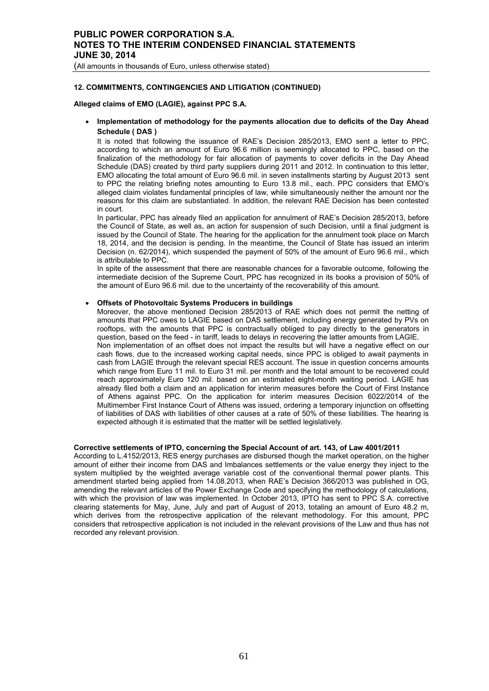(All amounts in thousands of Euro, unless otherwise stated)

# **12. COMMITMENTS, CONTINGENCIES AND LITIGATION (CONTINUED)**

## **Alleged claims of EMO (LAGIE), against PPC S.A.**

• **Implementation of methodology for the payments allocation due to deficits of the Day Ahead Schedule ( DAS )** 

 It is noted that following the issuance of RAE's Decision 285/2013, EMO sent a letter to PPC, according to which an amount of Euro 96.6 million is seemingly allocated to PPC, based on the finalization of the methodology for fair allocation of payments to cover deficits in the Day Ahead Schedule (DAS) created by third party suppliers during 2011 and 2012. In continuation to this letter, EMO allocating the total amount of Euro 96.6 mil. in seven installments starting by August 2013 sent to PPC the relating briefing notes amounting to Euro 13.8 mil., each. PPC considers that EMO's alleged claim violates fundamental principles of law, while simultaneously neither the amount nor the reasons for this claim are substantiated. In addition, the relevant RAE Decision has been contested in court.

In particular, PPC has already filed an application for annulment of RAE's Decision 285/2013, before the Council of State, as well as, an action for suspension of such Decision, until a final judgment is issued by the Council of State. The hearing for the application for the annulment took place on March 18, 2014, and the decision is pending. In the meantime, the Council of State has issued an interim Decision (n. 62/2014), which suspended the payment of 50% of the amount of Euro 96.6 mil., which is attributable to PPC.

In spite of the assessment that there are reasonable chances for a favorable outcome, following the intermediate decision of the Supreme Court, PPC has recognized in its books a provision of 50% of the amount of Euro 96.6 mil. due to the uncertainty of the recoverability of this amount.

### • **Offsets of Photovoltaic Systems Producers in buildings**

Moreover, the above mentioned Decision 285/2013 of RAE which does not permit the netting of amounts that PPC owes to LAGIE based on DAS settlement, including energy generated by PVs on rooftops, with the amounts that PPC is contractually obliged to pay directly to the generators in question, based on the feed - in tariff, leads to delays in recovering the latter amounts from LAGIE. Non implementation of an offset does not impact the results but will have a negative effect on our cash flows, due to the increased working capital needs, since PPC is obliged to await payments in cash from LAGIE through the relevant special RES account. The issue in question concerns amounts which range from Euro 11 mil. to Euro 31 mil. per month and the total amount to be recovered could reach approximately Euro 120 mil. based on an estimated eight-month waiting period. LAGIE has already filed both a claim and an application for interim measures before the Court of First Instance of Athens against PPC. On the application for interim measures Decision 6022/2014 of the Multimember First Instance Court of Athens was issued, ordering a temporary injunction on offsetting of liabilities of DAS with liabilities of other causes at a rate of 50% of these liabilities. The hearing is expected although it is estimated that the matter will be settled legislatively.

### **Corrective settlements of IPTO, concerning the Special Account of art. 143, of Law 4001/2011**

According to L.4152/2013, RES energy purchases are disbursed though the market operation, on the higher amount of either their income from DAS and Imbalances settlements or the value energy they inject to the system multiplied by the weighted average variable cost of the conventional thermal power plants. This amendment started being applied from 14.08.2013, when RAE's Decision 366/2013 was published in OG, amending the relevant articles of the Power Exchange Code and specifying the methodology of calculations, with which the provision of law was implemented. In October 2013, IPTO has sent to PPC S.A. corrective clearing statements for May, June, July and part of August of 2013, totaling an amount of Euro 48.2 m, which derives from the retrospective application of the relevant methodology. For this amount, PPC considers that retrospective application is not included in the relevant provisions of the Law and thus has not recorded any relevant provision.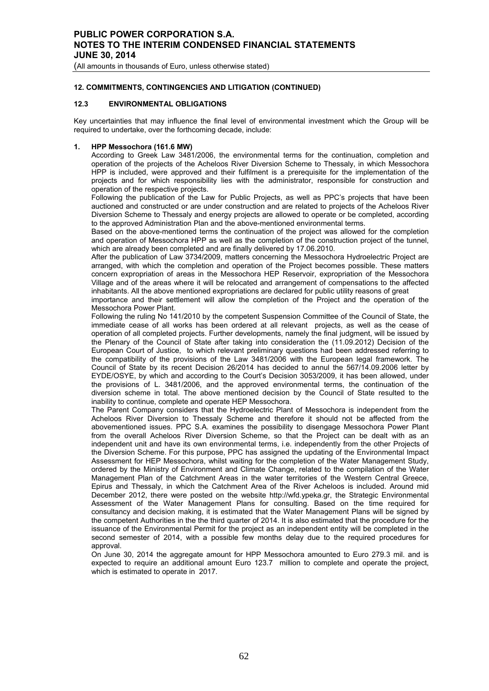(All amounts in thousands of Euro, unless otherwise stated)

## **12. COMMITMENTS, CONTINGENCIES AND LITIGATION (CONTINUED)**

## **12.3 ENVIRONMENTAL OBLIGATIONS**

Key uncertainties that may influence the final level of environmental investment which the Group will be required to undertake, over the forthcoming decade, include:

#### **1. HPP Messochora (161.6 MW)**

According to Greek Law 3481/2006, the environmental terms for the continuation, completion and operation of the projects of the Acheloos River Diversion Scheme to Thessaly, in which Messochora HPP is included, were approved and their fulfilment is a prerequisite for the implementation of the projects and for which responsibility lies with the administrator, responsible for construction and operation of the respective projects.

Following the publication of the Law for Public Projects, as well as PPC's projects that have been auctioned and constructed or are under construction and are related to projects of the Acheloos River Diversion Scheme to Thessaly and energy projects are allowed to operate or be completed, according to the approved Administration Plan and the above-mentioned environmental terms.

Based on the above-mentioned terms the continuation of the project was allowed for the completion and operation of Messochora HPP as well as the completion of the construction project of the tunnel, which are already been completed and are finally delivered by 17.06.2010.

After the publication of Law 3734/2009, matters concerning the Messochora Hydroelectric Project are arranged, with which the completion and operation of the Project becomes possible. These matters concern expropriation of areas in the Messochora HEP Reservoir, expropriation of the Messochora Village and of the areas where it will be relocated and arrangement of compensations to the affected inhabitants. All the above mentioned expropriations are declared for public utility reasons of great

importance and their settlement will allow the completion of the Project and the operation of the Messochora Power Plant.

Following the ruling No 141/2010 by the competent Suspension Committee of the Council of State, the immediate cease of all works has been ordered at all relevant projects, as well as the cease of operation of all completed projects. Further developments, namely the final judgment, will be issued by the Plenary of the Council of State after taking into consideration the (11.09.2012) Decision of the European Court of Justice, to which relevant preliminary questions had been addressed referring to the compatibility of the provisions of the Law 3481/2006 with the European legal framework. The Council of State by its recent Decision 26/2014 has decided to annul the 567/14.09.2006 letter by EYDE/OSYE, by which and according to the Court's Decision 3053/2009, it has been allowed, under the provisions of L. 3481/2006, and the approved environmental terms, the continuation of the diversion scheme in total. The above mentioned decision by the Council of State resulted to the inability to continue, complete and operate HEP Messochora.

The Parent Company considers that the Hydroelectric Plant of Messochora is independent from the Acheloos River Diversion to Thessaly Scheme and therefore it should not be affected from the abovementioned issues. PPC S.A. examines the possibility to disengage Messochora Power Plant from the overall Acheloos River Diversion Scheme, so that the Project can be dealt with as an independent unit and have its own environmental terms, i.e. independently from the other Projects of the Diversion Scheme. For this purpose, PPC has assigned the updating of the Environmental Impact Assessment for HEP Messochora, whilst waiting for the completion of the Water Management Study, ordered by the Ministry of Environment and Climate Change, related to the compilation of the Water Management Plan of the Catchment Areas in the water territories of the Western Central Greece, Epirus and Thessaly, in which the Catchment Area of the River Acheloos is included. Around mid December 2012, there were posted on the website http://wfd.ypeka.gr, the Strategic Environmental Assessment of the Water Management Plans for consulting. Based on the time required for consultancy and decision making, it is estimated that the Water Management Plans will be signed by the competent Authorities in the the third quarter of 2014. It is also estimated that the procedure for the issuance of the Environmental Permit for the project as an independent entity will be completed in the second semester of 2014, with a possible few months delay due to the required procedures for approval

On June 30, 2014 the aggregate amount for HPP Messochora amounted to Euro 279.3 mil. and is expected to require an additional amount Euro 123.7 million to complete and operate the project, which is estimated to operate in 2017.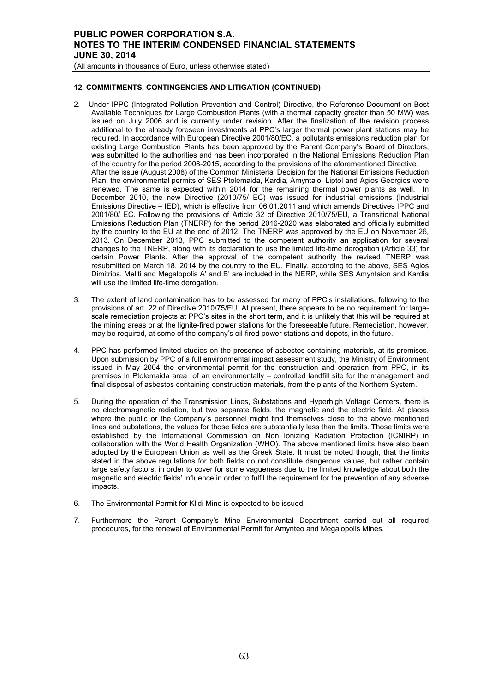(All amounts in thousands of Euro, unless otherwise stated)

## **12. COMMITMENTS, CONTINGENCIES AND LITIGATION (CONTINUED)**

- 2. Under IPPC (Integrated Pollution Prevention and Control) Directive, the Reference Document on Best Available Techniques for Large Combustion Plants (with a thermal capacity greater than 50 MW) was issued on July 2006 and is currently under revision. After the finalization of the revision process additional to the already foreseen investments at PPC's larger thermal power plant stations may be required. In accordance with European Directive 2001/80/EC, a pollutants emissions reduction plan for existing Large Combustion Plants has been approved by the Parent Company's Board of Directors, was submitted to the authorities and has been incorporated in the National Emissions Reduction Plan of the country for the period 2008-2015, according to the provisions of the aforementioned Directive. After the issue (August 2008) of the Common Ministerial Decision for the National Emissions Reduction Plan, the environmental permits of SES Ptolemaida, Kardia, Amyntaio, Liptol and Agios Georgios were renewed. The same is expected within 2014 for the remaining thermal power plants as well. In December 2010, the new Directive (2010/75/ EC) was issued for industrial emissions (Industrial Emissions Directive – IED), which is effective from 06.01.2011 and which amends Directives IPPC and 2001/80/ EC. Following the provisions of Article 32 of Directive 2010/75/EU, a Transitional National Emissions Reduction Plan (TNERP) for the period 2016-2020 was elaborated and officially submitted by the country to the EU at the end of 2012. The TNERP was approved by the EU on November 26, 2013. On December 2013, PPC submitted to the competent authority an application for several changes to the TNERP, along with its declaration to use the limited life-time derogation (Article 33) for certain Power Plants. After the approval of the competent authority the revised TNERP was resubmitted on March 18, 2014 by the country to the EU. Finally, according to the above, SES Agios Dimitrios, Meliti and Megalopolis A' and B' are included in the NERP, while SES Amyntaion and Kardia will use the limited life-time derogation.
- 3. The extent of land contamination has to be assessed for many of PPC's installations, following to the provisions of art. 22 of Directive 2010/75/EU. At present, there appears to be no requirement for largescale remediation projects at PPC's sites in the short term, and it is unlikely that this will be required at the mining areas or at the lignite-fired power stations for the foreseeable future. Remediation, however, may be required, at some of the company's oil-fired power stations and depots, in the future.
- 4. PPC has performed limited studies on the presence of asbestos-containing materials, at its premises. Upon submission by PPC of a full environmental impact assessment study, the Ministry of Environment issued in May 2004 the environmental permit for the construction and operation from PPC, in its premises in Ptolemaida area of an environmentally – controlled landfill site for the management and final disposal of asbestos containing construction materials, from the plants of the Northern System.
- 5. During the operation of the Transmission Lines, Substations and Hyperhigh Voltage Centers, there is no electromagnetic radiation, but two separate fields, the magnetic and the electric field. At places where the public or the Company's personnel might find themselves close to the above mentioned lines and substations, the values for those fields are substantially less than the limits. Those limits were established by the International Commission on Non Ionizing Radiation Protection (ICNIRP) in collaboration with the World Health Organization (WHO). The above mentioned limits have also been adopted by the European Union as well as the Greek State. It must be noted though, that the limits stated in the above regulations for both fields do not constitute dangerous values, but rather contain large safety factors, in order to cover for some vagueness due to the limited knowledge about both the magnetic and electric fields' influence in order to fulfil the requirement for the prevention of any adverse impacts.
- 6. The Environmental Permit for Klidi Mine is expected to be issued.
- 7. Furthermore the Parent Company's Mine Environmental Department carried out all required procedures, for the renewal of Environmental Permit for Amynteo and Megalopolis Mines.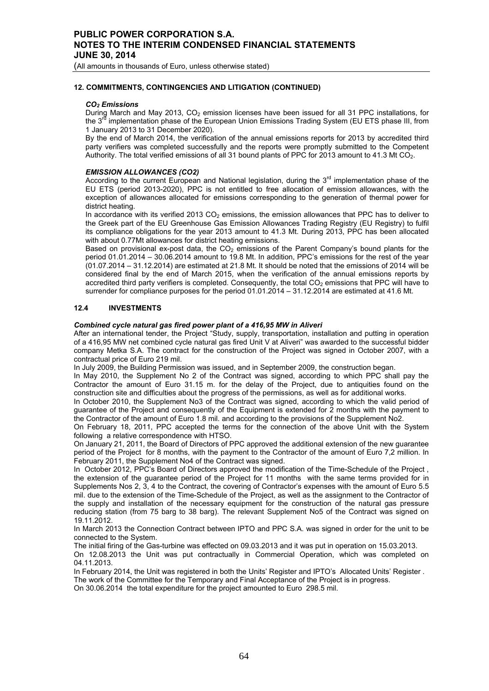(All amounts in thousands of Euro, unless otherwise stated)

# **12. COMMITMENTS, CONTINGENCIES AND LITIGATION (CONTINUED)**

#### *CO2 Emissions*

During March and May 2013,  $CO<sub>2</sub>$  emission licenses have been issued for all 31 PPC installations, for the 3<sup>rd</sup> implementation phase of the European Union Emissions Trading System (EU ETS phase III, from 1 January 2013 to 31 December 2020).

By the end of March 2014, the verification of the annual emissions reports for 2013 by accredited third party verifiers was completed successfully and the reports were promptly submitted to the Competent Authority. The total verified emissions of all 31 bound plants of PPC for 2013 amount to 41.3 Mt CO<sub>2</sub>.

### *EMISSION ALLOWANCES (CO2)*

According to the current European and National legislation, during the 3<sup>rd</sup> implementation phase of the EU ETS (period 2013-2020), PPC is not entitled to free allocation of emission allowances, with the exception of allowances allocated for emissions corresponding to the generation of thermal power for district heating.

In accordance with its verified 2013  $CO<sub>2</sub>$  emissions, the emission allowances that PPC has to deliver to the Greek part of the EU Greenhouse Gas Emission Allowances Trading Registry (EU Registry) to fulfil its compliance obligations for the year 2013 amount to 41.3 Mt. During 2013, PPC has been allocated with about 0.77Mt allowances for district heating emissions.

Based on provisional ex-post data, the  $CO<sub>2</sub>$  emissions of the Parent Company's bound plants for the period 01.01.2014 – 30.06.2014 amount to 19.8 Mt. In addition, PPC's emissions for the rest of the year (01.07.2014 – 31.12.2014) are estimated at 21.8 Mt. It should be noted that the emissions of 2014 will be considered final by the end of March 2015, when the verification of the annual emissions reports by accredited third party verifiers is completed. Consequently, the total CO<sub>2</sub> emissions that PPC will have to surrender for compliance purposes for the period 01.01.2014 – 31.12.2014 are estimated at 41.6 Mt.

## **12.4 INVESTMENTS**

#### *Combined cycle natural gas fired power plant of a 416,95 ΜW in Aliveri*

After an international tender, the Project "Study, supply, transportation, installation and putting in operation of a 416,95 MW net combined cycle natural gas fired Unit V at Aliveri" was awarded to the successful bidder company Metka S.A. The contract for the construction of the Project was signed in October 2007, with a contractual price of Euro 219 mil.

In July 2009, the Building Permission was issued, and in September 2009, the construction began.

In May 2010, the Supplement No 2 of the Contract was signed, according to which PPC shall pay the Contractor the amount of Euro 31.15 m. for the delay of the Project, due to antiquities found on the construction site and difficulties about the progress of the permissions, as well as for additional works.

In October 2010, the Supplement No3 of the Contract was signed, according to which the valid period of guarantee of the Project and consequently of the Equipment is extended for 2 months with the payment to the Contractor of the amount of Euro 1.8 mil. and according to the provisions of the Supplement No2.

Οn February 18, 2011, PPC accepted the terms for the connection of the above Unit with the System following a relative correspondence with HTSO.

On January 21, 2011, the Board of Directors of PPC approved the additional extension of the new guarantee period of the Project for 8 months, with the payment to the Contractor of the amount of Euro 7,2 million. In February 2011, the Supplement No4 of the Contract was signed.

In October 2012, PPC's Board of Directors approved the modification of the Time-Schedule of the Project, the extension of the guarantee period of the Project for 11 months with the same terms provided for in Supplements Nos 2, 3, 4 to the Contract, the covering of Contractor's expenses with the amount of Euro 5.5 mil. due to the extension of the Time-Schedule of the Project, as well as the assignment to the Contractor of the supply and installation of the necessary equipment for the construction of the natural gas pressure reducing station (from 75 barg to 38 barg). The relevant Supplement No5 of the Contract was signed on 19.11.2012.

In March 2013 the Connection Contract between IPTO and PPC S.A. was signed in order for the unit to be connected to the System.

The initial firing of the Gas-turbine was effected on 09.03.2013 and it was put in operation on 15.03.2013. On 12.08.2013 the Unit was put contractually in Commercial Operation, which was completed on 04.11.2013.

In February 2014, the Unit was registered in both the Units' Register and IPTO's Allocated Units' Register . The work of the Committee for the Temporary and Final Acceptance of the Project is in progress.

On 30.06.2014 the total expenditure for the project amounted to Euro 298.5 mil.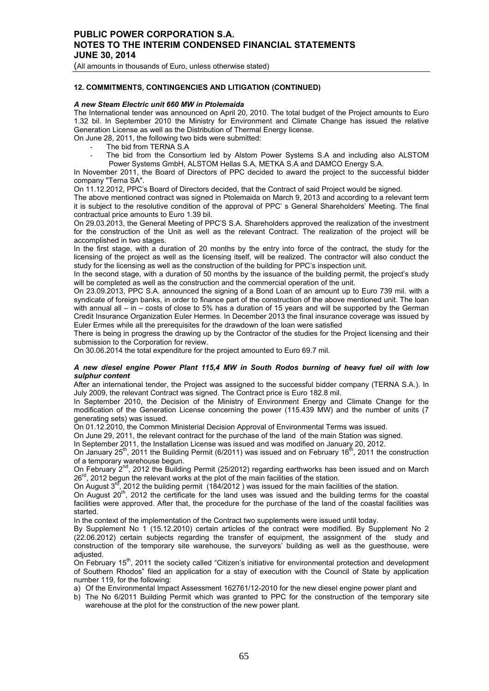(All amounts in thousands of Euro, unless otherwise stated)

## **12. COMMITMENTS, CONTINGENCIES AND LITIGATION (CONTINUED)**

### *A new Steam Electric unit 660 MW in Ptolemaida*

The International tender was announced on April 20, 2010. The total budget of the Project amounts to Euro 1.32 bil. In September 2010 the Ministry for Environment and Climate Change has issued the relative Generation License as well as the Distribution of Thermal Energy license.

On June 28, 2011, the following two bids were submitted:

- The bid from TERNA S.A
- The bid from the Consortium led by Alstom Power Systems S.A and including also ALSTOM Power Systems GmbH, ALSTOM Hellas S.A, METKA S.A and DAMCO Energy S.A.

In November 2011, the Board of Directors of PPC decided to award the project to the successful bidder company "Terna SA".

On 11.12.2012, PPC's Board of Directors decided, that the Contract of said Project would be signed.

The above mentioned contract was signed in Ptolemaida on March 9, 2013 and according to a relevant term it is subject to the resolutive condition of the approval of PPC' s General Shareholders' Meeting. The final contractual price amounts to Euro 1.39 bil.

On 29.03.2013, the General Meeting of PPC'S S.A. Shareholders approved the realization of the investment for the construction of the Unit as well as the relevant Contract. The realization of the project will be accomplished in two stages.

In the first stage, with a duration of 20 months by the entry into force of the contract, the study for the licensing of the project as well as the licensing itself, will be realized. The contractor will also conduct the study for the licensing as well as the construction of the building for PPC's inspection unit.

In the second stage, with a duration of 50 months by the issuance of the building permit, the project's study will be completed as well as the construction and the commercial operation of the unit.

On 23.09.2013, PPC S.A. announced the signing of a Bond Loan of an amount up to Euro 739 mil. with a syndicate of foreign banks, in order to finance part of the construction of the above mentioned unit. The loan with annual all – in – costs of close to 5% has a duration of 15 years and will be supported by the German Credit Insurance Organization Euler Hermes. In December 2013 the final insurance coverage was issued by Euler Ermes while all the prerequisites for the drawdown of the loan were satisfied

There is being in progress the drawing up by the Contractor of the studies for the Project licensing and their submission to the Corporation for review.

On 30.06.2014 the total expenditure for the project amounted to Euro 69.7 mil.

#### *A new diesel engine Power Plant 115,4 ΜW in South Rodos burning of heavy fuel oil with low sulphur content*

After an international tender, the Project was assigned to the successful bidder company (TERNA S.A.). In July 2009, the relevant Contract was signed. Τhe Contract price is Euro 182.8 mil.

In September 2010, the Decision of the Ministry of Environment Energy and Climate Change for the modification of the Generation License concerning the power (115.439 MW) and the number of units (7 generating sets) was issued.

On 01.12.2010, the Common Ministerial Decision Approval of Environmental Terms was issued.

Οn June 29, 2011, the relevant contract for the purchase of the land of the main Station was signed.

In September 2011, the Installation License was issued and was modified on January 20, 2012.

On January 25<sup>th</sup>, 2011 the Building Permit (6/2011) was issued and on February 16<sup>th</sup>, 2011 the construction of a temporary warehouse begun.

On February 2nd, 2012 the Building Permit (25/2012) regarding earthworks has been issued and on March 26<sup>rd</sup>, 2012 begun the relevant works at the plot of the main facilities of the station.

On August  $3^{rd}$ , 2012 the building permit (184/2012) was issued for the main facilities of the station.

On August 20<sup>th</sup>, 2012 the certificate for the land uses was issued and the building terms for the coastal facilities were approved. After that, the procedure for the purchase of the land of the coastal facilities was started.

In the context of the implementation of the Contract two supplements were issued until today.

By Supplement No 1 (15.12.2010) certain articles of the contract were modified. By Supplement No 2 (22.06.2012) certain subjects regarding the transfer of equipment, the assignment of the study and construction of the temporary site warehouse, the surveyors' building as well as the guesthouse, were adiusted.

On February 15<sup>th</sup>, 2011 the society called "Citizen's initiative for environmental protection and development of Southern Rhodos" filed an application for a stay of execution with the Council of State by application number 119, for the following:

a) Of the Environmental Impact Assessment 162761/12-2010 for the new diesel engine power plant and

b) The No 6/2011 Building Permit which was granted to PPC for the construction of the temporary site warehouse at the plot for the construction of the new power plant.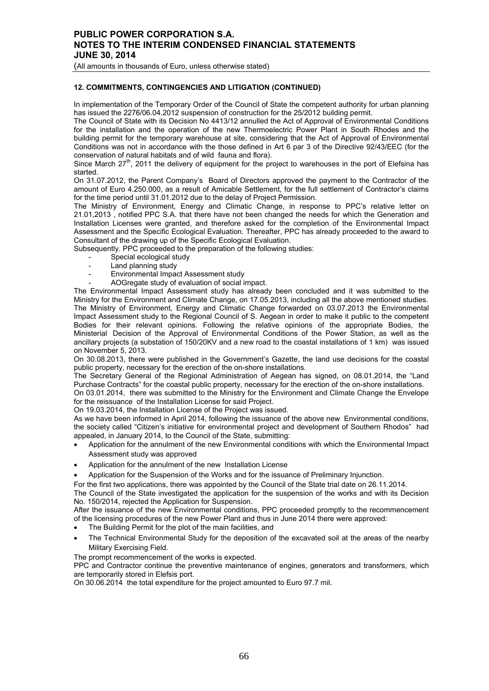(All amounts in thousands of Euro, unless otherwise stated)

## **12. COMMITMENTS, CONTINGENCIES AND LITIGATION (CONTINUED)**

In implementation of the Temporary Order of the Council of State the competent authority for urban planning has issued the 2276/06.04.2012 suspension of construction for the 25/2012 building permit.

The Council of State with its Decision No 4413/12 annulled the Act of Approval of Environmental Conditions for the installation and the operation of the new Thermoelectric Power Plant in South Rhodes and the building permit for the temporary warehouse at site, considering that the Act of Approval of Environmental Conditions was not in accordance with the those defined in Art 6 par 3 of the Directive 92/43/EEC (for the conservation of natural habitats and of wild fauna and flora).

Since March 27<sup>th</sup>, 2011 the delivery of equipment for the project to warehouses in the port of Elefsina has started.

On 31.07.2012, the Parent Company's Board of Directors approved the payment to the Contractor of the amount of Euro 4.250.000, as a result of Amicable Settlement, for the full settlement of Contractor's claims for the time period until 31.01.2012 due to the delay of Project Permission.

The Ministry of Environment, Energy and Climatic Change, in response to PPC's relative letter on 21.01,2013 , notified PPC S.A. that there have not been changed the needs for which the Generation and Installation Licenses were granted, and therefore asked for the completion of the Environmental Impact Assessment and the Specific Ecological Evaluation. Thereafter, PPC has already proceeded to the award to Consultant of the drawing up of the Specific Ecological Evaluation.

Subsequently. PPC proceeded to the preparation of the following studies:

- Special ecological study
- Land planning study
- Environmental Impact Assessment study
- AOGregate study of evaluation of social impact.

The Environmental Impact Assessment study has already been concluded and it was submitted to the Ministry for the Environment and Climate Change, on 17.05.2013, including all the above mentioned studies. The Ministry of Environment, Energy and Climatic Change forwarded on 03.07.2013 the Environmental Impact Assessment study to the Regional Council of S. Aegean in order to make it public to the competent Bodies for their relevant opinions. Following the relative opinions of the appropriate Bodies, the Ministerial Decision of the Approval of Environmental Conditions of the Power Station, as well as the ancillary projects (a substation of 150/20KV and a new road to the coastal installations of 1 km) was issued on November 5, 2013.

On 30.08.2013, there were published in the Government's Gazette, the land use decisions for the coastal public property, necessary for the erection of the on-shore installations.

The Secretary General of the Regional Administration of Aegean has signed, on 08.01.2014, the "Land Purchase Contracts" for the coastal public property, necessary for the erection of the on-shore installations.

On 03.01.2014, there was submitted to the Ministry for the Environment and Climate Change the Envelope for the reissuance of the Installation License for said Project.

On 19.03.2014, the Installation License of the Project was issued.

As we have been informed in April 2014, following the issuance of the above new Environmental conditions, the society called "Citizen's initiative for environmental project and development of Southern Rhodos" had appealed, in January 2014, to the Council of the State, submitting:

- Application for the annulment of the new Environmental conditions with which the Environmental Impact Assessment study was approved
- Application for the annulment of the new Installation License
- Application for the Suspension of the Works and for the issuance of Preliminary Injunction.
- For the first two applications, there was appointed by the Council of the State trial date on 26.11.2014.

The Council of the State investigated the application for the suspension of the works and with its Decision No. 150/2014, rejected the Application for Suspension.

After the issuance of the new Environmental conditions, PPC proceeded promptly to the recommencement of the licensing procedures of the new Power Plant and thus in June 2014 there were approved:

- The Building Permit for the plot of the main facilities, and
- The Technical Environmental Study for the deposition of the excavated soil at the areas of the nearby Military Exercising Field.

The prompt recommencement of the works is expected.

PPC and Contractor continue the preventive maintenance of engines, generators and transformers, which are temporarily stored in Elefsis port.

On 30.06.2014 the total expenditure for the project amounted to Euro 97.7 mil.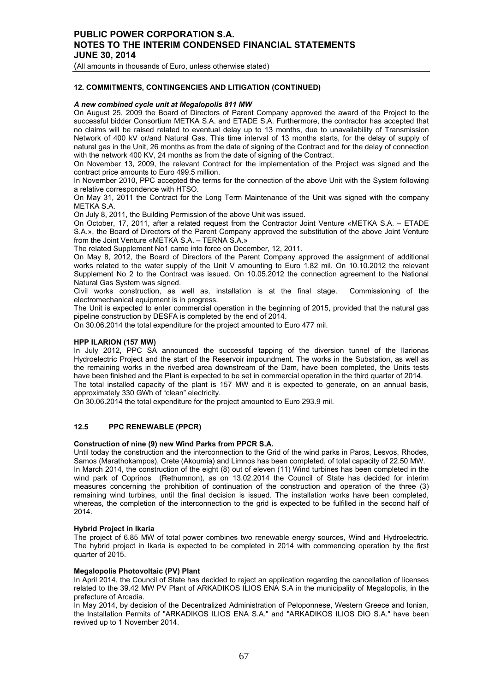(All amounts in thousands of Euro, unless otherwise stated)

## **12. COMMITMENTS, CONTINGENCIES AND LITIGATION (CONTINUED)**

### *Α new combined cycle unit at Megalopolis 811 ΜW*

On August 25, 2009 the Board of Directors of Parent Company approved the award of the Project to the successful bidder Consortium METKA S.A. and ETADE S.A. Furthermore, the contractor has accepted that no claims will be raised related to eventual delay up to 13 months, due to unavailability of Transmission Network of 400 kV or/and Natural Gas. This time interval of 13 months starts, for the delay of supply of natural gas in the Unit, 26 months as from the date of signing of the Contract and for the delay of connection with the network 400 KV, 24 months as from the date of signing of the Contract.

On November 13, 2009, the relevant Contract for the implementation of the Project was signed and the contract price amounts to Euro 499.5 million.

In November 2010, PPC accepted the terms for the connection of the above Unit with the System following a relative correspondence with HTSO.

On May 31, 2011 the Contract for the Long Term Maintenance of the Unit was signed with the company METKA S.A.

On July 8, 2011, the Building Permission of the above Unit was issued.

On October, 17, 2011, after a related request from the Contractor Joint Venture «ΜΕΤΚΑ S.A. – ΕΤΑDΕ S.A.», the Board of Directors of the Parent Company approved the substitution of the above Joint Venture from the Joint Venture «ΜΕΤΚΑ S.A. – TERNA S.A.»

The related Supplement No1 came into force on December, 12, 2011.

Οn May 8, 2012, the Board of Directors of the Parent Company approved the assignment of additional works related to the water supply of the Unit V amounting to Euro 1.82 mil. On 10.10.2012 the relevant Supplement No 2 to the Contract was issued. On 10.05.2012 the connection agreement to the National Natural Gas System was signed.

Civil works construction, as well as, installation is at the final stage. Commissioning of the electromechanical equipment is in progress.

The Unit is expected to enter commercial operation in the beginning of 2015, provided that the natural gas pipeline construction by DESFA is completed by the end of 2014.

On 30.06.2014 the total expenditure for the project amounted to Euro 477 mil.

#### **HPP ILARION (157 MW)**

In July 2012, PPC SA announced the successful tapping of the diversion tunnel of the Ilarionas Hydroelectric Project and the start of the Reservoir impoundment. The works in the Substation, as well as the remaining works in the riverbed area downstream of the Dam, have been completed, the Units tests have been finished and the Plant is expected to be set in commercial operation in the third quarter of 2014. The total installed capacity of the plant is 157 MW and it is expected to generate, on an annual basis, approximately 330 GWh of "clean" electricity.

On 30.06.2014 the total expenditure for the project amounted to Euro 293.9 mil.

## **12.5 PPC RENEWABLE (PPCR)**

#### **Construction of nine (9) new Wind Parks from PPCR S.A.**

Until today the construction and the interconnection to the Grid of the wind parks in Paros, Lesvos, Rhodes, Samos (Marathokampos), Crete (Akoumia) and Limnos has been completed, of total capacity of 22.50 ΜW. In March 2014, the construction of the eight (8) out of eleven (11) Wind turbines has been completed in the wind park of Coprinos (Rethumnon), as on 13.02.2014 the Council of State has decided for interim measures concerning the prohibition of continuation of the construction and operation of the three (3) remaining wind turbines, until the final decision is issued. The installation works have been completed, whereas, the completion of the interconnection to the grid is expected to be fulfilled in the second half of 2014.

#### **Hybrid Project in Ikaria**

The project of 6.85 MW of total power combines two renewable energy sources, Wind and Hydroelectric. The hybrid project in Ikaria is expected to be completed in 2014 with commencing operation by the first quarter of 2015.

#### **Megalopolis Photovoltaic (PV) Plant**

In April 2014, the Council of State has decided to reject an application regarding the cancellation of licenses related to the 39.42 MW PV Plant of ARKADIKOS ILIOS ENA S.A in the municipality of Megalopolis, in the prefecture of Arcadia.

In May 2014, by decision of the Decentralized Administration of Peloponnese, Western Greece and Ionian, the Installation Permits of "ARKADIKOS ILIOS ENA S.A." and "ARKADIKOS ILIOS DIO S.A." have been revived up to 1 November 2014.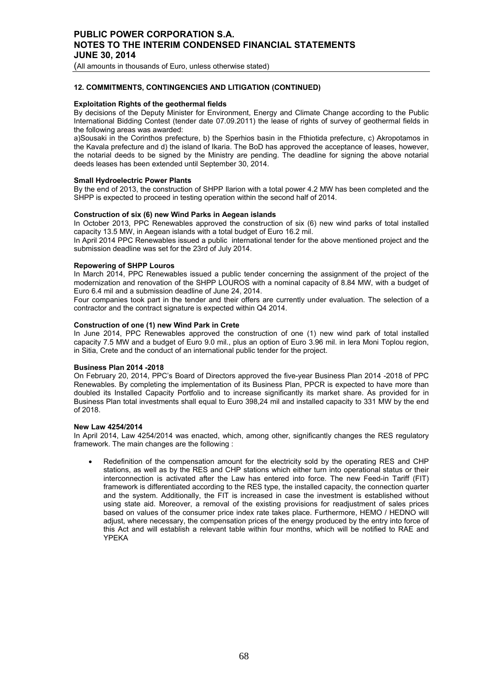(All amounts in thousands of Euro, unless otherwise stated)

## **12. COMMITMENTS, CONTINGENCIES AND LITIGATION (CONTINUED)**

#### **Exploitation Rights of the geothermal fields**

By decisions of the Deputy Minister for Environment, Energy and Climate Change according to the Public International Bidding Contest (tender date 07.09.2011) the lease of rights of survey of geothermal fields in the following areas was awarded:

a)Sousaki in the Corinthos prefecture, b) the Sperhios basin in the Fthiotida prefecture, c) Akropotamos in the Kavala prefecture and d) the island of Ikaria. The BoD has approved the acceptance of leases, however, the notarial deeds to be signed by the Ministry are pending. The deadline for signing the above notarial deeds leases has been extended until September 30, 2014.

## **Small Hydroelectric Power Plants**

By the end of 2013, the construction of SHPP Ilarion with a total power 4.2 MW has been completed and the SHPP is expected to proceed in testing operation within the second half of 2014.

## **Construction of six (6) new Wind Parks in Aegean islands**

In October 2013, PPC Renewables approved the construction of six (6) new wind parks of total installed capacity 13.5 ΜW, in Aegean islands with a total budget of Euro 16.2 mil.

In April 2014 PPC Renewables issued a public international tender for the above mentioned project and the submission deadline was set for the 23rd of July 2014.

### **Repowering of SHPP Louros**

In March 2014, PPC Renewables issued a public tender concerning the assignment of the project of the modernization and renovation of the SHPP LOUROS with a nominal capacity of 8.84 MW, with a budget of Euro 6.4 mil and a submission deadline of June 24, 2014.

Four companies took part in the tender and their offers are currently under evaluation. The selection of a contractor and the contract signature is expected within Q4 2014.

#### **Construction of one (1) new Wind Park in Crete**

In June 2014, PPC Renewables approved the construction of one (1) new wind park of total installed capacity 7.5 ΜW and a budget of Euro 9.0 mil., plus an option of Euro 3.96 mil. in Iera Moni Toplou region, in Sitia, Crete and the conduct of an international public tender for the project.

#### **Business Plan 2014 -2018**

On February 20, 2014, PPC's Board of Directors approved the five-year Business Plan 2014 -2018 of PPC Renewables. By completing the implementation of its Business Plan, PPCR is expected to have more than doubled its Installed Capacity Portfolio and to increase significantly its market share. As provided for in Business Plan total investments shall equal to Euro 398,24 mil and installed capacity to 331 MW by the end of 2018.

#### **New Law 4254/2014**

In April 2014, Law 4254/2014 was enacted, which, among other, significantly changes the RES regulatory framework. The main changes are the following :

• Redefinition of the compensation amount for the electricity sold by the operating RES and CHP stations, as well as by the RES and CHP stations which either turn into operational status or their interconnection is activated after the Law has entered into force. The new Feed-in Tariff (FIT) framework is differentiated according to the RES type, the installed capacity, the connection quarter and the system. Additionally, the FIT is increased in case the investment is established without using state aid. Moreover, a removal of the existing provisions for readjustment of sales prices based on values of the consumer price index rate takes place. Furthermore, HEMO / HEDNO will adjust, where necessary, the compensation prices of the energy produced by the entry into force of this Act and will establish a relevant table within four months, which will be notified to RAE and YPEKA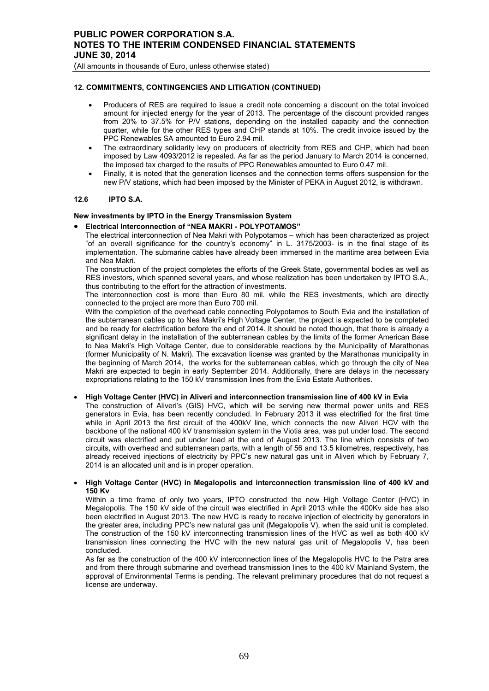## **12. COMMITMENTS, CONTINGENCIES AND LITIGATION (CONTINUED)**

- Producers of RES are required to issue a credit note concerning a discount on the total invoiced amount for injected energy for the year of 2013. The percentage of the discount provided ranges from 20% to 37.5% for P/V stations, depending on the installed capacity and the connection quarter, while for the other RES types and CHP stands at 10%. The credit invoice issued by the PPC Renewables SA amounted to Euro 2.94 mil.
- The extraordinary solidarity levy on producers of electricity from RES and CHP, which had been imposed by Law 4093/2012 is repealed. As far as the period January to March 2014 is concerned, the imposed tax charged to the results of PPC Renewables amounted to Euro 0.47 mil.
- Finally, it is noted that the generation licenses and the connection terms offers suspension for the new P/V stations, which had been imposed by the Minister of PEKA in August 2012, is withdrawn.

## **12.6 IPTO S.A.**

## **New investments by IPTO in the Energy Transmission System**

- **Electrical Interconnection of "NEA MAKRI POLYPOTAMOS"**
	- The electrical interconnection of Nea Makri with Polypotamos which has been characterized as project "of an overall significance for the country's economy" in L. 3175/2003- is in the final stage of its implementation. The submarine cables have already been immersed in the maritime area between Evia and Nea Makri.

The construction of the project completes the efforts of the Greek State, governmental bodies as well as RES investors, which spanned several years, and whose realization has been undertaken by IPTO S.A., thus contributing to the effort for the attraction of investments.

The interconnection cost is more than Euro 80 mil. while the RES investments, which are directly connected to the project are more than Euro 700 mil.

With the completion of the overhead cable connecting Polypotamos to South Evia and the installation of the subterranean cables up to Nea Makri's High Voltage Center, the project is expected to be completed and be ready for electrification before the end of 2014. It should be noted though, that there is already a significant delay in the installation of the subterranean cables by the limits of the former American Base to Nea Makri's High Voltage Center, due to considerable reactions by the Municipality of Marathonas (former Municipality of N. Makri). The excavation license was granted by the Marathonas municipality in the beginning of March 2014, the works for the subterranean cables, which go through the city of Nea Makri are expected to begin in early September 2014. Additionally, there are delays in the necessary expropriations relating to the 150 kV transmission lines from the Evia Estate Authorities.

#### • **High Voltage Center (HVC) in Aliveri and interconnection transmission line of 400 kV in Evia**

The construction of Aliveri's (GIS) HVC, which will be serving new thermal power units and RES generators in Evia, has been recently concluded. In February 2013 it was electrified for the first time while in April 2013 the first circuit of the 400kV line, which connects the new Aliveri HCV with the backbone of the national 400 kV transmission system in the Viotia area, was put under load. The second circuit was electrified and put under load at the end of August 2013. The line which consists of two circuits, with overhead and subterranean parts, with a length of 56 and 13.5 kilometres, respectively, has already received injections of electricity by PPC's new natural gas unit in Aliveri which by February 7, 2014 is an allocated unit and is in proper operation.

## • **High Voltage Center (HVC) in Megalopolis and interconnection transmission line of 400 kV and 150 Kv**

Within a time frame of only two years, IPTO constructed the new High Voltage Center (HVC) in Megalopolis. The 150 kV side of the circuit was electrified in April 2013 while the 400Kv side has also been electrified in August 2013. The new HVC is ready to receive injection of electricity by generators in the greater area, including PPC's new natural gas unit (Megalopolis V), when the said unit is completed. The construction of the 150 kV interconnecting transmission lines of the HVC as well as both 400 kV transmission lines connecting the HVC with the new natural gas unit of Megalopolis V, has been concluded.

As far as the construction of the 400 kV interconnection lines of the Megalopolis HVC to the Patra area and from there through submarine and overhead transmission lines to the 400 kV Mainland System, the approval of Environmental Terms is pending. The relevant preliminary procedures that do not request a license are underway.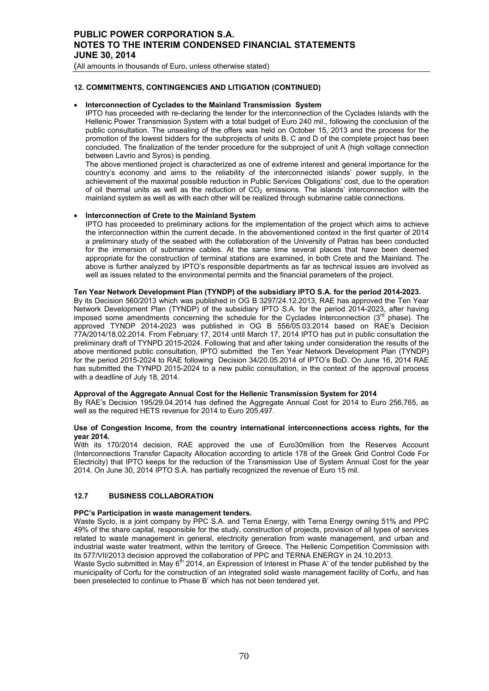(All amounts in thousands of Euro, unless otherwise stated)

# **12. COMMITMENTS, CONTINGENCIES AND LITIGATION (CONTINUED)**

## • **Interconnection of Cyclades to the Mainland Transmission System**

IPTO has proceeded with re-declaring the tender for the interconnection of the Cyclades Islands with the Hellenic Power Transmission System with a total budget of Euro 240 mil., following the conclusion of the public consultation. The unsealing of the offers was held on October 15, 2013 and the process for the promotion of the lowest bidders for the subprojects of units B, C and D of the complete project has been concluded. The finalization of the tender procedure for the subproject of unit A (high voltage connection between Lavrio and Syros) is pending.

The above mentioned project is characterized as one of extreme interest and general importance for the country's economy and aims to the reliability of the interconnected islands' power supply, in the achievement of the maximal possible reduction in Public Services Obligations' cost, due to the operation of oil thermal units as well as the reduction of  $CO<sub>2</sub>$  emissions. The islands' interconnection with the mainland system as well as with each other will be realized through submarine cable connections.

#### • **Interconnection of Crete to the Mainland System**

IPTO has proceeded to preliminary actions for the implementation of the project which aims to achieve the interconnection within the current decade. In the abovementioned context in the first quarter of 2014 a preliminary study of the seabed with the collaboration of the University of Patras has been conducted for the immersion of submarine cables. At the same time several places that have been deemed appropriate for the construction of terminal stations are examined, in both Crete and the Mainland. The above is further analyzed by IPTO's responsible departments as far as technical issues are involved as well as issues related to the environmental permits and the financial parameters of the project.

## **Ten Year Network Development Plan (TYNDP) of the subsidiary IPTO S.A. for the period 2014-2023.**

By its Decision 560/2013 which was published in OG B 3297/24.12.2013, RAE has approved the Ten Year Network Development Plan (TYNDP) of the subsidiary IPTO S.A. for the period 2014-2023, after having imposed some amendments concerning the schedule for the Cyclades Interconnection ( $3<sup>rd</sup>$  phase). The approved TYNDP 2014-2023 was published in OG B 556/05.03.2014 based on RAE's Decision 77A/2014/18.02.2014. From February 17, 2014 until March 17, 2014 IPTO has put in public consultation the preliminary draft of TYNPD 2015-2024. Following that and after taking under consideration the results of the above mentioned public consultation, IPTO submitted the Ten Year Network Development Plan (TYNDP) for the period 2015-2024 to RAE following Decision 34/20.05.2014 of IPTO's BoD. On June 16, 2014 RAE has submitted the TYNPD 2015-2024 to a new public consultation, in the context of the approval process with a deadline of July 18, 2014.

# **Approval of the Aggregate Annual Cost for the Hellenic Transmission System for 2014**

By RAE's Decision 195/29.04.2014 has defined the Aggregate Annual Cost for 2014 to Euro 256,765, as well as the required HETS revenue for 2014 to Euro 205,497.

#### **Use of Congestion Income, from the country international interconnections access rights, for the year 2014.**

With its 170/2014 decision, RAE approved the use of Euro30million from the Reserves Account (Interconnections Transfer Capacity Allocation according to article 178 of the Greek Grid Control Code For Electricity) that IPTO keeps for the reduction of the Transmission Use of System Annual Cost for the year 2014. On June 30, 2014 IPTO S.A. has partially recognized the revenue of Euro 15 mil.

# **12.7 BUSINESS COLLABORATION**

#### **PPC's Participation in waste management tenders.**

Waste Syclo, is a joint company by PPC S.A. and Terna Energy, with Terna Energy owning 51% and PPC 49% of the share capital, responsible for the study, construction of projects, provision of all types of services related to waste management in general, electricity generation from waste management, and urban and industrial waste water treatment, within the territory of Greece. The Hellenic Competition Commission with its 577/VII/2013 decision approved the collaboration of PPC and TERNA ENERGY in 24.10.2013.

Waste Syclo submitted in May 6<sup>th</sup> 2014, an Expression of Interest in Phase A' of the tender published by the municipality of Corfu for the construction of an integrated solid waste management facility of Corfu, and has been preselected to continue to Phase B' which has not been tendered yet.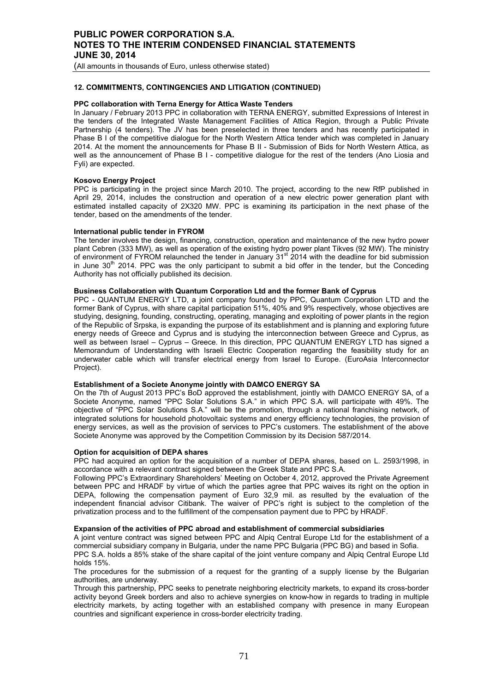(All amounts in thousands of Euro, unless otherwise stated)

## **12. COMMITMENTS, CONTINGENCIES AND LITIGATION (CONTINUED)**

### **PPC collaboration with Terna Energy for Attica Waste Tenders**

In January / February 2013 PPC in collaboration with TERNA ENERGY, submitted Expressions of Interest in the tenders of the Integrated Waste Management Facilities of Attica Region, through a Public Private Partnership (4 tenders). The JV has been preselected in three tenders and has recently participated in Phase B I of the competitive dialogue for the North Western Attica tender which was completed in January 2014. At the moment the announcements for Phase B II - Submission of Bids for North Western Attica, as well as the announcement of Phase B I - competitive dialogue for the rest of the tenders (Ano Liosia and Fyli) are expected.

#### **Kosovo Energy Project**

PPC is participating in the project since March 2010. The project, according to the new RfP published in April 29, 2014, includes the construction and operation of a new electric power generation plant with estimated installed capacity of 2X320 MW. PPC is examining its participation in the next phase of the tender, based on the amendments of the tender.

#### **International public tender in FYROM**

The tender involves the design, financing, construction, operation and maintenance of the new hydro power plant Cebren (333 MW), as well as operation of the existing hydro power plant Tikves (92 MW). The ministry of environment of FYROM relaunched the tender in January 31st 2014 with the deadline for bid submission in June  $30<sup>th</sup>$  2014. PPC was the only participant to submit a bid offer in the tender, but the Conceding Authority has not officially published its decision.

## **Business Collaboration with Quantum Corporation Ltd and the former Bank of Cyprus**

PPC - QUANTUM ENERGY LTD, a joint company founded by PPC, Quantum Corporation LTD and the former Bank of Cyprus, with share capital participation 51%, 40% and 9% respectively, whose objectives are studying, designing, founding, constructing, operating, managing and exploiting of power plants in the region of the Republic of Srpska, is expanding the purpose of its establishment and is planning and exploring future energy needs of Greece and Cyprus and is studying the interconnection between Greece and Cyprus, as well as between Israel – Cyprus – Greece. In this direction, PPC QUANTUM ENERGY LTD has signed a Memorandum of Understanding with Israeli Electric Cooperation regarding the feasibility study for an underwater cable which will transfer electrical energy from Israel to Europe. (EuroAsia Interconnector Project).

#### **Establishment of a Societe Anonyme jointly with DAMCO ENERGY SA**

On the 7th of August 2013 PPC's BoD approved the establishment, jointly with DAMCO ENERGY SA, of a Societe Anonyme, named "PPC Solar Solutions S.A." in which PPC S.A. will participate with 49%. The objective of "PPC Solar Solutions S.A." will be the promotion, through a national franchising network, of integrated solutions for household photovoltaic systems and energy efficiency technologies, the provision of energy services, as well as the provision of services to PPC's customers. The establishment of the above Societe Anonyme was approved by the Competition Commission by its Decision 587/2014.

#### **Option for acquisition of DEPA shares**

PPC had acquired an option for the acquisition of a number of DEPA shares, based on L. 2593/1998, in accordance with a relevant contract signed between the Greek State and PPC S.A.

Following PPC's Extraordinary Shareholders' Meeting on October 4, 2012, approved the Private Agreement between PPC and HRADF by virtue of which the parties agree that PPC waives its right on the option in DEPA, following the compensation payment of Euro 32,9 mil. as resulted by the evaluation of the independent financial advisor Citibank. The waiver of PPC's right is subject to the completion of the privatization process and to the fulfillment of the compensation payment due to PPC by HRADF.

#### **Expansion of the activities of PPC abroad and establishment of commercial subsidiaries**

A joint venture contract was signed between PPC and Alpiq Central Europe Ltd for the establishment of a commercial subsidiary company in Bulgaria, under the name PPC Bulgaria (PPC BG) and based in Sofia. PPC S.A. holds a 85% stake of the share capital of the joint venture company and Alpiq Central Europe Ltd holds 15%.

The procedures for the submission of a request for the granting of a supply license by the Bulgarian authorities, are underway.

Through this partnership, PPC seeks to penetrate neighboring electricity markets, tο expand its cross-border activity beyond Greek borders and also το achieve synergies on know-how in regards to trading in multiple electricity markets, by acting together with an established company with presence in many European countries and significant experience in cross-border electricity trading.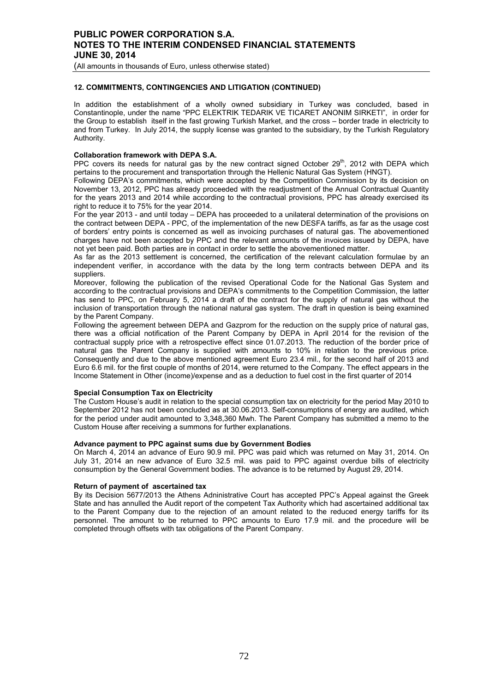(All amounts in thousands of Euro, unless otherwise stated)

## **12. COMMITMENTS, CONTINGENCIES AND LITIGATION (CONTINUED)**

In addition the establishment of a wholly owned subsidiary in Turkey was concluded, based in Constantinople, under the name "PPC ELEKTRIK TEDARIK VE TICARET ANONIM SIRKETI", in order for the Group to establish itself in the fast growing Turkish Market, and the cross – border trade in electricity to and from Turkey. In July 2014, the supply license was granted to the subsidiary, by the Turkish Regulatory Authority.

## **Collaboration framework with DEPA S.A.**

PPC covers its needs for natural gas by the new contract signed October  $29<sup>th</sup>$ , 2012 with DEPA which pertains to the procurement and transportation through the Hellenic Natural Gas System (HNGT).

Following DEPA's commitments, which were accepted by the Competition Commission by its decision on November 13, 2012, PPC has already proceeded with the readjustment of the Annual Contractual Quantity for the years 2013 and 2014 while according to the contractual provisions, PPC has already exercised its right to reduce it to 75% for the year 2014.

For the year 2013 - and until today – DEPA has proceeded to a unilateral determination of the provisions on the contract between DEPA - PPC, of the implementation of the new DESFA tariffs, as far as the usage cost of borders' entry points is concerned as well as invoicing purchases of natural gas. The abovementioned charges have not been accepted by PPC and the relevant amounts of the invoices issued by DEPA, have not yet been paid. Both parties are in contact in order to settle the abovementioned matter.

As far as the 2013 settlement is concerned, the certification of the relevant calculation formulae by an independent verifier, in accordance with the data by the long term contracts between DEPA and its suppliers.

Moreover, following the publication of the revised Operational Code for the National Gas System and according to the contractual provisions and DEPA's commitments to the Competition Commission, the latter has send to PPC, on February 5, 2014 a draft of the contract for the supply of natural gas without the inclusion of transportation through the national natural gas system. The draft in question is being examined by the Parent Company.

Following the agreement between DEPA and Gazprom for the reduction on the supply price of natural gas, there was a official notification of the Parent Company by DEPA in April 2014 for the revision of the contractual supply price with a retrospective effect since 01.07.2013. The reduction of the border price of natural gas the Parent Company is supplied with amounts to 10% in relation to the previous price. Consequently and due to the above mentioned agreement Euro 23.4 mil., for the second half of 2013 and Euro 6.6 mil. for the first couple of months of 2014, were returned to the Company. The effect appears in the Income Statement in Other (income)/expense and as a deduction to fuel cost in the first quarter of 2014

#### **Special Consumption Tax on Electricity**

The Custom House's audit in relation to the special consumption tax on electricity for the period May 2010 to September 2012 has not been concluded as at 30.06.2013. Self-consumptions of energy are audited, which for the period under audit amounted to 3,348,360 Mwh. The Parent Company has submitted a memo to the Custom House after receiving a summons for further explanations.

#### **Advance payment to PPC against sums due by Government Bodies**

On March 4, 2014 an advance of Euro 90.9 mil. PPC was paid which was returned on May 31, 2014. On July 31, 2014 an new advance of Euro 32.5 mil. was paid to PPC against overdue bills of electricity consumption by the General Government bodies. The advance is to be returned by August 29, 2014.

#### **Return of payment of ascertained tax**

By its Decision 5677/2013 the Athens Adninistrative Court has accepted PPC's Appeal against the Greek State and has annulled the Audit report of the competent Tax Authority which had ascertained additional tax to the Parent Company due to the rejection of an amount related to the reduced energy tariffs for its personnel. The amount to be returned to PPC amounts to Euro 17.9 mil. and the procedure will be completed through offsets with tax obligations of the Parent Company.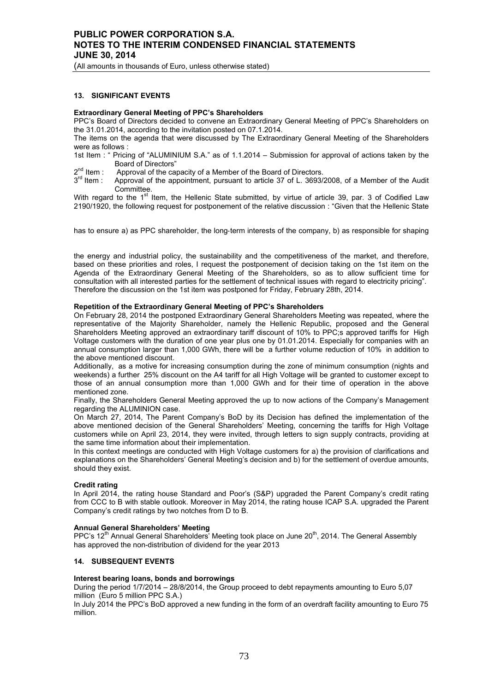(All amounts in thousands of Euro, unless otherwise stated)

#### **13. SIGNIFICANT EVENTS**

#### **Extraordinary General Meeting of PPC's Shareholders**

PPC's Board of Directors decided to convene an Extraordinary General Meeting of PPC's Shareholders on the 31.01.2014, according to the invitation posted on 07.1.2014.

The items on the agenda that were discussed by The Extraordinary General Meeting of the Shareholders were as follows :

1st Item : " Pricing of "ALUMINIUM S.A." as of 1.1.2014 – Submission for approval of actions taken by the Board of Directors"

 $2<sup>nd</sup>$  Item : Approval of the capacity of a Member of the Board of Directors.<br> $3<sup>rd</sup>$  Item : Approval of the appointment, pursuant to article 37 of L, 3693/

Approval of the appointment, pursuant to article 37 of L. 3693/2008, of a Member of the Audit Committee.

With regard to the 1<sup>st</sup> Item, the Hellenic State submitted, by virtue of article 39, par. 3 of Codified Law 2190/1920, the following request for postponement of the relative discussion : "Given that the Hellenic State

has to ensure a) as PPC shareholder, the long-term interests of the company, b) as responsible for shaping

the energy and industrial policy, the sustainability and the competitiveness of the market, and therefore, based on these priorities and roles, I request the postponement of decision taking on the 1st item on the Agenda of the Extraordinary General Meeting of the Shareholders, so as to allow sufficient time for consultation with all interested parties for the settlement of technical issues with regard to electricity pricing". Therefore the discussion on the 1st item was postponed for Friday, February 28th, 2014.

#### **Repetition of the Extraordinary General Meeting of PPC's Shareholders**

On February 28, 2014 the postponed Extraordinary General Shareholders Meeting was repeated, where the representative of the Majority Shareholder, namely the Hellenic Republic, proposed and the General Shareholders Meeting approved an extraordinary tariff discount of 10% to PPC;s approved tariffs for High Voltage customers with the duration of one year plus one by 01.01.2014. Especially for companies with an annual consumption larger than 1,000 GWh, there will be a further volume reduction of 10% in addition to the above mentioned discount.

Additionally, as a motive for increasing consumption during the zone of minimum consumption (nights and weekends) a further 25% discount on the A4 tariff for all High Voltage will be granted to customer except to those of an annual consumption more than 1,000 GWh and for their time of operation in the above mentioned zone.

Finally, the Shareholders General Meeting approved the up to now actions of the Company's Management regarding the ALUMINION case.

On March 27, 2014, The Parent Company's BoD by its Decision has defined the implementation of the above mentioned decision of the General Shareholders' Meeting, concerning the tariffs for High Voltage customers while on April 23, 2014, they were invited, through letters to sign supply contracts, providing at the same time information about their implementation.

In this context meetings are conducted with High Voltage customers for a) the provision of clarifications and explanations on the Shareholders' General Meeting's decision and b) for the settlement of overdue amounts, should they exist.

#### **Credit rating**

In April 2014, the rating house Standard and Poor's (S&P) upgraded the Parent Company's credit rating from CCC to B with stable outlook. Moreover in May 2014, the rating house ICAP S.A. upgraded the Parent Company's credit ratings by two notches from D to B.

#### **Annual General Shareholders' Meeting**

PPC's  $12<sup>th</sup>$  Annual General Shareholders' Meeting took place on June  $20<sup>th</sup>$ , 2014. The General Assembly has approved the non-distribution of dividend for the year 2013

#### **14. SUBSEQUENT EVENTS**

#### **Interest bearing loans, bonds and borrowings**

During the period 1/7/2014 – 28/8/2014, the Group proceed to debt repayments amounting to Euro 5,07 million (Euro 5 million PPC S.A.)

In July 2014 the PPC's BoD approved a new funding in the form of an overdraft facility amounting to Euro 75 million.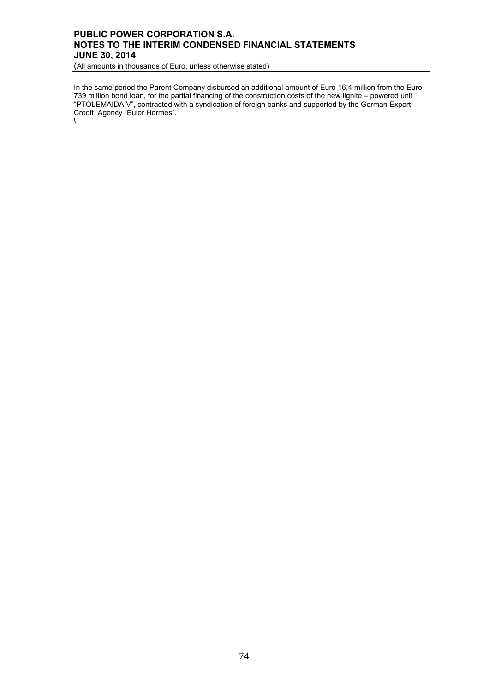## **PUBLIC POWER CORPORATION S.A. NOTES TO THE INTERIM CONDENSED FINANCIAL STATEMENTS JUNE 30, 2014**

(All amounts in thousands of Euro, unless otherwise stated)

In the same period the Parent Company disbursed an additional amount of Euro 16,4 million from the Euro 739 million bond loan, for the partial financing of the construction costs of the new lignite – powered unit "PTOLEMAIDA V", contracted with a syndication of foreign banks and supported by the German Export Credit Agency "Euler Hermes".

**\**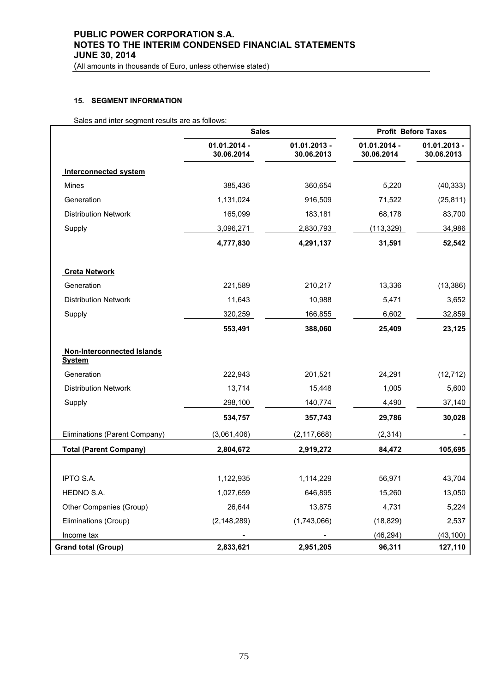# **PUBLIC POWER CORPORATION S.A. NOTES TO THE INTERIM CONDENSED FINANCIAL STATEMENTS JUNE 30, 2014**

(All amounts in thousands of Euro, unless otherwise stated)

### **15. SEGMENT INFORMATION**

Sales and inter segment results are as follows:

|                                                    | <b>Sales</b>                 |                              | <b>Profit Before Taxes</b>   |                              |  |
|----------------------------------------------------|------------------------------|------------------------------|------------------------------|------------------------------|--|
|                                                    | $01.01.2014 -$<br>30.06.2014 | $01.01.2013 -$<br>30.06.2013 | $01.01.2014 -$<br>30.06.2014 | $01.01.2013 -$<br>30.06.2013 |  |
| <b>Interconnected system</b>                       |                              |                              |                              |                              |  |
| <b>Mines</b>                                       | 385,436                      | 360,654                      | 5,220                        | (40, 333)                    |  |
| Generation                                         | 1,131,024                    | 916,509                      | 71,522                       | (25, 811)                    |  |
| <b>Distribution Network</b>                        | 165,099                      | 183,181                      | 68,178                       | 83,700                       |  |
| Supply                                             | 3,096,271                    | 2,830,793                    | (113, 329)                   | 34,986                       |  |
|                                                    | 4,777,830                    | 4,291,137                    | 31,591                       | 52,542                       |  |
| <b>Creta Network</b>                               |                              |                              |                              |                              |  |
| Generation                                         | 221,589                      | 210,217                      | 13,336                       | (13, 386)                    |  |
| <b>Distribution Network</b>                        | 11,643                       | 10,988                       | 5,471                        | 3,652                        |  |
| Supply                                             | 320,259                      | 166,855                      | 6,602                        | 32,859                       |  |
|                                                    | 553,491                      | 388,060                      | 25,409                       | 23,125                       |  |
| <b>Non-Interconnected Islands</b><br><b>System</b> |                              |                              |                              |                              |  |
| Generation                                         | 222,943                      | 201,521                      | 24,291                       | (12, 712)                    |  |
| <b>Distribution Network</b>                        | 13,714                       | 15,448                       | 1,005                        | 5,600                        |  |
| Supply                                             | 298,100                      | 140,774                      | 4,490                        | 37,140                       |  |
|                                                    | 534,757                      | 357,743                      | 29,786                       | 30,028                       |  |
| Eliminations (Parent Company)                      | (3,061,406)                  | (2, 117, 668)                | (2, 314)                     |                              |  |
| <b>Total (Parent Company)</b>                      | 2,804,672                    | 2,919,272                    | 84,472                       | 105,695                      |  |
|                                                    |                              |                              |                              |                              |  |
| <b>IPTO S.A.</b>                                   | 1,122,935                    | 1,114,229                    | 56,971                       | 43,704                       |  |
| HEDNO S.A.                                         | 1,027,659                    | 646,895                      | 15,260                       | 13,050                       |  |
| Other Companies (Group)                            | 26,644                       | 13,875                       | 4,731                        | 5,224                        |  |
| Eliminations (Croup)                               | (2, 148, 289)                | (1,743,066)                  | (18, 829)                    | 2,537                        |  |
| Income tax                                         |                              |                              | (46, 294)                    | (43, 100)                    |  |
| <b>Grand total (Group)</b>                         | 2,833,621                    | 2,951,205                    | 96,311                       | 127,110                      |  |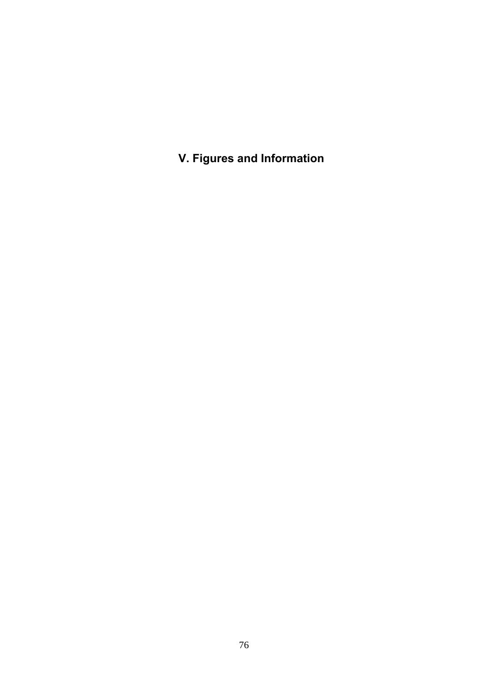**V. Figures and Information**